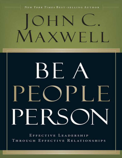NEW YORK TIMES BEST-SELLING AUTHOR

# JOHN C.<br>MAXWELL

# BE A PEOPLE PERSON

EFFECTIVE LEADERSHIP THROUGH EFFECTIVE RELATIONSHIPS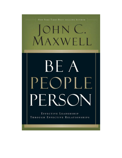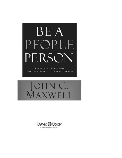



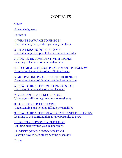# **CONTENTS**

[Cover](#page-1-0)

**[Acknowledgments](#page-4-0)** 

[Foreword](#page-5-0)

1. WHAT DRAWS ME TO [PEOPLE?](#page-6-0) [Understanding](#page-6-0) the qualities you enjoy in others

2. WHAT DRAWS [OTHERS](#page-21-0) TO ME? [Understanding](#page-21-0) what people like about you and why

3. HOW TO BE [CONFIDENT](#page-31-0) WITH PEOPLE Learning to feel [comfortable](#page-31-0) with others

4. [BECOMING](#page-45-0) A PERSON PEOPLE WANT TO FOLLOW [Developing](#page-45-0) the qualities of an effective leader

5. [MOTIVATING](#page-57-0) PEOPLE FOR THEIR BENEFIT [Developing](#page-57-0) the art of drawing out the best in people

6. HOW TO BE A PERSON PEOPLE [RESPECT](#page-70-0) [Understanding](#page-70-0) the value of your character

7. YOU CAN BE AN [ENCOURAGER](#page-83-0) Using your skills to inspire others to [excellence](#page-83-0)

8. LOVING [DIFFICULT](#page-91-0) PEOPLE [Understanding](#page-91-0) and helping difficult personalities

9. HOW TO BE A PERSON WHO CAN HANDLE [CRITICISM](#page-103-0) Learning to use [confrontation](#page-103-0) as an opportunity to grow

10. BEING A [PERSON](#page-116-0) PEOPLE TRUST Building integrity into your [relationships](#page-116-0)

11. [DEVELOPING](#page-124-0) A WINNING TEAM Learning how to help others become [successful](#page-124-0)

[Extras](#page-139-0)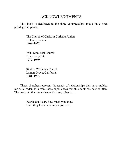# ACKNOWLEDGMENTS

<span id="page-4-0"></span>This book is dedicated to the three congregations that I have been privileged to pastor.

> The Church of Christ in Christian Union Hillham, Indiana 1969–1972

Faith Memorial Church Lancaster, Ohio 1972–1980

Skyline Wesleyan Church Lemon Grove, California 1981–1995

These churches represent thousands of relationships that have molded me as a leader. It is from these experiences that this book has been written. The one truth that rings clearer than any other is ...

> People don't care how much you know Until they know how much you care.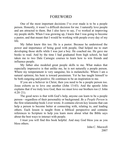# FOREWORD

<span id="page-5-0"></span>One of the most important decisions I've ever made is to be a people person. Honestly, it wasn't a difficult decision for me. I naturally love people and am attracted to them. But I also have to say, I've worked at improving my people skills. When I was growing up, I knew that I was going to become a pastor, and that meant that I would be working with people every day of my life.

My father knew this too. He is a pastor. Because he understood the power and importance of being good with people, Dad helped me to start developing those skills while I was just a boy. He coached me. He gave me books to read. And by the time I had graduated from high school, he had taken me to two Dale Carnegie courses to learn how to win friends and influence people.

My father also modeled great people skills to me. What makes that especially impressive is that unlike me, he is not naturally a people person. Where my temperament is very sanguine, his is melancholic. Where I am a natural optimist, his bent is toward pessimism. Yet he has taught himself to be both outgoing and positive. He continues to be an inspiration to me.

If you are a believer in Christ, then you need to be a people person too. Jesus exhorts us to love one another (John 13:43). And the apostle John explains that if we truly love God, then we must love our brothers too (1 John 4:20–21).

The good news is that with God's help, anyone can learn to be a people person—regardless of their personality or background. *Be a People Person* is the first relationship book I ever wrote. It contains eleven key lessons that can help a person to become better at connecting with, relating to, and leading others. Each lesson is taught from a biblical perspective and contains references to Scripture to help you learn more about what the Bible says about the best ways to interact with people.

I trust you will find this book helpful. And may God bless you as you bless others.

> John C. Maxwell 2007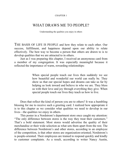#### CHAPTER 1

# <span id="page-6-0"></span>WHAT DRAWS ME TO PEOPLE?

Understanding the qualities you enjoy in others

THE BASIS OF LIFE IS PEOPLE and how they relate to each other. Our success, fulfillment, and happiness depend upon our ability to relate effectively. The best way to become a person that others are drawn to is to develop qualities that we are attracted to in others.

Just as I was preparing this chapter, I received an anonymous card from a member of my congregation. It was especially meaningful because it reflected the importance of warm, rewarding relationships:

> When special people touch our lives then suddenly we see how beautiful and wonderful our world can really be. They show us that our special hopes and dreams can take us far by helping us look inward and believe in who we are. They bless us with their love and joy through everything they give. When special people touch our lives they teach us how to live.

Does that reflect the kind of person you are to others? It was a humbling blessing for me to receive such a greeting card. I realized how appropriate it is to this chapter as we consider what qualities we need to develop in our lives—the qualities we enjoy in others.

This poster in a Nordstrom's department store once caught my attention: "The only difference between stores is the way they treat their customers." That's a bold statement. Most stores would advertise the quality of their merchandise or their wide selection as what sets them apart from the rest. The difference between Nordstrom's and other stores, according to an employee of the competition, is that other stores are organization-oriented; Nordstrom's is people-oriented. Their employees are trained to respond quickly and kindly to customer complaints. As a result, according to writer Nancy Austin,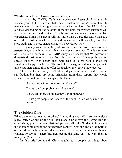"Nordstrom's doesn't have customers; it has fans."

A study by TARP, Technical Assistance Research Programs, in Washington, D.C., shows that most customers won't complain to management if something goes wrong with the purchase. But TARP found out that, depending on the severity of the problem, an average customer will tell between nine and sixteen friends and acquaintances about his bad experience. Some 13 percent will tell more than 20 people! More than two out of three customers who've received poor service will never buy from that store again and, worse, management will never know why.

Every company is bound to goof now and then, but from the customer's perspective, what's important is that the company responds. This is the secret of Nordstrom's success. The TARP study also shows that 95 percent of dissatisfied customers will buy from the store again if their problems are solved quickly. Even better, they will each tell eight people about the situation's happy conclusion. The trick for managers and salespeople is to give customers ample time to offer feedback on the service they receive.

This chapter certainly isn't about department stores and customer satisfaction, but there are some principles from these reports that should speak to us about our relationships with others:

Are we quick to respond to others' needs?

Do we run from problems or face them?

Do we talk more about bad news or good news?

Do we give people the benefit of the doubt, or do we assume the worst?

# The Golden Rule

What's the key to relating to others? It's putting yourself in someone else's place instead of putting them in their place. Christ gave the perfect rule for establishing quality human relationships. We call it the Golden Rule, a name it got sometime around the seventeenth century. Near the end of the Sermon on the Mount, Christ summed up a series of profound thoughts on human conduct by saying, "Therefore, treat people the same way you want them to treat you" (Matt. 7:12).

In this brief command, Christ taught us a couple of things about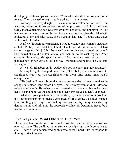developing relationships with others. We need to decide how we want to be treated. Then we need to begin treating others in that manner.

Recently I took my daughter Elizabeth out to a restaurant for lunch. The waitress, whose job it was to take care of people, made us feel that we were really inconveniencing her. She was grumpy, negative, and unhelpful. All of her customers were aware of the fact that she was having a bad day. Elizabeth looked up at me and said, "Dad, she's a grump, isn't she?" I could only agree with a look of disdain.

Halfway through our experience I tried to change this woman's negative attitude. Pulling out a \$10 bill, I said, "Could you do me a favor? I'd like some change for this \$10 bill because I want to give you a good tip today." She looked at me, did a double take, and then ran to the cash register. After changing the money, she spent the next fifteen minutes hovering over us. I thanked her for her service, told her how important and helpful she was, and left a good tip.

As we left, Elizabeth said, "Daddy, did you see how that lady changed?"

Seizing this golden opportunity, I said, "Elizabeth, if you want people to act right toward you, you act right toward them. And many times you'll change them."

Elizabeth will never forget that lesson because she had seen a noticeable change take place right before her eyes. That grumpy woman didn't deserve to be treated kindly. But when she was treated not as she was, but as I wanted her to be and believed she could become, her perspective suddenly changed.

Whatever your position in a relationship, if you are aware of a problem, it's your responsibility to make a concerted effort to create a positive change. Quit pointing your finger and making excuses, and try being a catalyst by demonstrating and initiating the appropriate behavior. Determine not to be a reactor but an initiator.

# Five Ways You Want Others to Treat You

These next five points seem too simple even to mention, but somehow we overlook them. The qualities that make relationships right aren't complicated at all. There's not a person reading this who doesn't need, like, or respond to these qualities in others.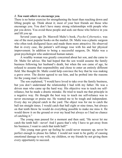#### *1. You want others to encourage you.*

There is no better exercise for strengthening the heart than reaching down and lifting people up. Think about it; most of your best friends are those who encourage you. You don't have many strong relationships with people who put you down. You avoid these people and seek out those who believe in you and lift you up.

Several years ago Dr. Maxwell Maltz's book, *Psycho-Cybernetics,* was one of the most popular books on the market. Dr. Maltz was a plastic surgeon who often took disfigured faces and made them more attractive. He observed that in every case, the patient's self-image rose with his and her physical improvement. In addition to being a successful surgeon, Dr. Maltz was a great psychologist who understood human nature.

A wealthy woman was greatly concerned about her son, and she came to Dr. Maltz for advice. She had hoped that the son would assume the family business following her husband's death, but when the son came of age, he refused to assume that responsibility and chose to enter an entirely different field. She thought Dr. Maltz could help convince the boy that he was making a grave error. The doctor agreed to see him, and he probed into the reasons for the young man's decision.

The son explained, "I would have loved to take over the family business, but you don't understand the relationship I had with my father. He was a driven man who came up the hard way. His objective was to teach me selfreliance, but he made a drastic mistake. He tried to teach me that principle in a negative way. He thought the best way to teach me self-reliance was to never encourage or praise me. He wanted me to be tough and independent. Every day we played catch in the yard. The object was for me to catch the ball ten straight times. I would catch that ball eight or nine times, but always on that tenth throw he would do everything possible to make me miss it. He would throw it on the ground or over my head but always so I had no chance of catching it."

The young man paused for a moment and then said, "He never let me catch the tenth ball—never! And I guess that's why I have to get away from his business; I want to catch that tenth ball!"

This young man grew up feeling he could never measure up, never be perfect enough to please his father. I would not want to be guilty of causing emotional damage to my wife, my children, or my friends by not giving them every opportunity to succeed.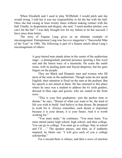When Elizabeth and I used to play Wiffleball, I would pitch and she would swing. I told her it was my responsibility to hit the bat with the ball. Once she had swung at least twenty times without making contact with the ball. Finally, in desperation and disgust, she said, "I need another pitcher; you can't hit the bat!" I was duly brought low for my failure to let her succeed. I have since done better.

The story of Eugene Lang gives us an ultimate example of encouragement. Entrepreneur Lang was *Success* magazine's "Successful Man of the Year" in 1986. The following is part of a feature article about Lang's encouragement of others:

> A gray-haired man stands alone in the center of the auditorium stage—a distinguished, paternal presence sporting a fine wool suit and the barest trace of a mustache. He scans the sunlit room, with its peeling paint and frayed draperies, but his gaze lingers on the people.

> They are Black and Hispanic men and women who fill most of the seats in the auditorium. Though some do not speak English, their attention is fixed on the man at the podium. But his speech is not aimed at them. He has returned to this place where he once was a student to address the 61 sixth graders, dressed in blue caps and gowns, who are seated in the front rows.

> "This is your first graduation—just the perfect time to dream," he says. "Dream of what you want to be, the kind of life you wish to build. And believe in that dream. Be prepared to work for it. Always remember, each dream is important because it is your dream, it is your future. And it is worth working for."

> "You must study," he continues. "You must learn. You must attend junior high school, high school, and then college. You can go to college. You must go to college. Stay in school and I'll …" The speaker pauses, and then, as if suddenly inspired, he blurts out: "I will give each of you a college scholarship."

For a second there is silence, and then a wave of emotion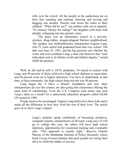rolls over the crowd. All the people in the auditorium are on their feet, jumping and running, cheering and waving and hugging one another. Parents rush down the aisles to their children. "What did he say?" one mother calls out in Spanish. "It's money! Money for college!" her daughter yells back with delight, collapsing into her parents' arms.

The place was an elementary school in a povertystricken, drug-ridden, despair-plagued Harlem neighborhood. The speaker was multimillionaire entrepreneur Eugene Lang, who 53 years earlier had graduated from that very school. The date was June 25, 1981, and the big question was whether the warm and ever-confident Lang, a man who believes that "each" individual soul is of infinite worth and infinite dignity," would fulfill his promise.

Well, he did and he still is. Of 61 graduates, 54 stayed in contact with Lang, and 90 percent of those achieved a high school diploma or equivalent, and 60 percent went on to higher education. You have to understand, at that time, in that community, the high school drop-out rate was 90 percent.

Lang began the "I Have a Dream" foundation and now other entrepreneurs all over the country are also going into classrooms offering the same kind of scholarships. Even the U.S. Congress took notice and used Lang's ideas as a model for a nationwide education program called GEAR UP started in 1998.

People need to be encouraged. Eugene Lang believed in these kids and it made all the difference in how they lived the rest of their lives. The article goes on to show Lang's impact:

> Lang's students speak confidently of becoming architects, computer experts, entrepreneurs of all types. Lang says 25 will go to college this year, the others will have high school diplomas, opportunities for vocational training and, eventually jobs. "This approach is exactly right," observes Charles Murray of the Manhattan Institute of Policy Research, whose book *Losing Ground* laments that poor people are losing their drive to climb the ladder of success.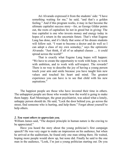Ari Alvarado expressed it from the students' side: "I have something waiting for me," he said, "and that's a golden feeling." And if this program works, it may in fact become the ultimate capitalist success story—for, as George Gilder points out, the roots of capitalism lie not in greed but in giving: The true capitalist is one who invests money and energy today in hopes of a return in the uncertain future. That's what Eugene Lang has done, and it's likely that some of his dream students will follow suit. "I want to become a doctor and do well so I can adopt a class of my own someday," says the optimistic Alvarado. "Just think, if all of us adopted classes … it could spread across the world!"

That is exactly what Eugene Lang hopes will happen: "We have to create the opportunity to work with hope, to work with ambition, and to work with self-respect. The rewards? There is no way to describe the joy of having a young person touch your arm and smile because you have taught him new values and touched his heart and mind. The greatest experience you can have is to see that child with his new aspirations."

The happiest people are those who have invested their time in others. The unhappiest people are those who wonder how the world is going to make them happy. Karl Menninger, the great psychiatrist, was asked what a lonely, unhappy person should do. He said, "Lock the door behind you, go across the street, find someone who is hurting, and help them." Forget about yourself to help others.

#### *2. You want others to appreciate you.*

William James said, "The deepest principle in human nature is the craving to be appreciated."

Have you heard the story about the young politician's first campaign speech? He was very eager to make an impression on his audience, but when he arrived at the auditorium, he found only one man sitting there. He waited, hoping more people would show up, but none did. Finally he said to the one man in the audience, "Look, I'm just a young politician starting out. Do you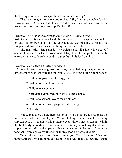think I ought to deliver this speech or dismiss the meeting?"

The man thought a moment and replied, "Sir, I'm just a cowhand. All I know is cows. Of course, I do know that if I took a load of hay down to the pasture and only one cow came up, I'd feed it!"

#### *Principle: We cannot underestimate the value of a single person.*

With the advice from the cowhand, the politician began his speech and talked on and on for two hours as the cowhand sat expressionless. Finally he stopped and asked the cowhand if the speech was all right.

The man said, "Sir, I am just a cowhand and all I know is cows. Of course, I do know that if I took a load of hay down to the pasture and only one cow came up, I surely wouldn't dump the whole load on him."

#### *Principle: Don't take advantage of people.*

J. C. Staehle, after analyzing many surveys, found that the principle causes of unrest among workers were the following, listed in order of their importance:

- 1. Failure to give credit for suggestions.
- 2. Failure to correct grievances.
- 3. Failure to encourage.
- 4. Criticizing employees in front of other people.
- 5. Failure to ask employees their opinions.
- 6. Failure to inform employees of their progress.
- 7. Favoritism.

Notice that every single item has to do with the failure to recognize the importance of the employee. We're talking about people needing appreciation. I try to apply this principle every time I meet a person. Within the first thirty seconds of conversation, I try to say something that shows I appreciate and affirm that person. It sets the tone of the rest of our time together. Even a quick affirmation will give people a sense of value.

Treat others as you want them to treat you. Treat them as if they are important; they will respond according to the way that you perceive them.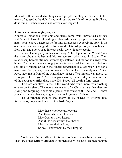Most of us think wonderful things about people, but they never know it. Too many of us tend to be tight-fisted with our praise. It's of no value if all you do is think it; it becomes valuable when you impart it.

#### *3. You want others to forgive you.*

Almost all emotional problems and stress come from unresolved conflicts and failure to have developed right relationships with people. Because of this, many people have a deep desire for total forgiveness. A forgiving spirit is the one basic, necessary ingredient for a solid relationship. Forgiveness frees us from guilt and allows us to interact positively with other people.

Earnest Hemingway, in his short story, "The Capital of the World," tells the story about a father and his teenage son who lived in Spain. Their relationship became strained, eventually shattered, and the son ran away from home. The father began a long journey in search of the lost and rebellious son, finally putting an ad in the Madrid newspaper as a last resort. His son's name was Paco, a very common name in Spain. The ad simply read: "Dear Paco, meet me in front of the Madrid newspaper office tomorrow at noon. All is forgiven. I love you." As Hemingway writes, the next day at noon in front of the newspaper office there were 800 "Pacos" all seeking forgiveness.

There are countless Pacos in the world who want more than anything else to be forgiven. The two great marks of a Christian are that they are giving and forgiving. Show me a person who walks with God, and I'll show you a person who has a giving heart and is forgiving of others.

The unfortunate truth is that many of us, instead of offering total forgiveness, pray something like this Irish Prayer:

> May those who love us, love us; And those who don't love us May God turn their hearts; And if He doesn't turn their hearts, May He turn their ankles, So we'll know them by their limping.

People who find it difficult to forgive don't see themselves realistically. They are either terribly arrogant or tremendously insecure. Though hanging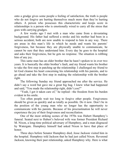onto a grudge gives some people a feeling of satisfaction, the truth is people who do not forgive are hurting themselves much more than they're hurting others. A person who possesses this characteristic and keeps score in relationships is a person who is emotionally wired to carry all the stress that goes with carrying grudges.

A few weeks ago I met with a man who came from a devastating background. His father had suffered a stroke and his mother had been in a serious accident; both are now unable to respond to him in any way. There are areas in this man's life in which he needs and wants his parents' forgiveness, but because they are physically unable to communicate, he cannot be sure that they understand him. Every day he goes to the hospital and asks their forgiveness, but he gets no response. The situation is robbing him of any joy.

This same man has an older brother that he hasn't spoken to in over two years. It is basically the older brother's fault, and my friend wants his brother to take the first step in patching up the relationship. I challenged my friend to let God cleanse his heart concerning his relationship with his parents, and to go ahead and take the first step in making the relationship with the brother right.

The following Sunday my friend approached me after the service. He didn't say a word but gave me a great big hug. I knew what had happened and said, "You made the relationship right, didn't you?"

"Yeah, I got it taken care of," he replied—the freedom from his burden evident in his smile.

Too often people wait too long to forgive other people. Forgiveness should be given as quickly and as totally as possible. Do it now. Don't be in the position of the young man who no longer has the opportunity to communicate with his parents. Because of his procrastination he will never experience the joy of their forgiveness and reconciliation.

One of the most striking scenes of the 1970s was Hubert Humphrey's funeral. Seated next to Hubert's beloved wife was former President Richard M. Nixon, a long-time political adversary of Humphrey, and a man disgraced by Watergate. Humphrey himself had asked Nixon to have that place of honor.

Three days before Senator Humphrey died, Jesse Jackson visited him in the hospital. Humphrey told Jackson that he had just called Nixon. Reverend Jackson, knowing their past relationship, asked Humphrey why. Here is what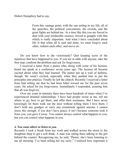Hubert Humphrey had to say,

From this vantage point, with the sun setting in my life, all of the speeches, the political conventions, the crowds, and the great fights are behind me. At a time like this you are forced to deal with your irreducible essence, forced to grapple with that which is really important. And what I have concluded about life is that when all is said and done, we must forgive each other, redeem each other, and move on.

Do you know how to die victoriously? Quit keeping score of the injustices that have happened to you. If you are at odds with anyone, take the first step; confront the problem and ask for forgiveness.

I received a letter from a pastor who, along with some of his laymen, heard me speak at a conference seven years ago. The laymen all became excited about what they had learned. The pastor put up a wall of defense, though. He wasn't excited, especially when they pushed him to put the principles into practice. Finally he left the church. Recently I received a letter from him telling me that he had been bitter toward me for the past seven years. He asked for my forgiveness. Immediately I responded, assuring him that all was forgiven.

Over my years in ministry there have been hundreds of times when I've experienced strained relationships. I have had people swear at me, tell me where to go, how to get there, and offer their assistance. But I have never knowingly let them walk out the door without telling them I love them. I don't hold any grudges or carry any resentment against anyone. I cannot stress this enough: if you don't have peace, it isn't because someone took it from you; you gave it away. You cannot always control what happens to you, but you can control what happens in you.

#### *4. You want others to listen to you.*

Recently I took a break from my work and walked across the street to the doughnut shop to get a soft drink. A man was sitting there talking to the girl behind the counter. Recognizing me, he said, "Pastor, she's been listening to me all morning. I've been telling her my story." I realized how important it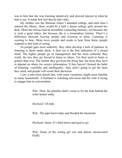was to him that she was listening attentively and showed interest in what he had to say. It made him feel that he had value.

My mother was the librarian where I attended college, and each time I entered the library, there would be a half a dozen college girls around her desk. Mom has always had an incredible counseling ministry, not because she is such a great talker, but because she is a tremendous listener. There's a difference between *hearing* people and *listening* to them. Listening is *wanting* to hear. Mom loves people and wants to hear from them; people respond to that kind of caring.

As people gain more authority, they often develop a lack of patience in listening to those under them. A deaf ear is the first indication of a closed mind. The higher people go in management and the more authority they wield, the less they are forced to listen to others. Yet their need to listen is greater than ever. The further they get from the firing line, the more they have to depend on others for correct information. If they haven't formed the habit of listening—carefully and intelligently—they aren't going to get the facts they need, and people will resent their decisions.

I saw a television sketch that, with some variations, might seem familiar in many households. A husband is watching television and his wife if trying to engage him in conversation:

> *Wife:* Dear, the plumber didn't come to fix the leak behind the water heater today.

*Husband:* Uh-huh.

*Wife:* The pipe burst today and flooded the basement.

*Husband:* Quiet. It's third down and goal to go.

*Wife:* Some of the wiring got wet and almost electrocuted Fluffy.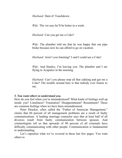*Husband:* Darn it! Touchdown.

*Wife:* The vet says he'll be better in a week.

*Husband:* Can you get me a Coke?

*Wife:* The plumber told me that he was happy that our pipe broke because now he can afford to go on vacation.

*Husband:* Aren't you listening? I said I could use a Coke!

*Wife:* And Stanley, I'm leaving you. The plumber and I are flying to Acapulco in the morning.

*Husband:* Can't you please stop all that yakking and get me a Coke? The trouble around here is that nobody ever listens to me.

#### *5. You want others to understand you.*

How do you feel when you're misunderstood? What kinds of feelings well up inside you? Loneliness? Frustration? Disappointment? Resentment? These are common feelings when we have been misunderstood.

Peter Drucker, often called the "Father of American Management," claims that 60 percent of all management problems are a result of faulty communications. A leading marriage counselor says that at least half of all divorces result from faulty communication between spouses. And criminologists tell us that upwards of 90 percent of all criminals have difficulty communicating with other people. Communication is fundamental to understanding.

Let's capsulize what we've covered in these last few pages. You want others to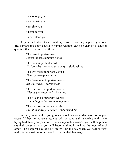- encourage you
- appreciate you
- forgive you
- listen to you
- understand you

As you think about these qualities, consider how they apply to your own life. Perhaps this short course in human relations can help each of us develop qualities that we admire in others:

> The least important word: *I* (gets the least amount done)

The most important word: *We* (gets the most amount done)—relationships

The two most important words: *Thank you*—appreciation

The three most important words: *All is forgiven*—forgiveness

The four most important words: *What is your opinion?*—listening

The five most important words: *You did a good job*—encouragement

The six most important words: *I want to know you better*—understanding

In life, you are either going to see people as your adversaries or as your assets. If they are adversaries, you will be continually sparring with them, trying to defend your position. If you see people as assets, you will help them see their potential, and you will become allies in making the most of each other. The happiest day of your life will be the day when you realize "we" really is the most important word in the English language.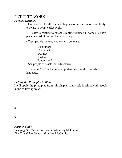# PUT IT TO WORK

# *People Principles*

• Our success, fulfillment, and happiness depends upon our ability to relate to people effectively.

• The key to relating to others is putting yourself in someone else's place instead of putting them in their place.

• Treat people the way you want to be treated:

Encourage Appreciate Forgive Listen Understand

• See people as assets, not adversaries.

• The word "we" is the most important word in the English language.

#### *Putting the Principles to Work*

I will apply the principles from this chapter to my relationships with people in the following ways:

1.

2.

3.

### *Further Study*

*Bringing Out the Best in People,* Alan Loy McGinnis *The Friendship Factor,* Alan Loy McGinnis.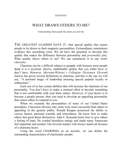#### CHAPTER 2

# <span id="page-21-0"></span>WHAT DRAWS OTHERS TO ME?

Understanding what people like about you and why

THE GREATEST LEADERS HAVE IT—that special quality that causes people to be drawn to their magnetic personalities. Extraordinary entertainers evidence this something extra. We all have the potential to develop this quality that makes the difference between personality and *personality plus.* What quality draws others to me? We can summarize it in one word: *charisma*.

Charisma can be a difficult subject to grapple with because most people think it is a mystical, elusive, undefinable quality that you either have or don't have. However, *Merriam-Webster's Collegiate Dictionary Eleventh Edition* has given several definitions to charisma, and this is the one we will use, "A personal magic of leadership arousing special popular loyalty or enthusiasm."

Each one of us has certain abilities that will increase the charisma of our personality. You don't have to make a strained effort to become something that is not comfortable with your basic nature. However, if your desire is to become a people person, then you need to develop an appealing personality that causes others to respond to you.

When we examine the personalities of some of our United States presidents, it becomes obvious why some were more successful than others in appealing to the general public. Ronald Reagan possessed the ability to convey humor, personal warmth, and relaxedness. He knew how to make others feel good about themselves. John F. Kennedy knew how to give others a feeling of hope. He exuded boundless energy and made many Americans feel important and needed. Our favorite leaders will always stand out because of a charisma factor.

Using the word CHARISMA as an acrostic, we can define the outstanding characteristics of charismatic people: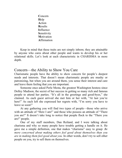**C**oncern **H**elp **A**ction **R**esults **I**nfluence **S**ensitivity **M**otivation **A**ffirmation

Keep in mind that these traits are not simply inborn; they are attainable by anyone who cares about other people and wants to develop his or her relational skills. Let's look at each characteristic in CHARISMA in more depth.

# Concern—the Ability to Show You Care

Charismatic people have the ability to show concern for people's deepest needs and interests. That doesn't mean charismatic people are mushy or patronizing, but when you are around them, you sense their interest and care and leave them feeling that you are important.

Someone once asked Perle Mesta, the greatest Washington hostess since Dolley Madison, the secret of her success in getting so many rich and famous people to attend her parties. "It's all in the greetings and good-byes," she claimed. As each guest arrived she met him or her with, "At last you're here!" As each left she expressed her regrets with, "I'm sorry you have to leave so soon!"

At any gathering you will find two types of people—those who arrive with an attitude of "Here I am!" and those who possess an attitude of "There" you are!" It doesn't take long to notice that people flock to the "There you are!" people.

One of my staff members, Dan Reiland, and I were talking about charisma and why so many people have trouble getting a handle on it. He gave me a simple definition, one that makes "charisma" easy to grasp: *Be more concerned about making others feel good about themselves than you are in making them feel good about you.* In other words, don't try to sell other people on you, try to sell them on themselves.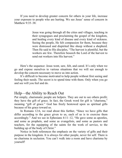If you need to develop greater concern for others in your life, increase your exposure to people who are hurting. We see Jesus' sense of concern in Matthew 9:35–38:

> Jesus was going through all the cities and villages, teaching in their synagogues and proclaiming the gospel of the kingdom, and healing every kind of disease and every kind of sickness. Seeing the people, He felt compassion for them, because they were distressed and dispirited like sheep without a shepherd. Then He said to His disciples, "The harvest is plentiful, but the workers are few. Therefore beseech the Lord of the harvest to send out workers into His harvest."

Here's the sequence: Jesus went, saw, felt, and cared. It's only when we go and expose ourselves to various situations that we will see enough to develop the concern necessary to move us into action.

It's difficult to become motivated to help people without first seeing and feeling their needs. The secret is to spend time with them. Only when you go and see will you feel and do.

# Help—the Ability to Reach Out

Put simply, charismatic people are helpers. They are out to see others profit; they have the gift of grace. In fact, the Greek word for gift is "charisma," meaning "gift of grace." God has freely bestowed upon us spiritual gifts because of his grace toward us.

In Romans 12:6, we read about this further, "Since we have gifts that differ according to the grace given to us, each of us is to exercise them accordingly." And we see in Ephesians 4:11–12, "He gave some as apostles, and some as prophets, and some as evangelists, and some as pastors and teachers, for the equipping of the saints for the work of service, to the building up of the body of Christ."

Notice in both references the emphasis on the variety of gifts and their purpose in the kingdom. It is always for other people, never for self. There is no charisma in seclusion. You can't walk into a room and have charisma by yourself!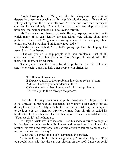People have problems. Many are like the beleaguered guy who, in desperation, went to a psychiatrist for help. He told the doctor, "Every time I get my act together, the curtain falls down." He needed more than mercy and concern; he needed help. You will find that it you are adept at solving problems, that will guarantee you a following forever.

My favorite cartoon character, Charlie Brown, displayed an attitude with which many of us can identify. He and Linus were talking about their problems. Linus said, "I guess it's wrong always to be worrying about tomorrow. Maybe we should think only about today."

Charlie Brown replied, "No, that's giving up. I'm still hoping that yesterday will get better."

What can you do to help people with their problems? First of all, encourage them to face their problems. Too often people would rather flee them, fight them, or forget them.

Second, encourage them to solve their problems. Use the following acrostic to teach yourself to help other people with difficulties.

**T** Tell them it takes *time*.

- **E** *Expose* yourself to their problems in order to relate to them.
- **A** *Assure* them of your confidence in them.
- **C** *Creatively* show them how to deal with their problems.
- **H** Offer *hope* to them through the process.

I love this old story about creative problem-solving. Mr. Myrick had to go to Chicago on business and persuaded his brother to take care of his cat during his absence. Mr. Myrick's brother was not a cat-lover, but he agreed to do it as a favor. When Mr. Myrick returned from his trip he called his brother to check on his cat. The brother reported in a matter-of-fact tone, "Your cat died," and he hung up.

For days Myrick was inconsolable. Then his sadness turned to anger at his brother for being so brutally honest and insensitive. He phoned his brother. "It was needlessly cruel and sadistic of you to tell me so bluntly that my poor cat had passed away."

"What did you expect me to do?" demanded the brother.

"You could have broken the news gradually," grumbled Myrick. "First you could have said that the cat was playing on the roof. Later you could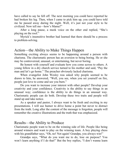have called to say he fell off. The next morning you could have reported he had broken his leg. Then, when I came to pick him up, you could have told me he passed away during the night. Well, it's just not your style to be civilized. Now tell me—how's Mama?"

After a long pause, a meek voice on the other end replied, "She's playing on the roof."

Myrick's insensitive brother had learned that there should be a process to problem-solving.

# Action—the Ability to Make Things Happen

Something exciting always seems to be happening around a person with charisma. The charismatic person has an aversion to being boring. He or she may be controversial, unusual, or entertaining, but never boring.

Be honest with yourself and evaluate how you come across to others. A young fellow in a dry church service turned to his mother and said, "Pay the man and let's go home." The preacher obviously lacked charisma.

When evangelist John Wesley was asked why people seemed to be drawn to him, he answered, "Well, you see, when you set yourself on fire, people just love to come and see you burn."

Do you want to increase your interest with other people? Develop your creativity and your confidence. Creativity is the ability to say things in an unusual way; confidence is the ability to do things in an unusual way. Charismatic people can do both. Develop these two traits and people will stand up and take notice.

As a speaker and pastor, I always want to be fresh and exciting in my presentations. I will use humor to drive home a point but never to distract from the truth. Long after the content of the message is forgotten, people will remember the creative illustrations and the truth that was emphasized.

# Results—the Ability to Produce

Charismatic people want to be on the winning side of life. People like being around winners and want to play on the winning team. A boy playing chess with his grandfather says, "Oh, no! Not again! Grandpa, you always win!"

Grandpa says, "What do you want me to do, lose on purpose? You won't learn anything if I do that!" But the boy replies, "I don't wanna learn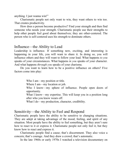anything. I just wanna win!"

Charismatic people not only want to win, they want others to win too. That creates productivity.

How does a person become productive? Find your strength and then find someone who needs your strength. Charismatic people use their strengths to help other people feel good about themselves; they are other-centered. The person who is self-centered uses his strength to dominate others.

# Influence—the Ability to Lead

Leadership is influence. If something new, exciting, and interesting is happening in your life, you will want to share it. In doing so, you will influence others and they will want to follow your lead. What happens *to you* speaks of your circumstances. What happens *in you* speaks of your character. And what happens *through you* speaks of your charisma.

Do you want to learn how to be a positive influence on others? Five factors come into play:

Who I am—my position or title.

Where I am—my location or job.

Who I know—my sphere of influence. People open doors of opportunity.

What I know—my expertise. This will keep you in a position long after who you know wears off.

What I do—my production, character, credibility.

# Sensitivity—the Ability to Feel and Respond

Charismatic people have the ability to be sensitive to changing situations. They are adept at taking advantage of the mood, feeling, and spirit of any situation. Most people have the ability to feel something, but they aren't sure how to react to it or express it. Charismatic people not only feel it, but they know how to react and express it.

Charismatic people find a cause; that's discernment. They also voice a concern; that's courage. And they draw a crowd; that's automatic.

In the late 1960s or early 1970s I watched a television documentary on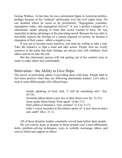George Wallace. At the time, he was a prominent figure in American politics, perhaps because of his "redneck" philosophy over the civil rights issue. No one doubted where he stood as he proclaimed, "Segregation yesterday, segregation today, and segregation forever!" It was a perfect example of a charismatic leader playing to what that crowd wanted to hear. He was masterful at taking advantage of the prevailing mood. Because he was able to forcefully express the feelings of a certain segment of society, he became a champion of their cause—albeit a negative one.

If you are to become more sensitive, you must be willing to take a risk. Take the initiative to find a need and take action. People who are overly sensitive to the point that their feelings are always hurt will withdraw from others and never take the risk.

But the charismatic person will risk getting out of his comfort zone in order to make others feel comfortable.

# Motivation—the Ability to Give Hope

The secret of motivating others is providing them with hope. People tend to feel more positive when they are following charismatic leaders. Let's take a look at some Bible people who offered hope:

> Isaiah, speaking of God, said, "I will do something new" (Isa. 43:19).

Jeremiah talked about a new law in their hearts (see Jer. 31:33).

Jesus spoke about being "born again" (John 3:3).

Paul called a Christian a "new creature" (2 Cor. 5:17).

John's vision recorded in Revelation spoke of "a new heaven and a new earth" (Rev. 21:1).

All of these dynamic leaders constantly waved hope before their people.

Do you convey hope or despair to those around you? Learn affirmation skills, problem-solving techniques, ways to verbally encourage others, and convey belief and support in others.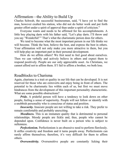# Affirmation—the Ability to Build Up

Charles Schwab, the successful businessman, said, "I have yet to find the man, however exalted his station, who did not do better work and put forth greater effort under a spirit of approval than under a spirit of criticism."

Everyone wants and needs to be affirmed for his accomplishments. A little boy playing darts with his father said, "Let's play darts. I'll throw and you say 'Wonderful!'" That's what the charismatic person does for others.

We tend to become what the most important person in our life thinks we will become. Think the best, believe the best, and express the best in others. Your affirmation will not only make you more attractive to them, but you will help play an important part in their personal development.

How do we affirm others? We first need to feel good about ourselves. Then we can verbally and actively believe in others and expect them to respond positively. People are our only appreciable asset. As Christians, we cannot afford not to affirm them. If I fail to affirm a brother, we both lose.

# Roadblocks to Charisma

Again, charisma is a trait or quality in our life that can be developed. It is not reserved for those who are extroverts and enjoy being in front of others. The potential to be charismatic lies within each of us, but first we must move hindrances from the development of this important personality characteristic. What are some possible obstructions?

*Pride.* A prideful person will have a tendency to look down on other people, feeling a sense of superiority. People will not follow or identify with a snobbish personality who is conscious of status and position.

*Insecurity*. Insecure people are not willing to take a risk. They prefer to remain comfortable and probably unexciting.

*Moodiness.* This is an immature quality that is detrimental to personal relationships. Moody people are fickle and, thus, people who cannot be depended upon. Confidence is never built on a person who is subject to sullenness.

*Perfectionism.* Perfectionism is an obsessive need to perform flawlessly. It stifles creativity and freedom and it turns people away. Perfectionists can rarely affirm themselves; therefore, it's very difficult for them to affirm others.

**Oversensitivity.** Oversensitive people are constantly licking their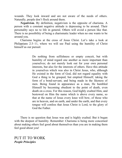wounds. They look inward and are not aware of the needs of others. Naturally, people don't flock around them.

*Negativism.* By definition, negativism is the opposite of charisma. A person with a constant negative attitude is depressing to be around. Their personality says no to life in general. Others will avoid a person like that. There is no possibility of being a charismatic leader when no one wants to be around you.

Charisma begins at the cross of Jesus Christ. Let's take a look at Philippians 2:3–11, where we will see Paul using the humility of Christ himself as our pursuit:

> Do nothing from selfishness or empty conceit, but with humility of mind regard one another as more important than yourselves; do not merely look out for your own personal interests, but also for the interests of others. Have this attitude in yourselves which was also in Christ Jesus, who, although He existed in the form of God, did not regard equality with God a thing to be grasped, but emptied Himself, taking the form of a bond-servant, and being made in the likeness of men. Being found in appearance as a man, He humbled Himself by becoming obedient to the point of death, even death on a cross. For this reason, God highly exalted Him, and bestowed on Him the name which is above every name, so that at the name of Jesus every knee will bow, of those who are in heaven, and on earth, and under the earth, and that every tongue will confess that Jesus Christ is Lord, to the glory of God the Father.

There is no question that Jesus was and is highly exalted. But it began with the deepest of humility. Remember: Charisma is being more concerned about making others feel good about themselves than you are in making them feel good about you!

PUT IT TO WORK *People Principles*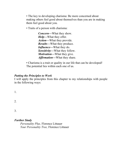• The key to developing charisma: Be more concerned about making others feel good about themselves than you are in making them feel good about you.

• Traits of a person with charisma:

*Concern—*What they show. *Help—*What they offer. *Action—*What they provide. *Results—*What they produce. *Influence—*What they do. *Sensitivity—*What they follow. *Motivation—*What they give. *Affirmation—What they share.* 

• Charisma is a trait or quality in our life that can be developed! The potential lies within each one of us.

#### *Putting the Principles to Work*

I will apply the principles from this chapter to my relationships with people in the following ways:

1.

2.

3.

#### *Further Study*

*Personality Plus,* Florence Littauer *Your Personality Tree,* Florence Littauer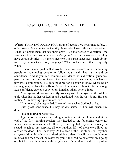#### CHAPTER 3

# <span id="page-31-0"></span>HOW TO BE CONFIDENT WITH PEOPLE

Learning to feel comfortable with others

WHEN I'M INTRODUCED TO A group of people I've never met before, it only takes a few minutes to identify those who have influence over others. What is it about them that sets them apart? Is it their sense of direction—the assurance that they know where they're going? Is it an awareness that they have certain abilities? Is it their sincerity? Their past successes? Their ability to use eye contact and body language? What do they have that everybody wants?

If there is one quality that would make you successful in motivating people or convincing people to follow your lead, that trait would be confidence. And if you can combine confidence with direction, guidance, past success, or some of these other motivational mechanics, you have a powerful combination. It is quite possible for a person to know where he or she is going, yet lack the self-confidence to convince others to follow along. Self-confidence carries a conviction; it makes others believe in us.

A five-year-old boy was intently working with his crayons at the kitchen table when his mother walked in and questioned what he was doing. Her son replied, "I'm drawing a picture of God."

"But honey," she responded, "no one knows what God looks like."

With great confidence the boy boldly stated, "They will when I'm done."

I like that kind of positivity.

A group of pastors was attending a conference at our church, and at the end of the first morning session, they headed to the fellowship center for lunch. Several minutes later I followed, expecting that they would already be seated. Much to my surprise, all one hundred fifty of them were lined up outside the door. Then I saw why. At the head of the line stood Joel, my then six-year-old, with both hands raised, giving orders. "It will be a couple more minutes and then they'll be ready for you!" Joel had no clue what was going on, but he gave directions with the greatest of confidence and these pastors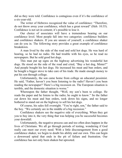did as they were told. Confidence is contagious even if it's the confidence of a six-year-old.

The writer of Hebrews recognized the value of confidence: "Therefore, do not throw away your confidence, which has a great reward" (Heb. 10:35). Confidence is not set in cement; it's possible to lose it.

Our choice of associates will have a tremendous bearing on our confidence level. Most people fall into two categories: confidence builders and confidence shakers. If you are unsure of yourself, a confidence shaker can do you in. The following story provides a great example of confidence breakdown.

A man lived by the side of the road and sold hot dogs. He was hard of hearing, so he had no radio. He had trouble with his eyes, so he read no newspapers. But he sold good hot dogs.

This man put up signs on the highway advertising his wonderful hot dogs. He stood on the side of the road and cried, "Buy a hot dog, Mister?" And people bought his hot dogs. He increased his meat and bun orders, and he bought a bigger stove to take care of his trade. He made enough money to put his son through college.

Unfortunately, the son came home from college an educated pessimist. He said, "Father, haven't you been listening to the radio? Haven't you been reading the newspaper? There's a big recession on. The European situation is terrible, and the domestic situation is worse."

Whereupon the father thought, "Well, my son's been to college. He reads the paper and he listens to the radio; he ought to know." So the father cut down his meat and bun orders, took down his signs, and no longer bothered to stand out on the highway to sell his hot dogs.

Of course, his sales fell overnight. "You're right, son," the father said to the boy. "We certainly are in the middle of a big recession."

Confidence shakers see the negative side of everything. When they get you to buy into it, the very thing that was helping you be successful becomes your downfall.

Unfortunately, the negative process can and too often does happen in the lives of Christians. We all go through periods of testing, wondering if God really can meet our every need. With a little discouragement from a good confidence shaker, we begin to doubt his ability and our own. This can begin a downward spiral that ends in the pit of failure and frustration. Our confidence has not only been shaken but uprooted.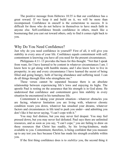The positive message from Hebrews 10:35 is that our confidence has a great reward. If we keep it and build on it, we will be more than recompensed. Confidence in oneself is the cornerstone to success. It is difficult for those who do not believe in themselves to have much faith in anyone else. Self-confidence breeds confidence in others, much like a boomerang that you cast out toward others, only to find it comes right back to you.

# Why Do You Need Confidence?

Just why do you need confidence in yourself? First of all, it will give you stability in every area of your life. Confidence equals contentment with self; contentment is knowing you have all you need for the present circumstances.

Philippians 4:11–13 provides the basis for this thought. "Not that I speak from want, for I have learned to be content in whatever circumstances I am. I know how to get along with humble means, and I also know how to live in prosperity; in any and every circumstance I have learned the secret of being filled and going hungry, both of having abundance and suffering need. I can do all things through Him who strengthens me."

These verses cannot be separated because there is an absolute relationship between experiencing life's lows and enjoying its highs. The apostle Paul is resting on the assurance that his strength is in God alone. He understood that confidence and contentment gave him stability in every situation he encountered in his tumultuous life.

Contentment is taking your present situation—whatever obstacles you are facing, whatever limitation you are living with, whatever chronic condition wears you down, whatever has smashed your dreams, whatever factors and circumstances in life tend to push you under—and admitting you don't like it but never saying, "I can't cope with it."

You may feel distress, but you may never feel despair. You may feel pressed down, but you may never feel defeated. Paul says there are unlimited resources, and as soon as you say, "I can't cope," you are failing to draw on these resources that Christ has readily, by his loving-kindness, made available to you. Contentment, therefore, is being confident that you measure up to any test you face because Christ has made his strength available within you.

If the first thing confidence does is to *stabilize* you, the second thing it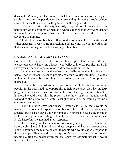does is to *stretch* you. The moment that I have my foundation strong and stable, I am then in position to begin stretching. Insecure people seldom stretch because they are not willing to live on the edge of life.

Helen Keller said, "Security is mostly a superstition. It does not exist in nature, nor do the children of men as a whole experience it. Avoiding danger is no safer in the long run than outright exposure. Life is either a daring adventure or nothing."

Think about a rubber band. It is totally useless unless it is stretched. When insecurity keeps us from stretching and growing, we end up with a life that is as unexciting and useless as a limp rubber band.

# Confidence Helps You as a Leader

Confidence helps a leader to believe in other people. Don't we see others as we see ourselves? Show me a leader who believes in other people, and I will show you a leader who has a lot of confidence in his or her life.

An insecure leader, on the other hand, believes neither in himself or herself nor in others. Insecure people are afraid to risk building up others with compliments, because they are constantly in need of compliments themselves.

Here's a classic illustration of how confidence helps to build up other people. In the past I had the opportunity to help pastors develop lay ministry programs in their churches. Prior to the time of challenge and recruitment of laymen, I would meet with the pastor to ask how many he thought would respond to the commitment. After a lengthy reflection he would give me a conservative number.

Each time, with great confidence, I would assure him there would be many more who would respond. I was always right and the pastor was always amazed. Each pastor gave a lower number of responses because he mentally ranked every person according to how he perceived each one's commitment level. Therefore, he assumed a low response.

The moment you place a label on someone, you begin to treat him or her accordingly. Since I didn't know these people and had no preconceived labels, I assumed them all to be quality people who would eagerly respond to the challenge. They could sense my confidence in them and responded positively. Had the pastor given the challenge, his estimate probably would have been the correct one.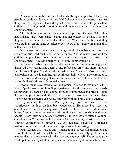A leader with confidence is a leader who brings out positive changes in people. A study conducted at Springfield College in Massachusetts illustrates this point. The experiment was designed to determine the effects upon school children of having to do continuous and monotonous work without any encouragement.

The children were told to draw a detailed picture of a man. When they had finished, they were asked to draw another picture of a man. This one, they were told, should be better than their first. When they had finished, they were again given the same colorless order: "Now draw another man, this time better than the last."

No matter how poor their drawings might have been, no one was scolded or criticized for his or her performance. And no matter how well the children might have done, none of them were praised or given any encouragement. They were merely told to draw another picture.

You can probably guess the results. Some of the children got angry and displayed their resentment openly. One refused to draw any more; another said he was "trapped" and called the instructor a "meanie." Most, however, just looked angry, said nothing, and continued their joyless, unrewarding toil.

Each of the drawings got worse and worse, instead of better and better, as the children had been told to make them.

People must have affirmation and praise in order to maintain a high level of performance. Withholding negative or critical comments is not nearly as important as giving positive input through compliments and praise. Again, the only people who can do this are those who feel positive about themselves. Work plus praise increases energy, but work without praise drains energy.

If you study the life of Paul, you may note he uses the word "confidence" in three distinct but related ways. Six times Paul refers to confidence in his relationship with Christ, six times to his confidence in himself, and six times he mentions his confidence in relationships with other people. There must be a balance because all three areas are related. Without confidence in Christ we could be tempted to become egocentric and cocky. Without confidence in ourselves we are defeated, powerless Christians. Without confidence in others we are suspicious and untrusting.

Paul learned this lesson, and it made him a successful motivator and servant of the Lord Jesus Christ. You cannot consistently perform in a manner that is inconsistent with the way you see yourself. The price tag the world puts on us is just about identical to the one we put on ourselves. Self-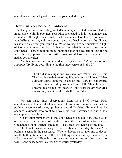confidence is the first great requisite to great undertakings.

# How Can You Become Confident?

Establish your worth according to God's value system. God demonstrated our importance to him in two great acts. First he created us in his own image, and second he—through Jesus Christ—died for our sins. God thought so much of you, believed in you, and saw you as a person of such worth, that he allowed his son to die so that you could live. When we begin to see ourselves in light of God's actions on our behalf, then we immediately begin to have more confidence. There is nothing more humbling than the realization that if you were the only person on this earth, Jesus would have died for you. That makes you priceless.

Another way we become confident is to *focus on God and not on our situation.* Try living according to the first three verses of Psalm 27:

> The Lord is my light and my salvation; Whom shall I fear? The Lord is the defense of my life; Whom shall I dread? When evildoers came upon me to devour my flesh, my adversaries and my enemies, they stumbled and fell. Though a host encamp against me, my heart will not fear; though war arise against me, in spite of this I shall be confident.

We can make three observations from these brief verses. First, confidence is not the result of an absence of problems. It is very clear that the psalmist encountered many problems and difficulties. He mentions his enemies, evildoers who want to devour his flesh, adversaries, and a host encamping around him.

Observation number two is that confidence is a result of trusting God in our problems. In the midst of his difficulties, the psalmist kept focusing on God and not on his difficult situation. "The Lord is the defense of my life."

Third, victories yesterday give more confidence for today. In verse 2 the psalmist speaks in the past tense. "When evildoers came upon me to devour my flesh, they stumbled and fell." He's talking about yesterday. In verse 3, he talks about today: "Though a host encamp against me, my heart will not fear." Confidence today is a result of victories yesterday.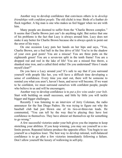Another way to develop confidence that convinces others is to *develop friendships with confident people.* The old cliché is true: Birds of a feather *do* flock together. A big man is one who makes us feel bigger when we are with him.

Many people are doomed to suffer from the "Charlie Brown complex." It seems that Charlie Brown just can't do anything right. But notice that one of his problems is the fact that Lucy is always around him. Lucy does not make it any better for Charlie Brown because she is always quick to point out the error of his ways.

On one occasion Lucy puts her hands on her hips and says, "You, Charlie Brown, are a foul ball in the line drive of life! You're in the shadow of your own goal posts! You are a miscue! You are three putts on the eighteenth green! You are a seven-ten split in the tenth frame! You are a dropped rod and reel in the lake of life! You are a missed free throw, a shanked nine iron, and a called third strike! Do you understand? Have I made myself clear?"

Do you have a Lucy around you? It's safe to say that if you surround yourself with people like her, you will have a difficult time developing a sense of confidence. Every time you start out, there will be someone to remind you what you aren't, haven't been, and never will become. If we want to be confident, we must surround ourselves with confident people, people who believe in us and will be encouragers.

Another way to develop confidence is to *put a few wins under your belt*. Start with building on small successes, and little by little you will tackle bigger and bigger challenges.

Recently I was listening to an interview of Jerry Coleman, the radio announcer for the San Diego Padres. He was trying to figure out why the baseball club had just blown one of its two-or-three-run leads. He commented, "You can tell by the way they're playing they have lost confidence in themselves. They have almost set themselves up for something to go wrong."

A few successful victories under your belt gives you the impetus to keep stretching your abilities. If you keep winning, you may see yourself as a nolimits person. Repeated failures produce the opposite effect. You begin to see yourself as a hopeless loser. The best way to develop rational, well-balanced confidence is to go after a few victories immediately following a failure. Don't allow yourself the luxury of wallowing in self-pity.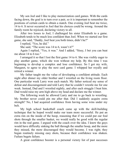My son Joel and I like to play memorization card games. With the cards facing down, the goal is to turn over a pair, so it is important to remember the positions of certain cards to obtain a match. One evening Joel beat me twice, 14 to 6. It never occurred to Joel that his choices could be wrong. Around the family room he rejoiced, declaring victory to all.

After two losses to Joel, I challenged his sister Elizabeth to a game. Elizabeth tends to be much less confident than Joel. When we started our first game, she said, "Daddy, Joel beat you both times, didn't he?"

I replied, "Yes, he did."

She said, "The score was 14 to 6, wasn't it?"

Again I replied, "Yes, it was." And I added, "Sissy, I bet you can beat me about 14 to 6 too."

I arranged it so that I lost the first game 14 to 6. She was visibly eager to play another game, which she won without my help. By this time I was beginning to develop a complex and lose confidence. So I got my wife, Margaret, to agree to play the next card game. I whipped her royally and retired a winner.

My father taught me the value of developing a confident attitude. Each night after dinner my older brother and I wrestled on the living room floor. One particular week Larry won each match. My father noticed my sense of defeat and discouragement and told Larry that he couldn't wrestle me for one week. Instead, Dad and I wrestled nightly, and after each struggle I beat him. Dad would raise my arm high above my head and declare me the winner.

The following week he allowed Larry and me to go back to wrestling. My brother never could pin me after that. Did I suddenly acquire extra strength? No, I had acquired confidence from having some wins under my belt.

My high school basketball coach came up with the skill-building technique that he hoped would make our team more successful. He put an extra rim on the inside of the hoop, reasoning that if we could put our foul shots through the smaller basket, we would really be good with the regular rim in the real game. I argued with the coach over the idea. I knew the guys would have difficulty sinking the ball through the smaller hoop, and the more they missed, the more discouraged they would become. I was right; they began routinely missing easy shots, because their confidence was shaken. Failure begets failure.

A great confidence booster is a personal victory list of past successes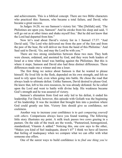and achievements. This is a biblical concept. There are two Bible characters who practiced this: Samson, who became a total failure, and David, who became a great success.

In Judges 16:20, we see Samson's victory list: "She [Delilah] said, 'The Philistines are upon you, Samson!' And he awoke from his sleep and said, 'I will go out as at other times and shake myself free.' But he did not know that the Lord had departed from him."

Now let's read about David's victory list in 1 Samuel 17:37: "And David said, 'The Lord who delivered me from the paw of the lion and from the paw of the bear, He will deliver me from the hand of this Philistine.' And Saul said to David, 'Go, and may the Lord be with you.'"

There are two strong similarities between these two men. They both were chosen, ordained, and anointed by God, and they were both leaders of Israel at a time when Israel was battling against the Philistines. But this is where it stops; Samson and David also had three distinct differences. These differences made one a winner and one a loser.

The first thing we notice about Samson is that he wanted to please himself. He lived life in the flesh, depended on his own strength, and felt no need to rely upon God, even when going into battle. He chose the road that always leads to ultimate defeat. Unlike Samson, David desired to please God. He knew that, left to his own resources, he was already defeated. So he called upon the Lord and went to battle with divine help. His weakness became God's strength and he was assured of victory.

Samson's alienation from God not only led to his defeat, it ended his leadership. For David, however, this episode with Goliath was the beginning of his leadership. It was the incident that brought him into a position where God could greatly use him. Victory lists should give us confidence, not cockiness.

Another way to increase your confidence is to *quit comparing yourself with others.* Comparisons always leave you found wanting. The following little story illustrates my point. A milk truck passes two cows grazing in a pasture. On the side of the truck are the words, "Pasteurized, homogenized, standardized, Vitamin A added." Noticing this, one cow says to the other, "Makes you kind of feel inadequate, doesn't it?" I think we have all known that feeling of inadequacy when we compare what we can offer with what someone else offers.

One of the surest ways to build confidence is to *find one thing you're*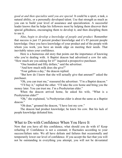*good at and then specialize until you are special.* It could be a sport, a task, a natural ability, or a personally developed talent. Use that strength as much as you can to build your level of assurance and specialization. A successful leader knows that he helps his followers most by helping them discover their special giftedness, encouraging them to develop it, and then discipling them to use it.

Also, *begin to develop a knowledge of people and product.* Remember that success is just 15 percent product knowledge and it's 85 percent people knowledge. Once you have knowledge of your product and of the people with whom you work, you have an inside edge on meeting their needs. That inevitably raises your confidence.

Here is a humorous old story that points out the importance of knowing who you're dealing with. A Baptist deacon had advertised a cow for sale. "How much are you asking for it?" inquired a prospective purchaser.

"One hundred and fifty dollars," said the advertiser.

"And how much milk does she give?"

"Four gallons a day," the deacon replied.

"But how do I know that she will actually give that amount?" asked the purchaser.

"Oh, you can trust me," reassured the advertiser. "I'm a Baptist deacon."

"I'll buy it," replied the other. "I'll take the cow home and bring you the money later. You can trust me. I'm a Presbyterian elder."

When the deacon arrived home, he asked his wife, "What is a Presbyterian elder?"

"Oh," she explained, "a Presbyterian elder is about the same as a Baptist deacon."

"Oh dear," groaned the deacon, "I have lost my cow."

The deacon had product knowledge; he knew his cow. But his lack of people knowledge defeated him.

## What to Do with Confidence When You Have It

Now that you have all this confidence, what should you do with it? Keep refueling it! Confidence is not a constant; it fluctuates according to your success/failure ratio. We all have defeats and failures that occasionally and temporarily lower our level of confidence. If you accept the fact that you will not be outstanding in everything you attempt, you will not be devastated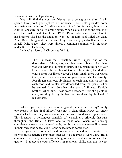when your best is not good enough.

You will find that your confidence has a contagious quality. It will spread throughout your sphere of influence. The Bible provides some interesting examples of "confidence contagion." For instance, how many giant-killers were in Saul's army? None. When Goliath defied the armies of God, they quaked with fear (1 Sam. 17:11). David, who came to bring food to his brothers, sized up the situation, went out in faith, and killed the giant. After David the giant-killer became king, how many giant-killers arose in Israel? Quite a few. They were almost a common commodity in the army under David's leadership.

Let's take a look at 1 Chronicles 20:4–8:

Then Sibbecai the Hushathite killed Sippai, one of the descendants of the giants, and they were subdued. And there was war with the Philistines again, and Elhanan the son of Jair killed Lahmi the brother of Goliath the Gittite, the shaft of whose spear was like a weaver's beam. Again there was war at Gath, where there was a man of great stature who had twentyfour fingers and toes, six fingers on each hand and six toes on each foot; and he also was descended from the giants. When he taunted Israel, Jonathan, the son of Shimea, David's brother, killed him. These were descended from the giants in Gath, and they fell by the hand of David and by the hand of his servants.

Why do you suppose there were no giant-killers in Saul's army? Surely one reason is that Saul himself was not a giant-killer. However, under David's leadership they were numerous, because David was a giant-killer. This illustrates a tremendous principle of leadership, a principle that runs throughout the Bible—it takes one to make one! When you develop confidence, those around you—friends, family, and associates—will increase in their own confidence levels. Confidence breeds confidence.

Everyone needs to be affirmed both as a person and as a coworker. It's easy to give a generic compliment such as "You're great to work with." But a comment that really means something is specific and mentions a certain quality: "I appreciate your efficiency in relational skills, and this is very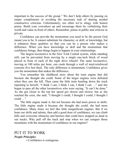important to the success of the group." We don't help others by passing on empty compliments or avoiding the necessary task of sharing needed constructive criticism. Unfortunately, too often we're stingy with honest praise. Build your coworkers up and encourage them by verbalizing their worth and value in front of others. Remember, praise in public and criticize in private.

Confidence can provide the momentum you need to be the person God meant you to be. It cannot substitute for character, or skill, or knowledge, but it enhances these qualities so that you can be a person who makes a difference. When you have knowledge or skill and the momentum that confidence brings, then things begin to happen in your relationships.

The largest locomotive in the New York Central system, while standing still, can be prevented from moving by a single one-inch block of wood placed in front of each of the eight drive wheels! The same locomotive, moving at 100 miles per hour, can crash through a wall of steel-reinforced concrete five feet thick. The only difference is momentum. Confidence gives you the momentum that makes the difference.

You remember the childhood story about the train engine that did because she thought she could. Some of the larger engines were defeated when they saw the hill. Then came the little train hustling down the track repeating to herself, "I think I can, I think I can, I think I can …" and she began to pass all the other locomotives who were saying, "It can't be done." As she got closer to the top her speed got slower and slower, but as she reached the crest, she said, "I thought I could, I thought I could, I thought I could …"

The little engine made it, but not because she had more power or skills. The little engine made it because she thought she could; she had more confidence. Many times we feel like little insignificant engines. But if we hone our skills and talents, then add a good dose of confidence, we can climb hills and overcome obstacles and barriers that could have stopped us dead in our tracks. Why pull off the track and stop when we can conquer those mountains with the momentum of confidence in our engines?

# PUT IT TO WORK

#### *People Principles*

• Confidence is contagious.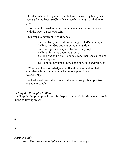• Contentment is being confident that you measure up to any test you are facing because Christ has made his strength available to you.

• You cannot consistently perform in a manner that is inconsistent with the way you see yourself.

- Six steps to developing confidence:
	- 1) Establish your worth according to God's value system.
	- 2) Focus on God and not on your situation.
	- 3) Develop friendships with confident people.

4) Put a few wins under your belt.

5) Find one thing you're good at and then specialize until you are special.

6) Begin to develop a knowledge of people and product.

• When you have knowledge or skill and the momentum that confidence brings, then things begin to happen in your relationships.

• A leader with confidence is a leader who brings about positive change in people.

#### *Putting the Principles to Work*

I will apply the principles from this chapter to my relationships with people in the following ways:

1.

2.

3.

#### *Further Study*

*How to Win Friends and Influence People,* Dale Carnegie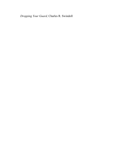*Dropping Your Guard,* Charles R. Swindoll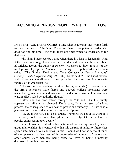#### CHAPTER 4

### BECOMING A PERSON PEOPLE WANT TO FOLLOW

Developing the qualities of an effective leader

IN EVERY AGE THERE COMES a time when leadership must come forth to meet the needs of the hour. Therefore, there is no potential leader who does not find his time. Tragically, there are times when no leader arises for that hour.

Why should there ever be a time when there is a lack of leadership? And if there are not enough leaders to meet the demand, what can be done about it? Michael Korda, the author of *Power!,* was asked to draw up a list of the most powerful people in America. His findings were published in an article called, "The Gradual Decline and Total Collapse of Nearly Everyone" (*Family Weekly Magazine,* Aug. 29, 1982). Korda said, "… the list of movers and shakers is not at all easy to draw up. In fact, there are very few powerful figures left in American life.

"Not so long ago teachers ran their classes; generals (or sergeants) ran the army; policemen were feared and obeyed; college presidents were respected figures, remote and awesome … and so on down the line. America was, in effect, ruled by authority figures."

Unless one has been asleep through the '60s and '70s it is surely apparent that all this has changed. Korda says, "It is the result of a long process, the consequence of our fear of power and authority.…" Two whole generations have turned against the very idea of power.

"Power, it was felt, had led to abuse. Therefore we could do without it … not only could, but must. Everything must be subject to the will of the people, expressed in open debate."

Lack of trust in leadership has a tremendous bearing on all types of group relationships. It is conceivable that this distrust of authority figures has spread into many of our churches. In fact, it could well be the cause of much of the upheaval that has resulted in unprecedented numbers of pastors and other church staff members being asked to leave or being summarily dismissed from their positions.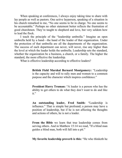When speaking at conferences, I always enjoy taking time to share with lay people as well as pastors. One active layperson, speaking of a situation in his church remarked to me, "No one seems to be in charge. No one seems to be accountable." Perhaps no other statement better reflects the frustration of good churchmen. They're taught to shepherd and love, but very seldom how to lead the flock.

I teach the principle of the "leadership umbrella." Imagine an open umbrella held by a hand—the hand of the leader of that organization. Under the protection of that umbrella are all the departments of the organization. The success of each department can never, will never, rise any higher than the level at which the leader holds the umbrella. Leadership sets the standard, whether the organization be a business, a church, or a family. The higher the standard, the more effective the leadership.

What is effective leadership according to effective leaders?

**British Field Marshal Bernard Montgomery:** "Leadership is the capacity and will to rally men and women to a common purpose and the character which inspires confidence."

**President Harry Truman:** "A leader is a person who has the ability to get others to do what they don't want to do and like it."

**An outstanding leader, Fred Smith:** "Leadership is influence." That is simple but profound; a person may have a position of leadership, but if he is not affecting the thoughts and actions of others, he is not a leader.

**From the Bible** we learn that true leadership comes from serving others. And in Matthew 15:14 we read, "If a blind man guides a blind man, both will fall into a pit."

**My favorite leadership proverb is this:** "He who thinketh he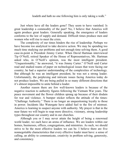leadeth and hath no one following him is only taking a walk."

Just where have all the leaders gone? They seem to have vanished. Is great leadership a commodity of the past? No, I believe that America will again produce great leaders. Generally speaking, the emergence of leaders conforms to the law of supply and demand. Difficult times produce men and women who will rise to meet the crisis.

The complexity of our times hinders the rise of leadership. Perhaps we have become too analytical to take decisive action. We may be spending too much time studying our problems and not enough time solving them. A good case-in-point is President Jimmy Carter. When David Hartman interviewed Tip O'Neill, retired Speaker of the House of Representatives, Mr. Hartman asked who, in O'Neill's opinion, was the most intelligent president. "Unquestionably," he answered, "it was Jimmy Carter." O'Neill said Carter read and studied reams of paper on technological issues that were facing our country; he had a superior understanding of the complexities of technology. But although he was an intelligent president, he was not a strong leader. Unfortunately, the perplexing and intricate issues facing America today do not produce leaders. We are being pulled in so many different directions that it's almost impossible to unite behind a leader.

Another reason there are few well-known leaders is because of the negative reaction to authority figures following the Vietnam War years. The peace movement and the flower children sprang up because of their disdain for war and violence. A bumper sticker reflects the attitude of the times: "Challenge Authority." There is no longer an unquestioning loyalty to those in power. Incidents like Watergate have added fuel to the fire of mistrust. America is learning to suspect anyone with authority. My prayer is that in the near future we will begin to reap more directive, visionary, strong leadership types throughout our country and in our churches.

Although you or I may never attain the height of being a renowned world leader, we each have an arena of influence. We are leaders within our homes, businesses, offices, congregations, and ministries. As such, we should strive to be the most effective leaders we can be. I believe there are five nonnegotiable characteristics that every effective leader must have: a sense of calling, an ability to communicate, creativity in problem solving, generosity, and consistency.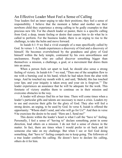# An Effective Leader Must Feel a Sense of Calling

True leaders feel an inner urging to take their positions; they feel a sense of responsibility. I believe that the moment a father and mother see their newborn child they experience a strong calling to be godly examples to that precious new life. For the church leader or pastor, there is a specific calling from God; a deep, innate feeling or desire that causes him to do what he is called to perform. For the business leader, there is an urging to rise to the challenge, to take the helm and move forward.

In Isaiah 6:1–9 we find a vivid example of a man specifically called by God. In verses 1–5, Isaiah experiences a discovery of God and a discovery of himself. He becomes overwhelmed by the grandness and glory of God himself within the holy temple, contrasted by his own unworthiness and uncleanness. People who are called discover something bigger than themselves: a mission, a challenge, a goal, or a movement that draws them into an arena.

When a person feels set apart to lead, he should also sense a strong feeling of victory. In Isaiah 6:6–7 we read, "Then one of the seraphim flew to me with a burning coal in his hand, which he had taken from the altar with tongs. And he touched my mouth with it, and said, 'Behold, this has touched your lips; and your iniquity is taken away and your sin is forgiven.'" The leader experiences an assurance that he will be adequate for the work. This foretaste of victory enables them to continue on in their mission and overcome obstacles in the way.

A leader will always find his or her time. There will come times when a leader's particular gifts and talents are necessary to meet a crisis. Leaders try to use and exercise their gifts for the glory of God. They also will feel a strong desire, an urging, to be used by God. In verse 8, Isaiah is offered the opportunity: "Whom shall I send, and who will go for Us?" And then in verse 9 he exercises the desire to be used: "Here am I. Send me!"

This desire within the leader's heart is what I call the "have to" feeling. Personally, I feel a sense of "having to" declare something, point in some direction, lead others on a mission. I do not feel a sense of choice in the matter. In fact, there are times when I would prefer to sit back and let someone else take on my challenge. But when I see or feel God doing something, that "have to" feeling compels me to keep going. The followers of a true leader confirm his calling. He doesn't have to declare his calling, others do it for him.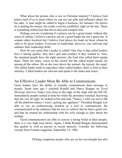What about the person who is not in Christian ministry? I believe God places each of us in areas where we can use our gifts and influence others for his sake. A man might be called to begin a business, for instance. He knows he is putting his money, his credit, even his credibility right on the line. There is something within him that drives him and compels him.

Perhaps you are wondering if a person can be a great leader without this sense of calling. I believe a person can be a good leader but not a great one. It sounds rather mystical but I believe God places his hand on those whom he calls to be great leaders. Everyone in leadership, however, can cultivate and enhance their leadership skills.

How do you sense that a leader is called? One clue is that called leaders have a lasting quality; they don't quit and couldn't if they wanted to. Also, the anointed people have the right answers; the God who called them equips them. There are many voices in the crowd, but the called leader stands out among all the others. He or she rises above the normal, the typical, the usual. The called leader tends to reproduce other called leaders; there is fruit in their ministry. Called leaders are relevant and speak to the times and issues.

## An Effective Leader Must Be Able to Communicate

Great leaders have the ability to visually communicate their message to people. Some time ago I watched Ronald and Nancy Reagan on *Good Morning America*. Nancy was close to the edge of the stage and she fell off. Immediately people rushed to help her while the president watched. Knowing that she was all right, he looked at her and said, "Nancy, I told you not to fall off the platform unless I wasn't getting any applause." President Reagan was able to use an embarrassing incident as a tool to communicate. He communicated to the audience that he was in control, that he had a quick wit, and that he trusted his relationship with his wife enough to joke about her mishap.

Good communicators are able to convey a strong belief in their people; there is a very high trust factor. Again, I think Ronald Reagan demonstrated this quality as well as anyone in recent memory. Consider the following excerpt from Fortune magazine, September 15, 1986:

Picking competent people who are on his wavelength has also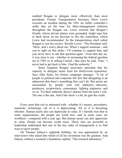enabled Reagan to delegate more effectively than most presidents. Former Transportation Secretary Drew Lewis recounts an incident during the 1981 air traffic controller's strike that set the tone for labor-management relations throughout the Reagan era. Lewis worried that Reagan's friends, whose private planes were grounded, might urge him to back down on his decision to fire the controllers, which Lewis had recommended. So the transportation chief called Reagan to test his resolve. Recalls Lewis: "The President said: 'Drew, don't worry about me. When I support someone—and you're right on this strike—I'll continue to support him, and you never have to ask that question again.' From that day on, it was clear to me—whether in increasing the federal gasoline tax in 1983 or in selling Conrail—that once he said, 'Fine,' I never had to get back to him. I had the authority."

Some longtime Reagan associates speculate that his capacity to delegate stems from his Hollywood experience. Says John Sears, his former campaign manager: "A lot of people in political and corporate life feel that delegating is an admission that there's something they can't do. But actors are surrounded by people with real authority—directors, producers, scriptwriters, cameramen, lighting engineers, and so on. Yet their authority doesn't detract from the actor's role. The star is the star. And if the show's a hit, he gets the credit.

Every asset that you're entrusted with—whether it's money, procedures, materials, technology—all of it is depreciating. All of it is becoming obsolete. Human assets also can depreciate in value. It's literally true that in some organizations, the people are worth less—and in some cases are worthless—compared with a year ago. But human assets can also appreciate in value. People can become worth more. Those who are powerful in leadership understand that one of the key tasks of management is to find ways to grow people.

On Thomas Edison's eightieth birthday, he was approached by an interviewer who asked him which of all his inventions was the greatest. And Edison, without a moment's hesitation, replied, "The research laboratory."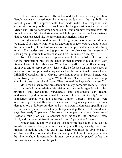I doubt his answer was fully understood by Edison's own generation. People were starry-eyed over his miracle productions—the lightbulb, the record player, the improvements that made radio, the telephone, and electronic motors possible. He was known by his generation as the Wizard of Menlo Park. He so transformed people's dull and drudgery-oriented lives into lives that were full of entertainment and light, possibilities and alternatives, that he was respected like no other man in American industry.

But Edison understood the secret of his great success: You can't do it all yourself. If you really want to be an uncommon leader, you're going to have to find a way to get much of your vision seen, implemented, and added to by others. The leader sees the big picture, but he also sees the necessity of sharing that picture with others who can help him make it a reality.

Ronald Reagan did this exceptionally well. He established the direction for the organization but left the hands-on management to his chief of staff. Reagan looked to his cabinet and White House staff to put the flesh on major initiatives and to serve up new ideas, while he focused on big issues such as tax reform or on opinion-shaping events like the summit with Soviet leader Mikhail Gorbachev. Says Harvard presidential scholar Roger Porter, who spent five years in the Reagan White House: "He does not devote large chunks of time to peripheral issues. That is one of the keys to his success."

More than other recent presidents and many corporate leaders, Reagan also succeeded in translating his vision into a simple agenda with clear priorities that legislators, bureaucrats, and constituents can readily understand. Lyndon Johnson had his vision of a "Great Society," but his legislative agenda was too cluttered. Jimmy Carter's objectives were obscured by frequent flip-flops. In contrast, Reagan's agenda of tax cuts, deregulation, a defense buildup, and a slowdown in domestic spending was set early and pursued consistently. Independent pollster Gerald Goldhaber says that nearly 70 percent of the American people can name at least one of Reagan's four priorities. By contrast, such ratings for the Johnson, Nixon, Ford, and Carter administrations ranged from 15 percent to 45 percent.

Reagan had the ability to put the vision before the nation. How do you transfer a vision? First, you must see it yourself very clearly; you can't transfer something that you can't see. Then you must be able to say it creatively so that people understand and can grab hold of it. Finally, you must be able to show it constantly. It must be continually placed before the followers as a reminder of the goal.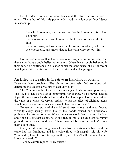Good leaders also have self-confidence and, therefore, the confidence of others. The author of this little poem understood the value of self-confidence in leadership:

> He who knows not, and knows not that he knows not, is a fool; shun him.

> He who knows not, and knows that he knows not, is a child; teach him.

He who knows, and knows not that he knows, is asleep; wake him.

He who knows, and knows that he knows, is wise; follow him.

Confidence in oneself is the cornerstone. People who do not believe in themselves have trouble believing in others. Others have trouble believing in them too. Self-confidence in a leader elicits the confidence of his followers, which gives him the freedom to be a risk taker and a change agent.

#### An Effective Leader Is Creative in Handling Problems

Everyone faces problems. The ability to creatively find solutions will determine the success or failure of each difficulty.

The Chinese symbol for crisis means danger. It also means opportunity. The key is to use a crisis as an opportunity for change. You'll never succeed if you throw up your hands and surrender. The Greek poet Homer understood the value of a crisis. He wrote, "Adversity has the effect of eliciting talents which in prosperous circumstances would have lain dormant."

Remember the story of the chicken farmer whose land was flooded virtually every spring? Even though the floods caused him horrendous problems, he refused to move. When the waters would back up onto his land and flood his chicken coops, he would race to move his chickens to higher ground. Some years, hundreds of them drowned because he couldn't move them out in time.

One year after suffering heavy losses from a particularly bad flood, he came into the farmhouse and in a voice filled with despair, told his wife, "I've had it, I can't afford to buy another place. I can't sell this one. I don't know what to do!"

His wife calmly replied, "Buy ducks."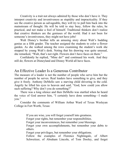Creativity is a trait not always admired by those who don't have it. They interpret creativity and inventiveness as stupidity and impracticality. If they see the creative person as salvageable, they will try to pull him back into the mainstream of thought. He will be told to stay busy, follow the rules, be practical, and not make a fool of himself. Traditional thinkers don't realize that creative thinkers are the geniuses of the world. Had it not been for someone's inventiveness, they might not have jobs!

Walt Disney's brother tells an amusing story about Walt's budding genius as a fifth grader. The teacher assigned the students to color a flower garden. As she walked among the rows examining the student's work she stopped by young Walt's desk. Noting that his drawing was quite unusual, she remarked, "Walt, that's not right. Flowers don't have faces on them."

Confidently he replied, "Mine do!" and continued his work. And they still do; flowers at Disneyland and Disney World all have faces.

## An Effective Leader Is a Generous Contributor

The measure of a leader is not the number of people who serve him but the number of people he serves. Real leaders have something to give, and they give it freely. Anthony DeMello saw a starving child shivering in the cold. Angrily he lifted his eyes to heaven and said, "God, how could you allow such suffering? Why don't you do something?"

There was a long silence and then DeMello was startled when he heard the voice of God answer him, "I certainly have done something—I made you."

Consider the comments of William Arthur Ward of Texas Wesleyan College in Fort Worth, Texas:

If you are wise, you will forget yourself into greatness.

Forget your rights, but remember your responsibilities.

Forget your inconveniences, but remember your blessings.

Forget your own accomplishments, but remember your debts to others.

Forget your privileges, but remember your obligations.

Follow the examples of Florence Nightingale, of Albert Schweitzer, of Abraham Lincoln, of Tom Dooley, and forget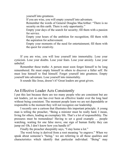yourself into greatness.

If you are wise, you will empty yourself into adventure.

Remember the words of General Douglas MacArthur: "There is no security on this earth. There is only opportunity."

Empty your days of the search for security; fill them with a passion for service.

Empty your hours of the ambition for recognition; fill them with the aspiration for achievement.

Empty your moments of the need for entertainment; fill them with the quest for creativity.

If you are wise, you will lose yourself into immortality. Lose your cynicism. Lose your doubts. Lose your fears. Lose your anxiety. Lose your unbelief.

Remember these truths: A person must soon forget himself to be long remembered. He must empty himself in others to discover a fuller self. He must lose himself to find himself. Forget yourself into greatness. Empty yourself into adventure. Lose yourself into immortality.

It sounds like Jesus, doesn't it? Great leaders are great givers.

#### An Effective Leader Acts Consistently

I put this last because there are too many people who are consistent but are not leaders, yet no one has ever been an effective leader over the long haul without being consistent. The moment people learn we are not dependable or responsible is the moment they will not recognize our leadership.

I recently saw a cartoon that illustrates this important principle. A young man is telling the preacher, "Being a minister must be really hard. I mean, living for others, leading an exemplary life. That's a lot of responsibility. The pressures must be tremendous! Having to set a good example … people watching, waiting for one false move, one sign of human frailty they can jump on! Oh, I don't know how you handle it!"

Finally the preacher sheepishly says, "I stay home a lot."

The word *being* is derived from a root meaning "to engrave." When we speak about someone's "being," we are referring to all those qualities and characteristics which identify that particular individual. "Being" may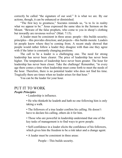correctly be called "the signature of our soul." It is what we are. By our actions, though, it can be enhanced or diminished.

"The first key to greatness," Socrates reminds us, "is to *be* in reality what we appear to be." Jesus expressed the same idea in the Sermon on the Mount. "Beware of the false prophets, who come to you in sheep's clothing but inwardly are ravenous wolves" (Matt. 7:15).

A leader must be consistent in three areas: people—this builds security; principles—this provides direction; and projects—this builds morale. Leaders let people know where they're coming from. A recent study showed that people would rather follow a leader they disagree with than one they agree with if the latter is constantly changing positions.

The call to be a leader is a challenging one. The need for strong leadership has never been clearer. The price of leadership has never been higher. The temptations of leadership have never been greater. The hour for leadership has never been closer. Take the challenge! Remember, "in every age there comes a time when leadership must come forth to meet the needs of the hour. Therefore, there is no potential leader who does not find his time. Tragically there are times when no leader arises for that hour."

You can be the leader for your hour.

# PUT IT TO WORK

#### *People Principles*

• Leadership is influence.

• He who thinketh he leadeth and hath no one following him is only taking a walk.

• The followers of a true leader confirm his calling. He doesn't have to declare his calling, others do it for him.

• Those who are powerful in leadership understand that one of the key tasks of management is to find ways to grow people.

• Self-confidence in a leader elicits the confidence of his followers, which gives him the freedom to be a risk taker and a change agent.

• A leader must be consistent in three areas:

People—This builds security.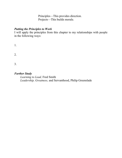Principles—This provides direction. Projects—This builds morale.

#### *Putting the Principles to Work*

I will apply the principles from this chapter to my relationships with people in the following ways:

| 1. |  |  |  |
|----|--|--|--|
| 2. |  |  |  |
| 3. |  |  |  |

#### *Further Study*

*Learning to Lead,* Fred Smith *Leadership, Greatness,* and Servanthood, Philip Greenslade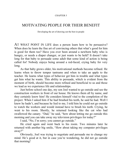#### CHAPTER 5

## MOTIVATING PEOPLE FOR THEIR BENEFIT

Developing the art of drawing out the best in people

AT WHAT POINT IN LIFE does a person learn how to be persuasive? When does he learn the fine art of convincing others that what's good for him is good for them too? Have you ever been around a newborn baby who is hungry, or needs a diaper changer, or just wants to be held? It doesn't take long for that baby to persuade some adult that some kind of action is being called for! Nobody enjoys being around a red-faced, crying baby for very long.

As that baby grows older, his motivational methods become refined. He learns when to throw temper tantrums and when to take an apple to the teacher. He learns what types of behavior get him in trouble and what types get him what he wants. This ability to persuade, which is evident from the moment of birth, should become more refined and beneficial to us and those we lead as we experience life and relationships.

Just before school one day, my son Joel wanted to go outside and see the construction workers in front of our house. He knows them all by name, and they certainly know him! He considers himself vital to the completion of the project. When I asked him if he had brushed his teeth, he said he had. Well I knew he hadn't, and because he lied to me, I told him he could not go outside to watch the workers and would instead have to brush his teeth. Crying, he went to his room. Shortly, he returned looking like the cat who had swallowed the canary. "Dad," he said, "how about letting me go outside this morning and you can take away my television privileges for today?"

I said, "No, I'm sorry; you cannot go outside."

He cried again and went back to his room. Two minutes later he returned with another big smile, "How about taking my computer privileges away?"

Obviously, Joel was trying to negotiate and persuade me to change my mind. He's good at it, but in case you're wondering, he did not go outside that morning!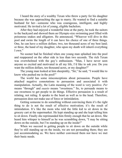I heard the story of a wealthy Texan who threw a party for his daughter because she was approaching the age to marry. He wanted to find a suitable husband for her—someone who was courageous, intelligent, and highly motivated. He invited a lot of young, eligible bachelors.

After they had enjoyed a wonderful time at the party, he took the suitors to the backyard and showed them an Olympic-size swimming pool filled with poisonous snakes and alligators. He announced, "Whoever will dive in this pool and swim the length of it can have his choice of one of three things. One, he can have a million dollars; two, ten thousand acres of my best land; or three, the hand of my daughter, who upon my death will inherit everything I own."

No sooner had he finished when one young man splashed into the pool and reappeared on the other side in less than two seconds. The rich Texan was overwhelmed with the guy's enthusiasm. "Man, I have never seen anyone so excited and motivated in all my life, I'd like to ask you: Do you want the million dollars, ten thousand acres, or my daughter?"

The young man looked at him sheepishly, "Sir," he said, "I would like to know who pushed me in the pool!"

The world has some misconceptions about persuasion. People have attached negative connotations to persuasion and associated it with manipulation. Actually, the Latin meaning of the word is very positive. *Per* means "through" and *suasio* means "sweetness." So, to persuade means to use sweetness to get people to do things. Effective persuasion is a result of relating, not ruling. It speaks to the heart as well as to the head. Therefore, persuasion does not make use of force or intimidation.

Getting someone to do something without convincing them it's the right thing to do is not the result of effective motivation; it's the result of intimidation. It's like the mom who told the little kid to sit down in the grocery cart at the supermarket. He kept standing up and she kept telling him to sit down. Finally she reprimanded him firmly enough that he sat down. She heard him whisper to himself as he was scrambling down, "I may be sitting down on the outside, but I'm standing up on the inside!"

When we succeed in getting people to sit down on the outside while they're still standing up on the inside, we are not persuading them; they are just accommodating us. We have neither convinced them nor have we met their basic needs.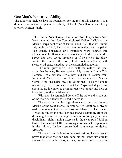## One Man's Persuasive Ability

The following incident lays the foundation for the rest of this chapter. It is a dramatic account of the persuasive ability of Emile Zola Berman as told by attorney Morton Janklo.

> When Emile Zola Berman, the famous trial lawyer from New York, entered the Non-Commissioned Officers' Club at the Marine Corps boot camp at Parris Island, S.C., that hot, humid July night in 1956, the tension was immediate and palpable. The usually boisterous drill instructors were stunned into silence as Zuke Berman (as he was known to the legal world) strode into their sacred precincts as if he owned the place, went to the center of the room, climbed onto a table and, with steely-eyed gaze, stared out at the assembled noncoms.

> The room grew silent. Then, with the skill of the great actor that he was, Berman spoke: "My name is Emile Zola Berman. I'm a civilian. I'm a Jew, and I'm a Yankee from New York City. I've come down here to save the Marine Corps. If no one helps me, I'm going back to New York to resume my life. If you care about the Corps, and if you care about the truth, come see us in our quarters tonight and help us keep you proud to be Marines."

> With that, he scrambled down off the table and strode out of the room as silently as he had entered it.

> The occasion for this high drama was the most famous Marine Corps court-martial in history. Sgt. Matthew McKeon —the embodiment of the professional Marine drill instructor —was on trial on the most serious charges stemming from the drowning deaths of six young recruits in his company during a disciplinary night-training exercise in the swamps of Ribbon Creek. Berman and I (then a young attorney with experience in the military justice system) had volunteered to defend McKeon.

> The key to our defense to the most serious charges was to prove that what McKeon had done did not constitute cruelty against his troops but was, in fact, common practice among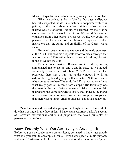Marine Corps drill instructors training young men for combat.

When we arrived at Parris Island a few days earlier, we had fully expected the drill instructors to cooperate with us in getting at the truth about combat training. What we met instead was a stonewall—set up, we learned, by the Marine Corps brass. Nobody would talk to us. We couldn't even get witnesses from other bases. Try as we would, we could not persuade the leadership of the Marine Corps or its drill instructors that the future and credibility of the Corps was at stake.

Berman's one-minute appearance and dramatic statement at the NCO Club was his desperate effort to break through that wall of silence. "This will either make us or break us," he said to me as we left the club.

Back in our quarters, Berman went to sleep, having admonished me to sit up and wait, in case, as we hoped, somebody showed up. At about 2 A.M. just as he had predicted, there was a light tap at the window. I let in an extremely frightened young drill instructor. "I think I know why you guys are here," he said, "and I'm prepared to tell you what really goes on in these boot camps." His testimony was the break in the dam. Before we were finished, dozens of drill instructors had come forward to testify that, indeed, the march in the swamp was common practice to discipline troops and that there was nothing "cruel or unusual" about this behavior.

Zuke Berman had persuaded a group of the toughest men in the world to do what was right in the face of fear. I have taken Attorney Janklo's account of Berman's motivational ability and pinpointed the seven principles of persuasion that follow.

# Know Precisely What You Are Trying to Accomplish

Before you can persuade others on any issue, you need to know just exactly what it is you want to accomplish. Zuke Berman was specific in his purposes and goals. Businessman H. L. Hunt also understood the importance of goals.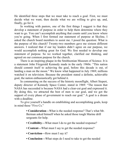He identified three steps that we must take to reach a goal. First, we must decide what we want, then decide what we are willing to give up, and, finally, go for it.

In working with pastors, one of the first things I suggest is that they develop a statement of purpose in order to help them determine where they want to go. You can't accomplish anything that counts until you know where you're going. When I first formed our statement of purpose at Skyline, I asked the church board members to assist me. I posed the question: What is the purpose of this church? Twenty-two members gave me sixteen different answers. I realized that if our lay leaders didn't agree on our purpose, we would accomplish nothing great for God. We first needed to develop one statement of purpose. So we worked together, clarified our thinking, and agreed on our common purpose for the church.

There is an inspiring plaque in the Smithsonian Museum of Science. It is a statement John Fitzgerald Kennedy made in the early 1960s: "This nation should commit itself to achieving the goal, before this decade is out, of landing a man on the moon." We know what happened in July 1969; millions watched it on television. Because the president stated a definite, achievable goal, the nation enthusiastically got behind it.

In commenting on the success of the historic moonflight, Albert Siepert, deputy director of Kennedy Space Center, stated in 1969: "The reason that NASA has succeeded is because NASA had a clear-cut goal and expressed it. By doing this, we attracted the best of men to our goal, and we got the support of every phase of government to reach our goal." A goal is a dream with a deadline.

To give yourself a handle on establishing and accomplishing goals, keep in mind these "Five Cs."

> **• Consideration—**What is the needed response? That's what Mr. Berman asked himself when he asked those tough Marine drill sergeants for help.

- **• Credibility—**What must I do to get the needed response?
- **• Content—**What must I say to get the needed response?
- **• Conviction—**How must I say it?
- **• Conclusion—**What steps do I need to take to get the needed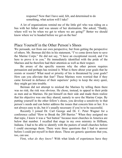response? Now that I have said, felt, and determined to do something, what action will I take?

A lot of organizations remind me of the little girl who was riding on a bus with her father and was unsure of her destination. She asked, "Daddy, where will we be when we get to where we are going?" Better we should know where we're headed before we get on the bus!

## Place Yourself in the Other Person's Shoes

We persuade, not from our own perspective, but from getting the perspective of others. Mr. Berman did this in his statement, "I've come down here to save the Marine Corps." He did not say, "I have an exceptional record, and I'm here to prove it to you." He immediately identified with the pride of the Marines and he therefore had their attention as well as their respect.

Be aware of the specific reasons why the other person requires persuasion and perhaps has resisted it. What is there about your goals that he resists or resents? What need or priority of his is threatened by your goals? How can you alleviate that fear? These Marines were worried that if they came forward in defiance of their superiors' policy to keep the story quiet, they might get into trouble.

Berman did not attempt to mislead the Marines by telling them there was no risk; the risk was obvious. He chose, instead, to appeal to their pride as men and as Marines. He put himself on their side and made them realize that his objective was one they shared, namely to save the Marine Corps. By putting yourself in the other fellow's shoes, you develop a sensitivity to that person's needs and can better address the issues that concern him or her. It is not always easy to do, but it's usually necessary if you're to be successful.

Recently I joined Dr. Carl George and Dr. C. Peter Wagner for a conference called "How to Break the 200 Barrier." When they assigned me that topic, I knew it was a "hot button" because most churches in America are below that number. I recalled that stage in my own ministry in Hillham, Indiana. I had to be able to identify with the pastors of small churches before I could encourage them. There were three questions that I had to answer before I could put myself in their shoes. These are generic questions that you, too, can use.

First, *what do they know?* With what kinds of experiences have they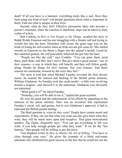dealt? If all you have is a hammer, everything looks like a nail. Have they been using one kind of tool? Ask people questions about what is important to them. Find out what is unique in their lives.

Second, what do they feel? Effective persuasion takes into account a person's emotions. Once the emotion is identified, steps can be taken to form a plan of action.

Bob Conklin, in *How to Get People to Do Things,* recalled the story of Ralph Waldo Emerson and his son struggling with a female calf and trying to wrestle her into the barn. Drenched with sweat, the great sage was on the brink of losing his self-control when an Irish servant girl came by. She smiled sweetly at Emerson as she thrust a finger into the animal's mouth. Lured by this maternal gesture, the calf peacefully followed the girl into the barn.

"People are like the calf," says Conklin. "You can poke them, prod them, push them, and they don't move. But give them a good reason—one of *their* reasons—a way in which they will benefit, and they will follow gently along. People do things for *their* reasons. Not *your* reasons. And those reasons are emotional, aroused by the ways they feel."

The story is told that when Michael Faraday invented the first electric motor, he wanted the interest and backing of the British prime minister, William Gladstone. So Faraday took the crude model—a little wire revolving around a magnet—and showed it to the statesman. Gladstone was obviously not interested.

"What good is it?" he asked Faraday.

"Someday, you will be able to tax it," replied the great scientist.

He won his point and the endorsement of his efforts by appealing to the interests of the prime minister. Here was an invention that represented Faraday's sweat, toil, and genius, but to win Gladstone's approval, it had to represent the British pound sterling.

The third question is, *what do they want?* People have certain needs and expectations. If they can see that what you want can also give them what they want, they will be much more open and receptive. That great motivational speaker, Zig Ziglar, frequently says, "You can get everything in life you want, if you help enough people get what they want." If we hit the "hot buttons," then people will be willing to pay the price.

Tom Hopkins writes in *How to Master the Art of Selling,* "You have to close through your eyes." He gives the example of a blind real-estate salesman who attributed his great success to the fact that he could not see the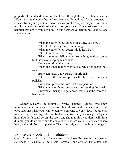properties he sold and therefore, had to sell through the eyes of his prospects. "You must see the benefits, and features, and limitations of your products or service from your potential buyer's viewpoint," Hopkins says. "You must weigh them on his scale of values, not your own. You must close on the benefits that are of value to him." Your perspective determines your actions and reactions:

When the other fellow takes a long time, he's slow.

When I take a long time, I'm thorough.

When the other fellow doesn't do it, he's lazy.

When I don't do it, I'm busy.

When the other fellow does something without being told, he's overstepping his bounds.

But when I do it, that's initiative.

When the other fellow overlooks a rule of etiquette, he's rude.

But when I skip a few rules, I'm original.

When the other fellow pleases the boss, he's an apple polisher.

But when I please the boss, that's cooperation.

When the other fellow gets ahead, he's getting the breaks.

But when I manage to get ahead, that's just the reward of hard work.

Sidney J. Harris, the columnist, wrote, "Thomas Aquinas, who knew more about education and persuasion than almost anybody who ever lived, once said that when you want to convert someone to your view, you go over to where he is standing, take him by the hand (mentally speaking), and guide him. You don't stand across the room and shout at him; you don't call him a dummy; you don't order him to come over to where you are. You start where he is, and work from that position. That's the only way to get him to budge."

## Expose the Problems Immediately

One of the classic parts of the speech by Zuke Berman is his opening statement: "My name is Emile Zola Berman. I'm a civilian. I'm a Jew, and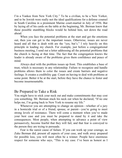I'm a Yankee from New York City." To be a civilian, to be a New Yorker, and to be Jewish were really not the ideal qualifications for a defense counsel in South Carolina in a prominent Marine court-martial in July of 1956. But by laying all of his cards on the table at the beginning, Mr. Berman knew that these possible stumbling blocks would be behind him, not down the road ahead.

When you face the potential problems at the start and get the emotions out, then you can get to the important issues. Otherwise, issues are never heard and all that is dealt with are the "yes, but's." I rely heavily on this principle in leading my church. For example, just before a congregational business meeting, I send out a letter addressing all the potential problems that the church is facing at that time. The fact that the congregation knows the leader is already aware of the problems gives them confidence and peace of mind.

Always deal with the problem issues up front. This establishes a base of trust, which is necessary in any relationship. Failure to recognize and handle problems allows them to color the issues and create barriers and negative feelings. It creates a credibility gap. Count on having to deal with problems at some point. Better it be at the start, before they have the chance to fester and become insurmountable.

## Be Prepared to Take a Risk

You might have to stick your neck out and make commitments that may cost you something. Mr. Berman stuck his neck out when he declared, "If no one helps me, I'm going back to New York to resume my life."

Whenever you are attempting to change an opinion—whether of a jury in a homicide trial or of a friend, spouse, or parent—you're going to meet strong levels of resistance. There will come a moment when you've made your best case and you must be prepared to stand by it and take the consequences. Most people, when attempting to advance a point of view persuasively, become fearful that they will fail, and that fear is conveyed to the person they are trying to persuade.

Fear is the surest cause of failure. If you can work up your courage, as Zuke Berman did, present all aspects of your case, and walk away prepared for possible loss, you will most often be a winner. People have enormous respect for someone who says, "This is my case. I've been as honest as I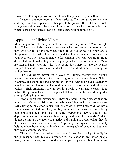know in explaining my position, and I hope that you will agree with me."

Leaders have two important characteristics: They are going somewhere, and they are able to persuade other people to go with them. Effective risktaking leadership takes place when I sense conviction (the cause is right), and when I sense confidence (I can do it and others will help me do it).

# Appeal to the Higher Vision

Most people are inherently decent and fair and they want to "do the right thing." They're not always sure, however, what fairness or rightness is, and they are often full of anxiety when forced to say yes or no. It is your job, as the persuader, to make them understand the human values represented by your position. They must be made to feel empathy for what you are trying to do so that emotionally they want to give you the response you seek. Zuke Berman did this when he said, "I've come down here to save the Marine Corps." Those drill instructors understood that and admired his courage in taking them on.

The civil rights movement enjoyed its ultimate victory over bigotry when network news showed the dogs being loosed on the marchers in Selma, Alabama, and the police crashing into the crowds with their clubs. Suddenly, people all across America understood the real effects of unfair and inhumane policies. Their emotions were aroused in a positive way, and it wasn't long before the president and the Congress felt that the public would support a strong Voting Rights Act.

People don't buy newspapers. They buy news. It isn't glasses that are purchased; it's better vision. Women who spend big bucks for cosmetics are really trying to buy good looks. Millions of drills have been sold; yet not a single person wanted one. They are buying holes. Diet books are not sold by publicizing the evils and risks of being overweight; they're sold by ads depicting how attractive one can become by shedding a few pounds. Athletes do not go through the agony of practice and training to avoid losing; they do it to make the team and be a winner. Appealing to a higher vision is simply helping others become not only what they are capable of becoming, but what they really want to become.

The method of motivation is not new. It was described profoundly by the philosopher Lao-Tse 2,500 years ago, "A leader is best when people barely know he exists, not so good when people obey and acclaim him, worse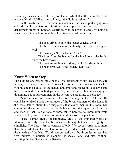when they despise him. But of a good leader, who talks little, when his work is done, his aim fulfilled, they will say, 'We did it ourselves.'"

In the early part of the twentieth century, the same philosophy was echoed by Harry Gordon Selfridge, developer of one of the largest department stores in London. Selfridge, who achieved success by being a leader rather than a boss, said this of the two types of executives:

The boss drives people; the leader coaches them.

The boss depends upon authority; the leader, on good will.

The boss says "I"; the leader, "We."

The boss fixes the blame for the breakdown; the leader fixes the breakdown.

The boss knows how it is done; the leader shows how.

The boss says "Go!"; the leader, "Let's go."

#### Know When to Stop

The number-one reason most people lose arguments is not because they're wrong; it's because they don't know when to quit. There is a moment when you have marshaled all of the factual and emotional issues in your favor and have expressed them as best you can. If you continue to hammer away, you do nothing but build resentment in the person you are trying to persuade.

Zuke Berman could have said a lot more that night in the NCO Club. He could have talked about the attitudes of the brass, enumerated the issues in the case, talked about their suspicions that every man in the room had committed the same acts as did the defendant, or taken questions from the audience. In fact, he did none of these things because he knew, intuitively and brilliantly, that to belabor his point would weaken his position.

There is great dignity in simplicity. Most of the immortal works of literature not only have the brilliance of brevity but also the dignity of simplicity. The Lord's Prayer consists of only fifty-seven words, none more than three syllables. The Declaration of Independence, which revolutionized the thinking of the New World, can be read by a fourth-grader in less than five minutes. Simplicity is eloquent; it speaks loud and clear without insulting the intelligence of the listener.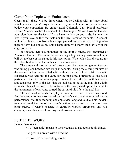# Cover Your Topic with Enthusiasm

Occasionally there will be times when you're dealing with an issue about which you know you're right, but none of your techniques of persuasion can budge your opposition. Be enthusiastic! Columbia Law School professor Jerome Michael teaches his students this technique: "If you have the facts on your side, hammer the facts. If you have the law on your side, hammer the law. If you have neither the facts nor the law, hammer the table." A speech without enthusiasm is like a landscape painted entirely in shades of gray there is form but not color. Enthusiasm alone will many times give you the edge you need.

In England there is a monument to the sport of rugby, the forerunner of American football. The statue depicts an eager boy leaning down to pick up a ball. At the base of the statue is this inscription: Who with a fine disregard for the rules, first took the ball in his arms and ran with it.

The statue and inscription tell a true story. An important game of soccer was taking place between two English schools. During the closing minutes of the contest, a boy more gifted with enthusiasm and school spirit than with experience was sent into the game for the first time. Forgetting all the rules, particularly the one that says a player does not touch the ball with his hands, and conscious only of the fact that the ball had to be at the goal line within seconds if his school were to be victorious, the boy picked up the ball and, to the amazement of everyone, started the sprint of his life to the goal line.

The confused officials and players remained frozen where they stood. But the spectators were so moved by the boy's spirit and entertained by his performance, that they stood up and applauded long and loudly. This incident totally eclipsed the rest of the game's action. As a result, a new sport was born: rugby. It wasn't because of carefully worded arguments and rule changes; it was because of one boy's enthusiastic mistake!

# PUT IT TO WORK

#### *People Principles*

- To "persuade" means to use sweetness to get people to do things.
- A goal is a dream with a deadline.
- "Five Cs" in motivating people: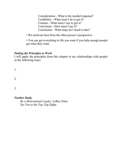Consideration—What is the needed response? Credibility—What must I do to get it? Content—What must I say to get it? Conviction—How must I say it? Conclusion—What steps do I need to take?

• We motivate best from the other person's perspective.

• You can get everything in life you want if you help enough people get what they want.

#### *Putting the Principles to Work*

I will apply the principles from this chapter to my relationships with people in the following ways:

1.

2.

3.

#### *Further Study*

*Be a Motivational Leader,* LeRoy Eims *See You at the Top,* Zig Ziglar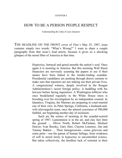#### CHAPTER 6

#### HOW TO BE A PERSON PEOPLE RESPECT

Understanding the value of your character

THE HEADLINE ON THE FRONT cover of *Time's* May 25, 1987, issue contains simply two words: "What's Wrong?" I want to share a couple paragraphs from that issue's lead article, because it gives us a shocking glimpse of the moral fiber of America in that time.

> Hypocrisy, betrayal and greed unsettle the nation's soul. Once again it is morning in America. But this morning Wall Street financiers are nervously scanning the papers to see if their names have been linked to the insider-trading scandals. Presidential candidates are peeking through drawn curtains to make sure that reporters are not staking out their private lives. A congressional witness, deeply involved in the Reagan Administration's secret foreign policy, is huddling with his lawyers before facing inquisitors. A Washington lobbyist who once breakfasted regularly in the White House mess is brooding over his investigation by an independent counsel. In Quantico, Virginia, the Marines are preparing to court-martial one of their own. In Palm Springs, California, a husband-andwife televangelist team, once the adored cynosures of 500,000 faithful, are beginning another day of seclusion.

> Such are the scenes of morning in the scandal-scarred spring of 1987. Lamentation is in the air, and clay feet litter the ground … Oliver North, Robert McFarlane, Michael Deaver, Ivan Boesky, Gary Hart, Clayton Lonetree, Jim and Tammy Bakker.… Their transgressions—some grievous and some petty—run the gamut of human failings, from weakness of will to moral laxity to hypocrisy to uncontrolled avarice. But taken collectively, the heedless lack of restraint in their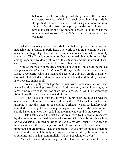behavior reveals something disturbing about the national character. America, which took such back-thumping pride in its spiritual renewal, finds itself wallowing in a moral morass. Ethics, often dismissed as a prissy Sunday school word, is now at the center of a new national debate. Put bluntly, has the mindless materialism of the '80s left in its wake a values vacuum?

What is amazing about this article is that it appeared in a secular magazine, not a Christian periodical. The world is calling attention to what I consider the biggest problem in our community today: the lack of morality and ethics. The Christian community faces an incredible credibility problem among leaders. If we don't get hold of this situation and turn it around, it will cause more damage to the church than any other issues.

One of the two or three life-changing books that I have read in the last ten years is *The Man Who Could Do No Wrong* by Dr. Charles Blair, a good friend, a wonderful Christian man, and a pastor of Calvary Temple in Denver, Colorado. I attended a conference in which Dr. Blair shared the story that was later revealed in his book.

He was a highly trusted pastor, a man with tremendous vision, who wanted to do something great for God. Unfortunately, and unknowingly, he hired fund-raisers who did not share his ethics. As a result, he eventually found himself indicted and convicted of fraud.

Dr. Blair took total responsibility for the problem because he was the one who hired these men and trusted their methods. What makes this book so gripping is that this man, an outstanding Christian leader, straightforwardly admitted his wrong. The cover is gripping in itself as it reads, "Alarm bells should have rung when they called me the man who could do no wrong."

Dr. Blair talks about the fact that he was loved by his people, respected by the community, and had developed a sense of invulnerability. Everything he did and said just turned out right; he had the "Midas Touch." After hearing him speak and then reading his book, I was moved to understand the importance of credibility. I had an opportunity to ask him about this situation, and he said, "John, I literally set myself up for a fall by bringing people around me and trusting them implicitly without checking on them."

Alarm bells should have rung, but Dr. Blair had felt no need to be on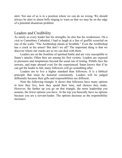alert. Not one of us is in a position where we can do no wrong. We should always be alert to alarm bells ringing to warn us that we may be on the edge of a potential disastrous problem.

# Leaders and Credibility

As surely as every leader has his strengths, he also has his weaknesses. On a visit to Canterbury Cathedral, I had to laugh at a line of graffiti scrawled on one of the walls: "The Archbishop cheats at Scrabble." Even the Archbishop has a crack in his armor! But don't we all? The important thing is that we discover where our cracks are so we can deal with them.

Leaders are on the frontline of spiritual battle and are very susceptible to Satan's attacks. Often they are among his first victims. Leaders are exposed to pressures and temptations beyond the usual run of testing. Pitfalls face the unwary, and traps abound even for the experienced. Satan knows that if he can get the leader to fall, many followers will go scrambling after.

Leaders are to live a higher standard than followers. It is a biblical principle that must be honored consistently. Leaders will be judged differently because their gifts and responsibilities are different.

Note the following triangle. It shows that followers have many options in how they live, how they spend their time, and choices they make. However, the farther up you go on that triangle, the more leadership you assume, the fewer options you have. At the top you basically have no options because you are a servant-leader. The options decrease as the responsibility increases.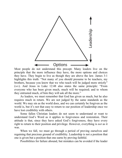

Most people do not understand this precept. Many leaders live on the principle that the more influence they have, the more options and choices they have. They begin to live as though they are above the law. James 3:1 highlights this truth: "Not many of you should presume to be teachers, my brothers, because you know that we who teach will be judged more strictly" (NIV). And Jesus in Luke 12:48 also states the same principle: "From everyone who has been given much, much will be required; and to whom they entrusted much, of him they will ask all the more."

As leaders, we must remember that God has given us much, but he also requires much in return. We are not judged by the same standards as the world. We may sin as the world does, and we can certainly be forgiven as the world is, but it's not that easy to return to our position of leadership once we have lost credibility with others.

Some fallen Christian leaders do not seem to understand or want to understand God's Word as it applies to forgiveness and restoration. Their attitude is that, since they have asked God's forgiveness, they have every right to return to their position and privilege. However, everything is *not* as it was.

When we fall, we must go through a period of proving ourselves and regaining that precious ground of credibility. Leadership is not a position that one is given but a position that one earns by proving faithful.

Possibilities for failure abound, but mistakes can be avoided if the leader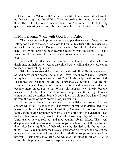will listen for the "alarm bells" in his or her life. I am convinced that we do not have to step into the pitfalls. If we're looking for them, we can avoid them. Herein lies the key to success: Listen for "alarm bells." The following questions may trigger alarm bells in your own life. Consider them carefully.

# Is My Personal Walk with God Up to Date?

That question should prompt a quick and positive answer. If not, you are getting too close to the edge, too close to trouble. My friend Bill Klassen asks me each time we meet, "Do you have a word from the Lord that is up to date?" or "What have you been learning recently from the Lord?" Bill isn't asking me for a history lesson; he wants to know what God is teaching me today.

You will find that leaders who are effective are leaders who are disciplined in their daily lives. A disciplined daily walk is the best protection to keep us from falling into sin.

Why is this so essential to your personal credibility? Because the Word of God convicts our hearts. Psalm 119:11 says, "Your word have I treasured in my heart, that I may not sin against You." It also helps us think like God. The things that we think on are the things that we become. If we are not spending time with God, we're spending that time with whatever it is that has become more important to us. When this happens we quickly become insensitive to his Spirit and therefore, we no longer have the strength to resist temptation and do spiritual battle. It boils down to a simple fact: Sin will keep us from the Word or the Word will keep us from sin.

A person of integrity is one who has established a system of values against which all life is judged. That system of values is determined by a person's walk with God. I once heard Billy Graham tell this story about a family from South Carolina who went to New York City for a vacation. They told all their friends they would attend the Broadway play *My Fair Lady.* Unfortunately it was sold out and they couldn't obtain tickets. They were disappointed and embarrassed to have to go back home and tell their friends they missed the highlight of their trip, so they decided to do the next best thing. They picked up discarded tickets, purchased a program, and bought the musical tapes. In the motel room they learned all the songs and reviewed the program. Back home they sang and whistled the tunes to all of *My Fair Lady*'s hits hoping no one would suspect they never saw it.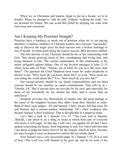When we, as Christians and leaders, begin to put on a facade, we're in trouble. When we attempt to "talk the talk" without "walking the walk," we are destined for failure. We can avoid this pitfall by keeping our walk with God close and consistent.

### Am I Keeping My Priorities Straight?

Priorities have a tendency to sneak out of position when we've not paying attention. Countless numbers of Christian leaders have become "successful" only to discover the tragic price for their success was a broken marriage or loss of health. At some point along the road to success, their priorities shifted.

The first priority of any Christian should be his or her relationship with God. That means growing closer to him, worshipping and loving him, and being obedient to him. The careful maintenance of this relationship is the surest safeguard against failure. One of my favorite passages is John 21:15 where Jesus asks of Peter, "Simon, son of John, do you love Me more than these?" The question the Chief Shepherd most wants his under-shepherds to answer is not, "How much do you know about Me?" or even, "How much are you telling the world about Me?" It is, "How much do you love Me?"

Our second priority should be our family responsibilities and our third concern should be our ministry or career commitments. Paul tells us in 1 Timothy 5:8, "But if anyone does not provide for his own, and especially for those of his household, he has denied the faith, and is worse than an unbeliever."

Scripture provides two illustrations of leaders who did great damage to the cause of the kingdom because they didn't keep their families in order. Both of them were judges—Eli and Samuel. I have always felt that since Eli and Samuel had a mentor-student relationship, Eli's chief weakness also became Samuel's chief weakness. That is discipleship in a negative sense.

Let's take a look at 1 Samuel 3:11–13. "The Lord said to Samuel, 'Behold, I am about to do a thing in Israel at which both ears of everyone who hears it will tingle. In that day I will carry out against Eli all that I have spoken concerning his house, from beginning to end. For I have told him that I am about to judge his house forever for the iniquity which he knew, because his sons brought a curse on themselves and he did not rebuke them."

Now Samuel was a very successful judge. In 1 Samuel 3:19–20 it is said of him, "The Lord was with Samuel as he grew up, and he let none of his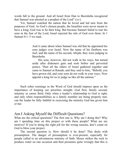words fall to the ground. And all Israel from Dan to Beersheba recognized that Samuel was attested as a prophet of the Lord" (NIV).

Yet, Samuel watched the nation that he loved and led turn from the purposes of God. As God's chosen people, the Israelites were never meant to have a king; God was to be their king. But because Samuel failed to rear his sons in the fear of the Lord, Israel rejected the rule of God over them. In 1 Samuel 8:1–5 we read,

> And it came about when Samuel was old that he appointed his sons judges over Israel. Now the name of his firstborn was Joel, and the name of his second, Abijah; they were judging in Beersheba.

> His sons, however, did not walk in his ways, but turned aside after dishonest gain and took bribes and perverted justice. Then all the elders of Israel gathered together and came to Samuel at Ramah; and they said to him, "Behold, you have grown old, and your sons do not walk in your ways. Now appoint a king for us to judge us like all the nations."

Such sober warnings in the Word of God should impress upon us the importance of keeping our priorities straight: God first, family second, ministry or career third. Only when a leader's relationship to God is right, and only when responsibilities as a family member are being properly met, can the leader be fully faithful in exercising the ministry God has given him or her.

## Am I Asking Myself the Difficult Questions?

What are the critical questions? The first one is, Why am I doing this? Why am I spending time on this project or with these people? What are my motives? If you're doing the right job for the wrong reasons, don't count on God to bless your project.

The second question is, How should it be done? This deals with presumption. The danger of presumption is ever-present, especially for people called to an adventurous ministry of faith. Moses strikes the rock to produce water on one occasion and then presumes quite wrongly that this is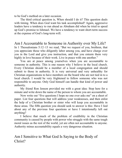to be God's method on a later occasion.

The third critical question is, When should I do it? This question deals with timing. When does God want his task accomplished? Again, aggressive leaders have a tendency to run ahead as Abraham did when he tried to speed up God's promise to Ishmael. We have a tendency to want short-term success at the expense of God's long-term will.

# Am I Accountable to Someone in Authority over My Life?

In 1 Thessalonians 5:12–13 we read, "But we request of you, brethren, that you appreciate those who diligently labor among you, and have charge over you in the Lord and give you instruction, and that you esteem them very highly in love because of their work. Live in peace with one another."

You are at peace among yourselves when you are accountable to someone in authority. This is one reason why I believe in the local church. Every Christian should be a member of a local congregation and should submit to those in authority. It is very universal and very unhealthy for Christian organizations to have members on the board who are not tied in to a local church. I would be very frightened to follow someone who was not responsible to anyone. Only God himself can handle that kind of power and authority.

My friend Ron Jenson provided me with a great idea: Stop here for a minute and write down the name of the person to whom you are accountable.

Now write out "five questions I hope no one ever asks me" on a sheet of paper. List four questions that will address your weaknesses, and then enlist the help of a Christian brother or sister who will keep you accountable in these areas. The fifth question you should seek to answer is this: Have I lied about any of the previous four questions or have I intentionally left out anything?

I believe that much of the problem of credibility in the Christian community is caused by people with power who struggle with the same tough moral issues as the rest of the world, yet are often not accountable to anyone. Authority minus accountability equals a very dangerous situation.

# Am I Sensitive to What God Is Saying to the Body of Christ?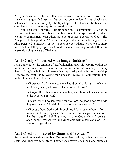Are you sensitive to the fact that God speaks to others too? If you can't answer an unqualified yes, you're skating on thin ice. In the checks and balances of Christian integrity, the Spirit speaks to others in the body who complement us and make up for our weaknesses.

Paul beautifully portrays this principle in 1 Corinthians 12 when he speaks about how one member of the body is not to despise another; rather, we are to complement each other. Not one of us has a corner on God's gift. Ask yourself this question: "Am I a listening leader or am I a lording leader?" First Peter 5:2–3 instructs us not to lord it over others. When we're more interested in telling people what to do than in listening to what they are presently doing, we are off balance.

# Am I Overly Concerned with Image Building?

I am bothered by the amount of professionalism and role-playing within the ministry. Too many of us have become more interested in image building than in kingdom building. Pretense has replaced passion in our preaching. How we deal with the following four areas will reveal our authenticity, both in the church and outside of it.

> • *Character*. Do I make decisions based on what is right or what is most easily accepted? Am I a leader or a follower?

• *Change*. Do I change my personality, speech, or actions according to the people I am with?

• *Credit*. When I do something for the Lord, do people see me or do they see my God? And do I care who receives the credit?

• *Channel*. Does God work through my life to touch others? If other lives are not changing as a result of mine, this is a good indication that the image I'm building is my own, not God's. Only if you are open, honest, transparent, and vulnerable with others can God use you to change others.

# Am I Overly Impressed by Signs and Wonders?

We all seek to experience revival. But more than seeking revival, we need to seek God. Then we certainly will experience revival, healings, and miracles.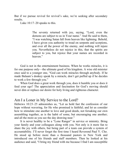But if we pursue revival for revival's sake, we're seeking after secondary results.

Luke 10:17–20 speaks to this.

The seventy returned with joy, saying, "Lord, even the demons are subject to us in Your name." And He said to them, "I was watching Satan fall from heaven like lightning. Behold, I have given you authority to tread on serpents and scorpions, and over all the power of the enemy, and nothing will injure you. Nevertheless do not rejoice in this, that the spirits are subject to you, but rejoice that your names are recorded in heaven."

God is not in the entertainment business. When he works miracles, it is for one purpose only—the ultimate good of his kingdom. A wise old minister once said to a younger one, "God can work miracles through anybody. If he made Balaam's donkey speak by a miracle, don't get puffed up if he decides to work a few through you."

When God does a great work through you, does it humble you or does it feed your ego? The appreciation and fascination for God's moving should never dim or replace our desire for holy living and righteous character.

#### Am I a Loner in My Service to the Lord?

Hebrews 10:23–25 admonishes us, "Let us hold fast the confession of our hope without wavering, for He who promised is faithful; and let us consider how to stimulate one another to love and good deeds, not forsaking our own assembling together, as is the habit of some, but encouraging one another; and all the more as you see the day drawing near."

It is never healthy to be a "Lone Ranger" in service or ministry. Bring your family and your colleagues along with you. Not only is it more fun to share the joy with others, but being part of a team can provide a system of accountability. I'll never forget the first time I heard Reverend Paul Y. Cho. He stood up before more than a thousand pastors in New York and introduced one of his friends and staff members. Then he looked at his audience and said, "I bring my friend with me because I find I am susceptible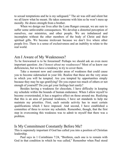to sexual temptations and he is my safeguard." The air was still and silent but we all knew what he meant. He takes someone with him so he won't mess up morally. He draws strength from a brother.

When we design our lives after the Lone Ranger concept, we are sure to suffer some unfavorable consequences. We develop a distorted perception of ourselves, our ministries, and other people. We are imbalanced and incomplete without the other members of the body of Christ and their spiritual gifts. We become irrelevant because we don't live where other people live. There is a sense of exclusiveness and an inability to relate to the real world.

### Am I Aware of My Weaknesses?

To be forewarned is to be forearmed! Perhaps we should ask an even more important question: *Am I honest about my weaknesses?* Most of us know our deficiencies, but we have a tendency to try to cover them.

Take a moment now and consider areas of weakness that could cause you to become sidetracked in your life. Realize that these are the very areas in which you will be tempted. Are you tempted by opportunities simply because they may be ego gratifying? Do you expect too much of others or not enough of yourself? Do you get your feelings hurt easily?

Besides having a weakness for chocolate, I have difficulty in keeping my schedule within the bounds of human endurance. When I allow myself to become overextended, it has a negative effect on those around me. Realizing that this is an area of personal weakness, I have set standards to help me maintain my priorities. First, each outside activity has to meet certain qualifications which I have imposed. And second, I have established a committee of three to review my schedule. Remember, though, that the first step in overcoming this weakness was to admit to myself that there was a problem.

# Is My Commitment Constantly Before Me?

This is supremely important if God has called you into a position of Christian leadership.

Paul says in 1 Corinthians 7:24, "Brethren, each one is to remain with God in that condition in which he was called," Remember when Paul stood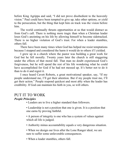before King Agrippa and said, "I did not prove disobedient to the heavenly vision." Paul could have been tempted to give up, take other options, or yield to the persecution, but the thing that kept him on track was the vision before him.

The world continually thrusts opportunities at us that would distract us from God's call. There is nothing more tragic than when a Christian leader loses God's anointing on his life by allowing himself to become sidetracked. There is no higher violation of God's trust. For when a leader stumbles, others fall.

There have been many times when God has helped me resist temptations because I stopped and considered the harm it would do to others if I yielded.

I grew up in a church where the pastor was building a great work for God but he fell morally. Twenty years later the church is still staggering under the effects of that moral fall. That man no doubt experienced God's forgiveness, but he will spend the rest of his life wondering what he could have accomplished for God if he had not messed up. It's better not to do it than to do it and regret it.

I once heard Cavett Roberts, a great motivational speaker, say, "If my people understand me, I'll get their attention. But if my people trust me, I'll get their action." People respond quickest and most ably when the leader has credibility. If God can maintain his faith in you, so will others.

# PUT IT TO WORK

#### *People Principles*

- Leaders are to live a higher standard than followers.
- Leadership is not a position that one is given. It is a position that one earns by proving faithful.

• A person of integrity is one who has a system of values against which all life is judged.

- Authority minus accountability equals a very dangerous situation.
- When we design our lives after the Lone Ranger ideal, we are sure to suffer some unfavorable consequences.
- When a leader stumbles, others fall.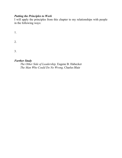#### *Putting the Principles to Work*

I will apply the principles from this chapter to my relationships with people in the following ways:

1. 2.

3.

#### *Further Study*

*The Other Side of Leadership,* Eugene B. Habecker *The Man Who Could Do No Wrong,* Charles Blair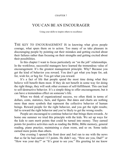#### CHAPTER 7

## YOU CAN BE AN ENCOURAGER

Using your skills to inspire others to excellence

THE KEY TO ENCOURAGEMENT IS in knowing what gives people courage, what spurs them on to action. Too many of us take pleasure in discouraging people by pointing out their mistakes and getting excited about their failures rather than focusing on their strengths and getting excited about their possibilities.

In this chapter I want to focus particularly on "on the job" relationships. In the workforce, successful managers have learned the tremendous value of encouragement. It's the greatest management principle. Why? Because you get the kind of behavior you reward. You don't get what you hope for, ask for, wish for, or beg for. You get what you reward.

It's a fact of life that people spend the most time doing what they believe will benefit them most. If they do not benefit in some way for doing the right things, they will seek other avenues of self-fulfillment. This can lead to self-destructive behavior. It's a simple thing to offer encouragement, but it can have a tremendous effect on someone's life.

When we think of organizational success, we often think in terms of dollars, cents, statistics, facts, and figures. But dates and charts are nothing more than mere symbols that represent the collective behavior of human beings. Reward people for the right behavior, and you get the right results; fail to reward the right behavior and you're likely to get the wrong results.

People are encouraged to continue behavior that brings them rewards. At home one summer we tried this principle with the kids. We set up ways for the kids to earn merit points that could be turned into money. They earned points for positive activities such as reading the Bible, Bible memory, general reading, piano practice, maintaining a clean room, and so on. Some tasks earned more points than others.

One evening I opened the front door and Joel ran to me with the news that so far he had earned 113 points. He didn't say, "How are you, Dad?" or "How was your day?" or "It's great to see you." His greeting let me know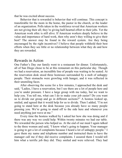that he was excited about success.

Behavior that is rewarded is behavior that will continue. This concept is transferable for the mom in the home, the pastor in the church, or the leader of an organization. Polls taken in the workforce reveal that American workers are not giving their all; they're giving half-hearted effort to their jobs. Yet the American work ethic is still alive. If American workers deeply believe in the value and importance of hard work, then why aren't they willing to give their best? The answer may be found in the reward system. Are they being encouraged by the right incentives? I believe that people withhold their best efforts when they see little or no relationship between what they do and how they are rewarded.

### Rewards in Action

One Father's Day our family went to a restaurant for dinner. Unfortunately, all of San Diego chose to be at this restaurant on this particular day. Though we had a reservation, an incredible line of people was waiting to be seated. At the reservation desk stood three hostesses surrounded by a mob of unhappy people. Their stomachs were growling with hunger, and it was reflected in their unsmiling faces.

After observing the scene for a few minutes, I approached the desk and said, "Ladies, I have a reservation, but I see there are a lot of people here and you're under pressure. I have a large group with me today, but we want to help you. You tell me, what can I do to make your job easier? Do you want us to divide our group and go in different sections?" A hostess looked up, smiled, and agreed that it would help for us to divide. Then I added, "I'm not going to stand here at the desk because you already have so many people pressing you. We're going to stand off to the side here and whenever you need anything just wave at me."

Every time the hostess walked by I asked her how she was doing and if there was any way we could help. Within twenty minutes we had our table. We rewarded the person who helped us. At the end of our meal I again talked to the three women and said, "I know what's going to happen. Your manager is going to get a lot of complaints because I heard a lot of unhappy people." I gave them my name and telephone number and instructed them to have the manager call me if they did receive complaints. I assured them I would tell him what a terrific job they did. They smiled and were relieved. They had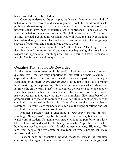been rewarded for a job well done.

Once we understand the principle, we have to determine what kind of behavior deserves reward and encouragement. Look for solid solutions to problems; short-term quick fixes won't endure. Reward long-term people and programs that have been productive. At a conference I once asked the audience what success meant to them. One fellow said simply, "Success is lasting." He had a good point. Consider what will work and last over the long haul. Also identify the main factors that are most important to the long-range success of your team and communicate these to them.

In a conference at our church Josh McDowell said, "The longer I'm in the ministry and the more I travel and see things happening, the more I have respect and appreciation for things that are long-term." That's tremendous insight. Go for quality and not quick fixes.

# Qualities That Should Be Rewarded

As the senior pastor over multiple staff, I look for and reward several qualities that I feel are very important for my staff members to exhibit. I expect these things from everyone, whether they are a pastor, a secretary, a custodian, or an intern. A *positive attitude* is at the top of the list. No matter how smart or gifted a person is, if his or her attitude is not what it should be, it affects the entire team. *Loyalty* to the church, the pastor, and to one another is another crucial quality. Staff members are also rewarded for their *personal growth* because as they grow so grows their ministry. Each member of the pastoral staff is expected to reproduce his or her life into another person who could also be trained in leadership. *Creativity* is another quality that is rewarded. We want staff members who can ask the right questions and can also find creative answers and solutions.

Another behavior that I encourage is *risk-taking* instead of riskavoiding. "Safety first" may be the motto of the masses, but it's not the watchword of leaders. No gain is ever made without the possibility of a loss. Steven Jobs, cofounder of the brilliantly successful Apple Inc., was asked how he managed to create such a flourishing new company. His reply, "We hire great people, and we create an environment where people can make mistakes and grow."

Leaders need to encourage *applied creativity* instead of mindless conformity. An organization's most important asset is not its buildings, land,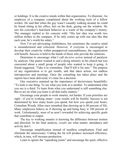or holdings. It is the creative minds within that organization. To illustrate: An employee of a company complained about the working style of a fellow worker. He said that when the guy wasn't casually walking around, he could be found sitting in his office, feet on the desk, gazing out the window. He saw his coworker's laid-back behavior as a waste of the company's money. The manager replied to his concern with: "His last idea was worth two million dollars to the company. If he only comes up with one idea like that each year, he's worth his salary."

Now I'm not advocating slothfulness, but sometimes the creative mind is misunderstood and criticized. However, if everyone is encouraged to develop their creativity within preapproved reasonableness, the organization will benefit. Success is held in the hands of those who provide the solutions.

Determine to encourage what I call *decisive action* instead of paralysis by analysis. One pastor wanted to end a dying ministry in his church but was concerned about a small group of people who wanted to keep it going. A friend suggested, "Take it to committee. That'll kill it for sure." The purpose of any organization is to get results, and that takes action, not endless introspection and meetings. Once the consulting has taken place and the reports have been delivered, it's time for a decision.

One executive summed up the importance of decisiveness beautifully: "To look is one thing. To see what you look at is another. To understand what you see is a third. To learn from what you understand is still something else. But to act on what you learn is all that really matters."

Encourage your people to work smarter, not harder. If your priorities are right—if you're working smart—your results will be fruitful. Success is not determined by how many hours you spend, but how you spend your hours. Comedian Woody Allen once remarked that showing up is 80 percent of life. Many employees behave as if showing up and being busy is 100 percent of work. Unfortunately, most of us aren't rewarded for achieving specific goals that contribute to output.

The key to working smarter is knowing the difference between motion and direction. In the final analysis, *results* are what matter; attendance and activity don't.

Encourage simplification instead of needless complication. Find and eliminate the unnecessary. Cutting the fat will produce increased efficiency, which, in turn, will increase production.

Learn to ignore the "squeaking joints" and encourage the quiet, effective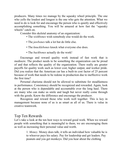producers. Many times we manage by the squeaky wheel principle. The one who yells the loudest and longest is the one who gets the attention. What we need to do is look for and encourage the person who is quietly and effectively accomplishing something. You will be amazed at how fast the "squeaky wheels" catch on.

Consider this skeletal anatomy of an organization:

- The *wishbones* wish somebody else would do the work.
- The *jawbones* talk a lot but do little else.
- The *knucklebones* knock what everyone else does.
- The *backbones* actually do the work!

Encourage and reward quality work instead of fast work that is mediocre. The product needs to be something the organization can be proud of and that reflects the quality of the organization. There really are greater payoffs for quality work such as lower cost, higher output, and worker pride. Did you realize that the American car has a built-in cost factor of 25 percent because of work that needs to be redone in production due to ineffective work the first time?

Personal charisma should not be allowed to substitute for steadfastness in performance. Consistency should be recognized and rewarded. Again, look at the person who is dependable and accountable over the long haul. There are many who can make us smile and laugh but never really come through with the goods. Know the difference and encourage the producer.

Recognize and reward those who work well together. This is key in management because none of us is as smart as all of us. There is value in creative teamwork.

# Top Ten Rewards

Let's take a look at the ten best ways to reward good work. When we reward people with something that is meaningful to them, we are encouraging them as well as increasing their personal value and worth.

> 1. *Money*. Money does talk; it tells an individual how valuable he is to whoever pays his salary. Pay for leadership and get leaders. Pay peanuts and you get monkeys. Did you hear about the clothing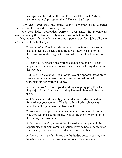manager who turned out thousands of sweatshirts with "Money isn't everything" printed on them? He went bankrupt!

"How can I ever show my appreciation?" a woman asked Clarence Darrow, after he rescued her from legal woes.

"My dear lady," responded Darrow, "ever since the Phoenicians invented money there has been only one answer to that question."

No, money isn't the only way to show appreciation for a job well done, but it's one of the best ways.

> 2. *Recognition*. People need continual affirmation so they know they are meeting a need and doing it well. Lawrence Peter says there are two kinds of egotists: those who admit it and the rest of us.

3. *Time off.* If someone has worked extended hours on a special project, give them an afternoon or day off with a hearty thanks on the way out.

4. *A piece of the action*. Not all of us have the opportunity of profit sharing within a company, but we can pass on additional responsibility for work well done.

5. *Favorite work.* Reward good work by assigning people tasks they enjoy doing. Find out what they like to do best and give it to them.

6. *Advancement*. Allow only your producers to advance and move forward, not your workers. This is a biblical principle we see modeled in the parable of the five talents.

7. *Freedom*. Give producers the autonomy to do their jobs in the way they feel most comfortable. Don't stifle them by trying to fit them into your own mold.

8. *Personal growth opportunities.* Reward your people with the opportunity of further career education. Provide books, conference attendance, tapes, and speakers that will enhance them.

9. *Special time together*. If you are the leader, boss, or pastor, take time to socialize over a meal in order to affirm someone's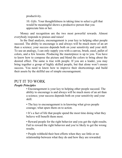productivity.

10. *Gifts*. Your thoughtfulness in taking time to select a gift that would be meaningful shows a productive person that you appreciate him or her.

Money and recognition are the two most powerful rewards. Almost everybody responds to praises and raises!

In the final analysis, encouragement is your key to helping other people succeed. The ability to encourage is and always will be much more of an art than a science; your success depends both on your sensitivity and your skill. To use an analogy, I can only supply you with a canvas, brush, easel, pallet of colors, and a few lessons. Producing the masterpiece is up to you. You have to know how to compose the picture and blend the colors to bring about the desired effect. The same is true with people. If you are a leader, you may bring together a group of highly skilled people, but that alone won't ensure success. You need to know how to improve their shortcomings and build their assets by the skillful use of simple encouragement.

# PUT IT TO WORK

#### *People Principles*

• Encouragement is your key to helping other people succeed. The ability to encourage is and always will be much more of an art than a science; your success depends both on your sensitivity and your skill.

• The key to encouragement is in knowing what gives people courage; what spurs them on to action.

• It's a fact of life that people spend the most time doing what they believe will benefit them most.

• Reward people for the right behavior and you get the right results. Fail to reward the right behavior and you're likely to get the wrong results.

• People withhold their best efforts when they see little or no relationship between what they do and how they are rewarded.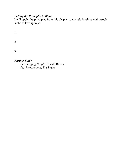#### *Putting the Principles to Work*

I will apply the principles from this chapter to my relationships with people in the following ways:

1.

2.

3.

#### *Further Study*

*Encouraging People*, Donald Bubna *Top Performance,* Zig Ziglar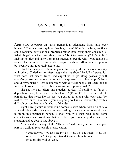#### CHAPTER 8

# LOVING DIFFICULT PEOPLE

Understanding and helping difficult personalities

ARE YOU AWARE OF THE tremendous advantage frogs have over humans? They can eat anything that bugs them! Wouldn't it be great if we could consume our relational problems rather than letting them consume us! What "bugs" you the most about people? Is it inconsistency? Inflexibility? Inability to give and take? I am most bugged by people who—you guessed it —have bad attitudes. I can handle disagreements or differences of opinion, but negative attitudes really get to me.

I find that many Christian people suffer from guilt in their relationships with others. Christians are often taught that we should be full of grace. Just what does that mean? Does God expect us to get along peaceably with *everybody?* Are we the ones who must always overlook other people's faults and idiosyncrasies? Right relationships with difficult people can seem like an impossible standard to reach. Just what are we supposed to do?

The apostle Paul offers this practical advice, "If possible, so far as it depends on you, be at peace with all men" (Rom. 12:18). I would like to paraphrase that verse: Do the best you can to get along with everyone. Yet realize that once in a while you are going to have a relationship with a difficult person that may fall short of the ideal.

Right now, picture in your mind someone with whom you do not have an ideal relationship. As you continue reading, I want you to constantly call to mind this particular person. I trust you will then read about some characteristics and solutions that will help you creatively deal with the situation and be able to rise above it.

A personal inventory of the "Three Ps" will help you determine your part in a difficult relationship or association.

> • *Perspective*. How do I see myself? How do I see others? How do others see me? Our perspective determines how far our relationships will develop.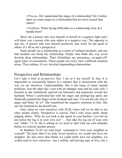• *Process*. Do I understand the stages of a relationship? Do I realize there are some stages in a relationship that are more crucial than others?

• *Problems*. When facing difficulties in a relationship, how do I handle them?

Show me a person who sees himself or herself in a negative light and I will show you a person who sees others in a negative way. The opposite is true too. A person who sees himself positively also looks for the good in others. It's all in one's perspective.

Some people see a relationship as a series of isolated incidents, and one bad incident can break the relationship. People who think this way never develop deep relationships. Their friendships are precarious, on-again-offagain types of associations. These people run every time a difficult situation arises. They seldom, if ever, develop longstanding relationships.

#### Perspective and Relationships

Let's take a look at *perspective* first. I act as I see myself. In fact, it is impossible to consistently behave in a manner that is inconsistent with the way we see ourselves. Understandably, this is the cause of many marital problems. Just the other day I met with an unhappy man and his irate wife. I listened as she relentlessly spewed out bitterness and animosity toward her husband. When I confronted her with her anger and unforgiving spirit, she frantically pointed her finger at her husband and said, "I'm not the one who is angry and bitter, he is!" She transferred her negative emotions to him. She saw her husband as she herself was.

Only when we view ourselves with 20/20 vision will we be able to see other people clearly. Perspective is crucial. That's why Jesus spoke about judging others: "Why do you look at the speck in your brother's eye but do not notice the log is in your own eye? … first take the log out of your own eye" (Matt. 7:3–5). He is telling us we need to deal with our own attitudes before we criticize another person.

In Matthew 22:39, we read Jesus' command to "love your neighbor as yourself." He knew that if we truly loved ourselves, we would also love our neighbor. He also knew that before we could really love our neighbor, we would need to love ourselves—not a selfish, self-serving type of love, but a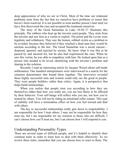deep appreciation of who we are in Christ. Most of the time our relational problems stem from the fact that we ourselves have problems or issues that haven't been resolved. It is not possible to treat another person's hurt until we have first discovered the cure and accepted the treatment ourselves.

The story of the Good Samaritan in Luke 10:30–37 illustrates this principle. The robbers who beat up the traveler used people. They stole from the traveler and saw him as a victim to exploit. The priest and the Levite were legalistic and withdrawn. They saw the beaten, robbed victim as a problem to be avoided, because they believed if they touched a dead man they would be unclean according to the law. The Good Samaritan was a social outcast despised, ignored, and rejected by society. He knew what it was like to be passed by and uncared for, but he also had experienced the cure. When he saw this victim, he was able to empathize with him. He looked upon him as a person who needed to be loved, identifying with the traveler's problem and sharing in the solution.

Recently I read an interesting article by Jacques Weisel about self-made millionaires. One hundred entrepreneurs were interviewed in a search for the common denominator that bound them together. The interviews revealed these highly successful men and women could only see the good in people. They were people builders, rather than critics. Again, it is perspective that helps build relationships.

When you realize that people treat you according to how they see themselves rather than how you really are, you are less likely to be affected by their behavior. Your self-image will reflect who you are, not how you're treated by others. You will not be riding an emotional roller roaster. This type of stability will have a tremendous effect on how you feel toward and deal with others.

The key to successful relationships really gets down to responsibility. I am responsible for how I treat others. I may not be responsible for how they treat me, but I am responsible for my reaction to those who are difficult. I can't choose how you'll treat me, but I can choose how I will respond to you.

# Understanding Personality Types

There are several types of difficult people, and it's helpful to identify their common traits in order to learn how to deal with them effectively. As we review these traits, remember that you can choose how to react to them. The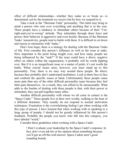effect of difficult relationships—whether they make us or break us—is determined, not by the treatment we receive but by how we respond to it.

Take a look at the "Sherman Tank" personality. This label may bring to mind a person who runs over everything and anything that is in the way. These people have a tendency to intimidate others because of their "I'mright-and-you're-wrong" attitude. They intimidate through sheer force and power; their behavior is aggressive and even hostile. Because of the Sherman Tanks' insensitivity, people tend to battle with them. It is difficult to sit down and reason or rationalize with "tanks."

Don't lose hope; there is a strategy for dealing with the Sherman Tanks of life. First consider this person's influence as well as the issue at stake. How important is the point being fought over, and how many people are being influenced by the "tank?" If the issue could have a direct, negative effect on others within the organization, it probably will be worth fighting over. But if it is an insignificant issue or a matter of pride, it's not worth the battle. When crucial issues arise, however, you must stand up to this personality. True, there is no easy way around these people. Be direct, because they probably don't understand tactfulness. Look at them face to face and confront the specific issues at hand. Unfortunately these people cause more pain than any of the other difficult personality types because they feel little pain themselves. As a result, they can afford to be unreasonable. What adds to the burden of dealing with these people is that, with their power to intimidate, they can pull together many allies.

Another difficult personality with whom we all come in contact is the "Space Cadet." These people live in their own worlds, walking to the beat of a different drummer. They usually do not respond to normal motivation techniques. Frustration is the overwhelming feeling I get when working with this type of person. I have learned that when working with or speaking to a large group of people, I should not be greatly influenced by this person's feedback. Probably the people you know who fall into this category, you have labeled "weird."

Consider these guidelines when working with a Space Cadet:

• Don't evaluate your leadership by the Space Cadet's response. In fact, don't even ask his or her opinion about something because you'll get an off-the-wall answer. Space Cadets aren't good sounding boards.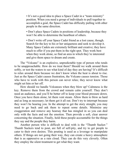• It's not a good idea to place a Space Cadet in a "team ministry" position. When you need a group of individuals to pull together to accomplish a goal, the Space Cadet has difficulty pulling with other people in the same direction.

• Don't place Space Cadets in positions of leadership, because they won't be able to determine the heartbeat of others.

• Don't write off your Space Cadet friend as a lost cause, though. Search for the key to his or her uniqueness and seek to develop it. Many Space Cadets are extremely brilliant and creative; they have much to offer if you put them in the right spot. They work best when they work alone, so find an area in which they're interested and give them space to dream and create.

The "Volcano" is an explosive, unpredictable type of person who tends to be unapproachable. How do we treat them? Should we walk around them softly, or test the waters to see what kind of day they are having? It's difficult to relax around them because we don't know when the heat is about to rise. Just as the Space Cadet causes frustration, the Volcano causes tension. Those who have to work with this person can never relax; they never know what might set him or her off.

How should we handle Volcanoes when they blow up? Calmness is the key. Remove them from the crowd and remain calm yourself. They don't need an audience, and you'll be better off to keep your blood pressure down. Once you have them alone, let them vent steam. Allow them to blow as hard and as long as necessary; let them get it all out. Don't try to interrupt because they won't be hearing you. In the attempt to get the story straight, you may need to go back and ask them to repeat some details. Minimize any exaggeration and remove any hearsay that has mingled in so you can deal only with the facts and not the emotion. Then provide a soft, clear answer concerning the situation. Finally, hold these people accountable for the things they say and the people they harm.

Another person who is difficult to deal with is the "Thumb Sucker." Thumb Suckers tend to pout, are full of self-pity, and try to get people to cater to their own desires. This pouting is used as a leverage to manipulate others. If things are not going their way, they can create a heavy atmosphere that is as oppressive as a rain cloud. They can do this very cleverly. Often they employ the silent treatment to get what they want.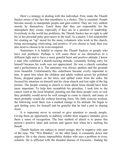Here's a strategy in dealing with this individual. First, make the Thumb Sucker aware of the fact that moodiness is a choice. This is essential. People become moody to manipulate people and gain control. They are very seldom moody by themselves. Teach them that they are responsible for the atmosphere they create, especially if they are in a position of leadership. Everybody in the world has problems; the Thumb Sucker has no right to add his or her personal petty grievances to the load. As a pastor, I feel responsible for creating an "up" mood for the many volunteers who work in the church, being encouraging, motivating, and positive. If you choose to lead, then you also need to choose to be even-tempered.

Sometimes it is helpful to expose the Thumb Suckers to people who have real problems. Perhaps it will cause them to see themselves in a different light and to have a more grateful heart and positive attitude. I knew a man who exhibited a thumb-sucking attitude, constantly feeling sorry for himself because his work was not appreciated. He was a church custodian and a perfectionist at it. The sanctuary was always spotless and the grounds were beautiful. Unfortunately this orderliness became overly important to him. It upset him when the children and adults walked across his polished floors, dropped papers on the lawn, and spilled water from the sinks. He focused his attention on himself and his clean church and lost sight of the big picture. The people coming to church to learn about Jesus should have been more important. To help him reestablish his priorities, I took him to the cancer ward at the local hospital, pointing out that these people were so sick they probably would never be well enough to come to church, and many of them probably would die without knowing Jesus. My little exercise worked; the following week there was a marked change in his attitude. He began to quit feeling sorry for himself and be grateful that he had a part in sharing Jesus.

It is important never to reward or give attention to moody people. Giving them an opportunity to publicly exhibit their negative attitudes gives them a sense of recognition. The best method of attack is to praise this person's positive ideas and actions and ignore him when he's sucking his thumb.

Thumb Suckers are subject to mood swings; they're negative only part of the time. The "Wet Blanket," on the other hand, is constantly down and negative. He is the classic impossibility thinker who sees a problem in every solution. He is afflicted with the dreaded disease of Excusitis—finding the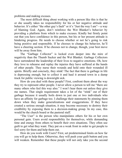problems and making excuses.

The most difficult thing about working with a person like this is that he or she usually takes no responsibility for his or her negative attitude and behavior. It's either "the other guy's fault" or it's "Just the way I am"—a way of blaming God. Again, don't reinforce the Wet Blanket's behavior by providing a platform from which to make excuses. Kindly but firmly point out that you have confidence in this person, but his or her present attitude is hindering progress. He needs to choose whether or not he's going to risk being positive and responsible. If he chooses to change his behavior, he'll have a cheering section. If he chooses not to change, though, your best move will be away from him.

The "Garbage Collector" is locked even deeper into the mire of negativity than the Thumb Sucker and the Wet Blanket. Garbage Collectors have surrendered the leadership of their lives to negative emotions. Oh, how they love to rehearse and replay the injuries they have suffered at the hands of other people. They nurse their wounds and hold onto their wounded ill spirits. Briefly and concisely, they stink! The fact that there is garbage in life is depressing enough, but to collect it and haul it around town in a dump truck for public viewing is downright sick.

How do you deal with these people? First, confront them about the way they try to represent other people. I never allow a person to tell me "there are many others who feel this way also." I won't hear them out unless they give me names. That single requirement takes a lot of the "stink" out of their garbage because it usually boils down to just one or two individuals who have an affinity for garbage too. I challenge their statements by pinning them down when they make generalizations and exaggerations. If they have created a serious enough situation, it may become necessary to destroy their credibility by exposing them to a decision-making group. In my case, this would be the church board or the pastoral staff.

"The User" is the person who manipulates others for his or her own personal gain. Users avoid responsibility for themselves, while demanding time and energy from others to benefit their own situations. They often use guilt to get what they want. They put on a weak front in order to get people to feel sorry for them and help them out.

How do you work with Users? First, set predetermined limits on how far you will go to help them. Otherwise, they will push your guilt button and you will weaken. Remember that these people will not only take you the second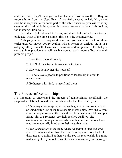and third mile, they'll take you to the cleaners if you allow them. Require responsibility from the User. Even if you feel disposed to help him, make sure he is responsible for some part of the job. Otherwise, you will wind up carrying the load while he goes on his merry way—more than likely looking for another gullible soul.

Last, don't feel obligated to Users, and don't feel guilty for not feeling obligated. Most of the time a simple, firm no is the best medicine.

Perhaps you have recognized someone you know in each of these caricatures. Or maybe you're dealing with a person so difficult, he is in a category all by himself. Take heart; there are certain general rules that you can put into practice that will enable you to work more effectively with problem people.

1. Love them unconditionally.

2. Ask God for wisdom in working with them.

3. Stay emotionally healthy yourself.

4. Do not elevate people to positions of leadership in order to rescue them.

5. Be honest with God, yourself, and them.

# The Process of Relationships

It's important to understand the process of relationships; specifically the stages of a relational breakdown. Let's take a look at them one by one.

> • *The honeymoon stage* is the one we begin with. We usually have an unrealistic view of the relationship at this point. Obviously, what attracts people to each other, whether it be a business relationship, a friendship, or a romance, are their positive qualities. The excitement of finding someone who meets some need in our lives tends to temporarily blind us to their negative traits.

> • *Specific irritation* is the stage where we begin to open our eyes and see things we don't like. Here we develop a memory bank of these negative traits. But then we also see the relationship in a more realistic light. If you look back at the early weeks of your marriage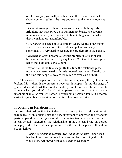or of a new job, you will probably recall the first incident that shook you into reality—the time you realized the honeymoon was over.

• *General discomfort* should cause us to deal with the specific irritations that have piled up in our memory banks. We become more open, honest, and transparent about telling someone why they're making us uncomfortable.

• *Try harder* is a stage of development where we raise our energy level to make a success of the relationship. Unfortunately, sometimes it's very hard to separate the problem from the person.

• *Exhaustion* often becomes a serious problem in a relationship because we are too tired to try any longer. We tend to throw up our hands and quit at this crucial point.

• *Separation* is the final stage. By this time the relationship has usually been terminated with little hope of restoration. Usually, by the time this happens, we are too numb to even care or hurt.

This series of stages does not have to be completed; the cycle can be broken. Most often, if the process is reversed, it happens during the stage of general discomfort. At that point it is still possible to make the decision to accept what you don't like about a person and to love that person unconditionally. As you try harder to overlook a person's faults, it becomes easier to again focus your attention on his or her positive traits.

## Problems in Relationships

In most relationships it is inevitable that at some point a confrontation will take place. At this crisis point it's very important to approach the offending party prepared with the right attitude. If a confrontation is handled correctly, it can actually strengthen the relationship. If not, it can bring an abrupt, unhappy end to the relationship. In order for this not to happen, follow these six guidelines:

> 1. *Bring in principal persons involved in the conflict.* Experience has taught me that unless all persons involved come together, the whole story will never be pieced together accurately.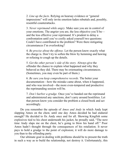2. *Line up the facts.* Relying on hearsay evidence or "general impressions" will only invite emotion-laden rebuttals and, possibly, resentful counterattacks.

3. *Never reprimand while angry.* Make sure you are in control of your emotions. The angrier you are, the less objective you'll be and the less effective your reprimand. It's prudent to delay a confrontation until you've coolly asked yourself two questions: Could I have contributed to the problem? Were there mitigating circumstances I'm overlooking?

4. *Be precise about the of ense.* Let the person know exactly what the charge is. Don't try to soften the blow by hemming and hawing or refusing to cough up the details.

5. *Get the other person's side of the story.* Always give the offender the chance to explain what happened and why they behaved as they did. There may be extenuating circumstances. (Sometimes, you may even be part of them.)

6. *Be sure you keep comprehensive records.* The better your documentation—how the mistake came about, when it happened, and who was involved—the more even-tempered and productive the reprimanding session will be.

7. *Don't harbor a grudge.* Once you've handed out the reprimand and administered any sanctions, don't carry around hostilities. Let that person know you consider the problem a closed book and act accordingly.

Do you remember the episode of *Amos and Andy* in which Andy kept slapping Amos on the chest, until one day Amos decided he had endured enough? He decided to fix Andy once and for all. Showing Kingfish some explosives tied to his chest underneath his jacket, he proudly said, "The next time Andy slaps me on the chest, he's going to blow his hand off." Poor Amos hadn't thought through the consequences of his retaliation. It never pays to hold a grudge to the point of explosion; it will do more damage to you than to the offending party.

Our ultimate goal in dealing with problems should be to present the truth in such a way as to build the relationship, not destroy it. Unfortunately, this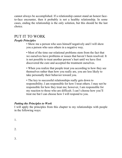cannot always be accomplished. If a relationship cannot stand an honest faceto-face encounter, then it probably is not a healthy relationship. In some cases, ending the relationship is the only solution, but this should be the last choice.

# PUT IT TO WORK

#### *People Principles*

• Show me a person who sees himself negatively and I will show you a person who sees others in a negative way.

• Most of the time our relational problems stem from the fact that we ourselves have problems or issues that haven't been resolved. It is not possible to treat another person's hurt until we have first discovered the cure and accepted the treatment ourselves.

• When you realize that people treat you according to how they see themselves rather than how you really are, you are less likely to take personally their behavior toward you.

• The key to successful relationships really gets down to responsibility; I am responsible for how I treat others. I may not be responsible for how they treat me; however, I am responsible for my reaction to those who are difficult. I can't choose how you'll treat me but I can choose how I will respond to you.

#### *Putting the Principles to Work*

I will apply the principles from this chapter to my relationships with people in the following ways:

1.

2.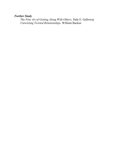#### *Further Study*

*The Fine Art of Getting Along With Others,* Dale E. Galloway *Untwisting Twisted Relationships,* William Backus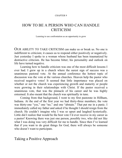#### CHAPTER 9

# HOW TO BE A PERSON WHO CAN HANDLE CRITICISM

Learning to use confrontation as an opportunity to grow

OUR ABILITY TO TAKE CRITICISM can make us or break us. No one is indifferent to criticism; it causes us to respond either positively or negatively. Just yesterday I spoke to a woman whose husband has been traumatized by destructive criticism. He has become bitter; his personality and outlook on life have turned negative.

Learning how to handle criticism was one of the most difficult lessons I ever had. I grew up in a church where the surest sign of success was a unanimous pastoral vote. At the annual conference the hottest topic of discussion was the vote at the various churches. Heaven help the pastor who received negative votes! It seemed that little importance was placed on whether or not the church was experiencing growth and maturity or people were growing in their relationships with Christ. If the pastor received a unanimous vote, that was the pinnacle of his career and he was highly esteemed. It also meant that the church was spiritually in tune.

Coming from that background, I went to my first pastorate in Hillham, Indiana. At the end of the first year we had thirty-three members; the vote was thirty-one "yes," one "no," and one "abstain." That put me in a panic. I immediately called my father and asked if he thought I should resign from the church. He couldn't imagine why I was so upset and laughed hysterically. Little did I realize that would be the best vote I'd ever receive in my career as a pastor! Knowing there was just one person, possibly two, who did not like what I was doing was very difficult for me to handle. Since then I've learned that if you want to do great things for God, there will always be someone who doesn't want to participate.

#### Taking a Positive Approach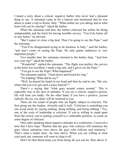I heard a story about a critical, negative barber who never had a pleasant thing to say. A salesman came in for a haircut and mentioned that he was about to make a trip to Rome, Italy. "What airline are you taking and at what hotel will you be staying?" asked the barber.

When the salesman told him, the barber criticized the airline for being undependable and the hotel for having horrible service. "You'd be better off to stay home," he advised.

"But I expect to close a big deal. Then I'm going to see the Pope," said the salesman.

"You'll be disappointed trying to do business in Italy," said the barber, "and don't count on seeing the Pope. He only grants audiences to very important people."

Two months later the salesman returned to the barber shop. "And how was your trip?" asked the barber.

"Wonderful!" replied the salesman. "The flight was perfect, the service at the hotel was excellent; I made a big sale, and I got to see the Pope."

"You got to see the Pope? What happened?"

The salesman replied, "I bent down and kissed his ring."

"No kidding! What did he say?"

"Well, he placed his hand on my head and then he said to me, 'My son, where did you ever get such a lousy haircut?"

There's a saying that "what goes around comes around." This is especially true in the area of attitudes. If you are a critical, negative person, life will treat you badly. On the other hand, if you have a positive, joyous outlook, the joy you share will be returned to you.

There are two kinds of people who are highly subject to criticism. The first group are the leaders. Aristotle said it well, "Criticism is something you can avoid easily by saying nothing, doing nothing, and being nothing." Yes, one of the costs of leadership is criticism. If you're willing to stand apart from the crowd, you're putting yourself in a vulnerable position, so count on some degree of criticism.

Once after speaking about negative attitudes at a conference, I received a note that I have kept: "Realize that the guys who criticize will minimize the guys whose enterprise rises above the guys who criticize and minimize." That's what a leader does—he rises above. When you are willing to stick your neck out, someone will want to chop it off.

Don't let that threat keep you from being all you can be. Rise above it,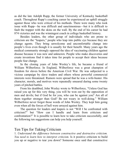as did the late Adolph Rupp, the former University of Kentucky basketball coach. Throughout Rupp's coaching career he experienced an uphill struggle against those who were critical of his methods. There were many who took issue with Rupp—he was difficult and sanctimonious—but it is difficult to fault the trapper with the skins on the wall. By the end of his career he had 874 victories and was the winningest coach in college basketball history.

Besides leaders, the other group of individuals who are prone to criticism are the "leapers," people who leap into public eye because they are change agents. They bring unwelcome and uncomfortable change into people's lives even though it is usually for their benefit. Many years ago the medical community strongly opposed the idea of vaccinating children against disease because it was new and unknown. People who make discoveries and create inventions find it takes time for people to accept their ideas because people fear change.

In the closing years of John Wesley's life, he became a friend of William Wilberforce. In England, Wilberforce was a great champion of freedom for slaves before the American Civil War. He was subjected to a vicious campaign by slave traders and others whose powerful commercial interests were threatened. Rumors were spread that he was a wife-beater. His character, morals, and motives were repeatedly smeared during some twenty years of pitched battles.

From his deathbed, John Wesley wrote to Wilberforce, "Unless God has raised you up for this very thing, you will be won out by the opposition of men and devils; but if God be for you, who can be against you? Are all of them together stronger than God? Be not weary in well-doing." William Wilberforce never forgot those words of John Wesley. They kept him going even when all the forces of hell were arrayed against him.

The question for leaders and leapers is not "Will I be confronted with criticism?" but "How can I handle and learn from criticism and confrontation?" It is possible to learn how to take criticism successfully, and the following ten suggestions can help you help yourself.

# Ten Tips for Taking Criticism

1. *Understand the dif erence between constructive and destructive criticism. You need to learn how to interpret criticism.* Is it positive criticism to build you up or negative to tear you down? Someone once said that constructive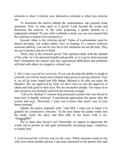criticism is when I criticize you; destructive criticism is when you criticize me.

To determine the motive behind the confrontation, ask yourself some questions. First, in what spirit is it given? Look beyond the words and determine the motives. Is the critic projecting a gentle attitude or a judgmental attitude? If your critic's attitude is kind, you can rest assured that the criticism is meant to be constructive.

Second, when is the criticism given? Times of confrontation must be shared privately, not within public view or hearing. If a person criticizes someone publicly, you can be sure his or her intentions are not the best. They are out to destroy and not to build.

Third, why is the criticism given? This question deals with the attitude of the critic. Is it for personal benefit and growth, or is it given from personal hurt? Sometimes the person who has experienced difficulties and problems will deal with others in a negative, critical way.

2. *Don't take yourself too seriously.* If you can develop the ability to laugh at yourself, you will be much more relaxed when given or giving criticism. Face it, we all do some stupid and silly things. Blessed is he who can enjoy his blunders. We are approved by God; we don't have to win the approval of others and look good in their eyes. We are not perfect people. Too many of us take ourselves too seriously and God not seriously enough.

"Life at St. Bashan's" cartoon strip portrayed a pastor who was forced to learn how to handle criticism. A parishioner approaches the pastor after the service and says, "Reverend, I want you to know that wasn't one of your better sermons."

Openly the pastor responds with, "And Bill, I want you to know I'm grateful for constructive criticism." In the next frame the pastor walks into the study, locks the door, and then falls to his knees with a cry, "Augggghhh!"

We've done that, haven't we? Outwardly we appear to appreciate the words, but in private we fall apart emotionally, becoming angry, vindictive, or deeply hurt.

3. *Look beyond the criticism and see the critic.* When someone comes to me with news about another person, I am more interested in the person who said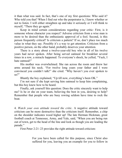it than what was said. In fact, that's one of my first questions: Who said it? Who told you that? When I find out who the perpetrator is, I know whether or not to listen. I will either straighten up and take it seriously or I will think to myself, "There they go again."

Keep in mind certain considerations regarding your critic: First, is it someone whose character you respect? Adverse criticism from a wise man is more to be desired than the enthusiastic approval of a fool. Second, is this person frequently critical? Is criticism a pattern? If so, don't place too much value in what they say. Possibly it's a way to get attention. Criticism from a positive person, on the other hand, probably deserves your attention.

There is a story about a twelve-year-old boy who in all of his twelve years had never spoken. After being served oatmeal for breakfast several times in a row, a miracle happened. To everyone's shock, he yelled, "Yuck, I hate oatmeal!"

His mother was overwhelmed. She ran across the room and threw her arms around his neck. "For twelve long years your father and I were convinced you couldn't talk!" she cried. "Why haven't you ever spoken to  $us?"$ 

Bluntly the boy explained, "Up till now, everything's been OK."

I'm not sure if she kept serving him oatmeal to keep him complaining, but this boy knew how to be heard.

Finally, ask yourself this question: Does the critic sincerely want to help me? Is he or she on your team, believing the best in you, desiring to help? Remember that people who are busy rowing seldom have time to rock the boat.

4. *Watch your own attitude toward the critic*. A negative attitude toward criticism can be more destructive than the criticism itself. Remember, a chip on the shoulder indicates wood higher up! The late Herman Hickman, great football coach at Tennessee, Army, and Yale, said, "When you are being run out of town, get to the head of the line and look as though you are leading the parade."

First Peter 2:21–23 provides the right attitude toward criticism:

For you have been called for this purpose, since Christ also suffered for you, leaving you an example for you to follow in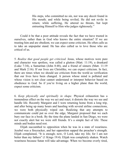His steps, who committed no sin, nor was any deceit found in His mouth; and while being reviled, He did not revile in return; while suffering, He uttered no threats, but kept entrusting Himself to Him who judges righteously."

Could it be that a poor attitude reveals the fact that we have trusted in ourselves, rather than in God who knows the entire situation? If we are trusting him and are obedient, we can expect some criticism. He often calls us to take an unpopular stand. He has also called us to love those who are critical of us.

5. *Realize that good people get criticized.* Jesus, whose motives were pure and character was spotless, was called a glutton (Matt. 11:19), a drunkard (Luke 7:34), a Samaritan (John 8:48), and a friend of sinners (Matt. 11:19 and Mark 2:16). If our lives are Christlike, we can expect criticism. In fact, there are times when we should see criticism from the world as verification that our lives have been changed. A person whose mind is polluted and whose vision is not clear cannot understand or interpret behavior based on obedience to God. So if you're living on a higher plane than the world, expect some criticism.

6. *Keep physically and spiritually in shape.* Physical exhaustion has a tremendous effect on the way we act and react; it distorts the way we see and handle life. Recently Margaret and I were returning home from a long trip, and after being up many hours and hassling with several airline connections, we were both physically wiped out. Realizing that any attempts to communicate could put us over the edge, Margaret proposed that we each bury our face in a book. By the time the plane landed in San Diego, we were not exactly alert but we were still friends. It's a simple fact of life: These minds and bodies need rest.

Elijah succumbed to opposition when he was in a state of weariness. Jezebel was a firecracker, and her opposition sapped the preacher's strength. Elijah complained, "It is enough; now, O Lord, take my life; for I am not better than my fathers" (1 Kings 19:4). Elijah was completely shaken. Watch weariness because Satan will take advantage. When we become overly tired,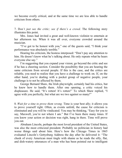we become overly critical, and at the same time we are less able to handle criticism from others.

7. D*on't just see the critic; see if there's a crowd*. The following story illustrates this point.

Mrs. Jones had invited a great and well-known violinist to entertain at her afternoon tea. When it was all over, everyone crowded around the musician.

"I've got to be honest with you," one of the guests said, "I think your performance was absolutely terrible."

Hearing his criticism, the hostess interposed: "Don't pay any attention to him. He doesn't know what he's talking about. He only repeats what he hears everyone else say."

I'm suggesting that you expand your vision; go beyond the critic and see if he has a cheering section. Consider the possibility that you are hearing the same criticism from several people. If this is the case, and the critics are reliable, you need to realize that you have a challenge to work on. If, on the other hand, you're dealing with a pocket group of negative people, your challenge is to not be affected by them.

George Bernard Shaw, the Irish playwright, certainly had his critics, but he knew how to handle them. After one opening, a critic voiced his displeasure. He said, "It's rotten! It's rotten!" To which Shaw replied, "I agree with you perfectly, but what are we two against so many!"

8. *Wait for a time to prove them wrong.* Time is your best ally; it allows you to prove yourself right. Often, as events unfold, the cause for criticism is eliminated and you will be vindicated. You may be thinking, "Easy for you to say, Maxwell, you're not where I am." But I've been there many times. If you know your action or decision was right, hang in there. Time will prove you out.

Abraham Lincoln, perhaps the most loved president of the United States, was also the most criticized president. Probably no politician in history had worse things said about him. Here's how the Chicago Times in 1865 evaluated Lincoln's Gettysburg Address the day after he delivered it: "The cheek of every American must tingle with shame as he reads the silly, flat, and dish-watery utterances of a man who has been pointed out to intelligent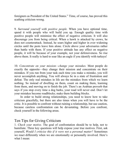foreigners as President of the United States." Time, of course, has proved this scathing criticism wrong.

9. *Surround yourself with positive people.* When you have optional time, spend it with people who will build you up. Enough quality time with positive people will minimize the effect of negative criticism. It will also discourage you from being critical. When a hawk is attacked by crows, he does not counterattack. Instead, he soars higher and higher in ever widening circles until the pests leave him alone. Circle above your adversaries rather than battle with them. If your positive attitude has any effect on negative people, it will be because of your example, not your defensiveness. So rise above them. It really is hard to soar like an eagle if you identify with turkeys!

10. *Concentrate on your mission—change your mistakes.* Most people do exactly the opposite—they change their mission and concentrate on their mistakes. If you run from your task each time you make a mistake, you will never accomplish anything. You will always be in a state of frustration and defeat. The only real mistakes in life are the mistakes from which we learn nothing. So instead of dwelling on them, count on making them, learning from them, and moving on to finish the job. There's an Arabian proverb that says if you stop every time a dog barks, your road will never end. Don't let your mistakes become roadblocks; make them building blocks.

In order to build strong relationships, you need to know how to take criticism gracefully, but there are also times when you will have to be the critic. It is possible to confront without ruining a relationship, but use caution, because careless confrontation can be devastating. Before you confront, check yourself in the following areas.

# Ten Tips for Giving Criticism

1. *Check your motive*. The goal of confrontation should be to help, not to humiliate. Three key questions will help expose your true motives. First, ask yourself, *Would I criticize this if it were not a personal matter?* Sometimes we react differently when we are emotionally or personally involved. Here's what I mean: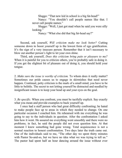Sluggo: "That new kid in school is a big fat-head!"

Nancy: "You shouldn't call people names like that. I never call people names."

Sluggo: "Well, I just got mad when he said you were silly looking."

Nancy: "What else did that big fat-head say?"

Second, ask yourself, *Will criticism make me look better?* Cutting someone down to boost yourself up is the lowest form of ego gratification. It's the sign of a very insecure person. Remember that it isn't necessary to blow out another person's light to let your own shine.

Third, ask yourself, *Does this criticism bring pain or pleasure to me?* When it is painful for you to criticize others, you're probably safe in doing it. If you get the slightest bit of pleasure out of doing it, you should hold your tongue.

2. *Make sure the issue is worthy of criticism.* To whom does it really matter? Sometimes our pride causes us to engage in skirmishes that need never happen. Continual, petty criticism is the mark of a small mind; you have to be little to belittle. The secret to not letting yourself be distracted and needled by insignificant issues is to keep your head up and your eyes on the goal.

3. *Be specific.* When you confront, you must be tactfully explicit. Say exactly what you mean and provide examples to back yourself up.

I once had a staff person who had great difficulty confronting; he hated to make people face up to areas in which they needed to change. On one particular occasion I coached him. He rehearsed with me everything he was going to say to the individuals in question. After the confrontation I asked him how it went. He assured me everything went smoothly and there were no problems; in fact, he said the people did not even question him. At that moment I knew something had gone wrong. Total acquiescence is not a normal reaction to honest confrontation. Two days later the truth came out. One of the individuals said to me, "The other day we spent thirty minutes with Pastor So-and-so, but we have no idea what we was trying to tell us." The pastor had spent half an hour dancing around the issue without ever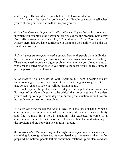addressing it. He would have been better off to have left it alone.

If you can't be specific, don't confront. People can usually tell when you're skirting an issue and will not respect you for it.

4. *Don't undermine the person's self-confidence.* Try to find at least one area in which you can praise the person before you expose the problem. Stay away from all-inclusive statements like, "You always …" or "You never.…" Assure them that you have confidence in them and their ability to handle the situation correctly.

5. *Don't compare one person with another.* Deal with people on an individual basis. Comparisons always cause resentment and resentment causes hostility. There's no need to create a bigger problem than the one you already have, so why arouse heated emotions? If you stick to the facts, you'll be less likely to put the person on the defensive.

6. *Be creative or don't confront.* Will Rogers said, "There is nothing as easy as denouncing. It doesn't take much to see something is wrong, but it does take some eyesight to see what will put it right again."

Look beyond the problem and see if you can help find some solutions. For most of us it's much easier to be critical than to be creative. But unless you're willing to help to some degree in turning the situation around, you're not ready to comment on the problem.

7. *Attack the problem not the person.* Deal with the issue at hand. When a confrontation becomes a personal attack, you destroy your own credibility and find yourself in a no-win situation. The expected outcome of a confrontation should be that the offender leaves with a clear understanding of the problem and the hope that he can turn it around.

8. *Confront when the time is right.* The right time is just as soon as you know something is wrong. When you've completed your homework, then you're prepared. Sometimes people tell me about their relationship problems and ask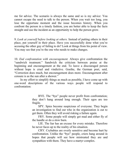me for advice. The scenario is always the same and so is my advice: You cannot escape the need to talk to the person. When you wait too long, you lose the opportune moment and the issue becomes history. When you confront the person in a timely fashion, you are better able to keep the facts straight and use the incident as an opportunity to help the person grow.

9. *Look at yourself before looking at others.* Instead of putting others in their place, put yourself in their place. Have you successfully done what you're accusing the other guy of failing to do? Look at things from his point of view. You may see that you're the one who needs to make changes.

10. *End confrontation with encouragement.* Always give confrontation the "sandwich treatment." Sandwich the criticism between praise at the beginning and encouragement at the end. To leave a discouraged person without hope is cruel and vindictive. Goethe, the German poet, said, "Correction does much, but encouragement does more. Encouragement after censure is as the sun after a shower."

In my effort to simplify things as much as possible, I have come up with one-word descriptions of the various ways people will respond to confrontation:

> BYE. The "bye" people never profit from confrontation; they don't hang around long enough. Their egos are too fragile.

> SPY. Spies become suspicious of everyone. They begin an investigation to find out who in the organization is out to get them. Often they will avoid risking a failure again.

> FRY. Some people will simply get mad and either fly of the handle or do a slow burn.

> LIE. The liar has an excuse for every mistake. Therefore he never faces up to the reality of his situation.

> CRY. Crybabies are overly sensitive and become hurt by confrontation. Unlike the "bye" people, criers hang around in hopes that people will see how mistreated they are and sympathize with them. They have a martyr complex.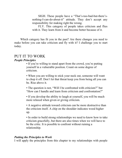SIGH. These people have a "That's-too-bad-but-there'snothing-I-can-do-about-it" attitude. They don't accept any responsibility for making right the wrong.

FLY. This category of people takes criticism and flies with it. They learn from it and become better because of it.

Which category has fit you in the past? Are there changes you need to make before you can take criticism and fly with it? I challenge you to start today.

## PUT IT TO WORK

### *People Principles*

• If you're willing to stand apart from the crowd, you're putting yourself in a vulnerable position. Count on some degree of criticism.

• When you are willing to stick your neck out, someone will want to chop it off. Don't let that threat keep you from being all you can be. Rise above it.

• The question is not, "Will I be confronted with criticism?" but "How can I handle and learn from criticism and confrontation?"

• If you develop the ability to laugh at yourself, you will be much more relaxed when given or giving criticism.

• A negative attitude toward criticism can be more destructive than the criticism itself. A chip on the shoulder indicates wood higher up.

• In order to build strong relationships we need to know how to take criticism gracefully, but there are also times when we will have to be the critic. It is possible to confront without ruining a relationship.

### *Putting the Principles to Work*

I will apply the principles from this chapter to my relationships with people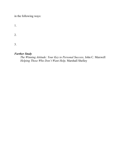in the following ways:

1.

2.

3.

## *Further Study*

*The Winning Attitude: Your Key to Personal Success,* John C. Maxwell *Helping Those Who Don't Want Help,* Marshall Shelley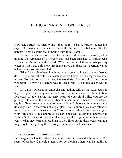#### CHAPTER 10

# BEING A PERSON PEOPLE TRUST

Building integrity into your relationships

PEOPLE NEED TO SEE WHAT they ought to be. A cartoon punch line says, "No matter what you teach the child, he insists on behaving like his parents." That's certainly a humbling truth for all parents.

Dennis the Menace often reinforces this truth. On one occasion, while holding the remnants of a tricycle that has been smashed to smithereens, Dennis the Menace asked his dad, "What are some of those words you say when you hit a bad golf shot?" He had learned that there was a certain way to behave when you're frustrated.

When I disciple others, it is important to be what I teach or ask others to do. This is a crucial truth: We teach what we know, but we reproduce what we are. To teach others to do right is wonderful. To do right is even more wonderful! It may be a harder way to teach, but it's a much easier way to learn.

Dr. James Dobson, psychologist and author, tells us that kids begin to buy in to your spiritual guidance and direction in the areas of values at about five years of age! During the early years of your child's life, you are the primary role model, the most significant person in his or her life. If what you say is different from what you do, your child will choose to imitate what you do every time. In the words of Zig Ziglar, "Your children pay more attention to what you do than what you say." So the most valuable gift you can give your little ones is the example of a clear, consistent, disciplined approach to faith in God. It is most important that they see this beginning in their earliest years. What they learn and establish in their lives during these years can go a long way toward getting them through the tumult of adolescence.

## Encouragement Causes Growth

Encouragement has the effect of a gentle rain; it causes steady growth. The secret of Andrew Carnegie's genius for developing others was his ability to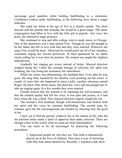encourage good qualities while holding faultfinding to a minimum. Confidence withers under faultfinding, as the following story about a singer indicates.

She made her debut at the age of five in a church cantata. The choir director told her parents that someday she would be a great singer. The entire congregation had fallen in love with the little girl in pigtails—her voice, her poise, her instinctive stage presence.

She continued to sing and after college went to study music in Chicago. One of her instructors was a man named Fritz. Though he was old enough to be her father she fell in love with him and they were married. Wherever she sang, Fritz would be there. Afterward he would point out all of her mistakes, constantly urging her toward perfection. In their apartment he set alarm clocks telling her it was time for practice. His trained ear caught the slightest imperfection.

Gradually her singing got worse instead of better. Musical directors stopped hiring her. Under the constant barrage of criticism, her spirit was breaking, she was losing her assurance, her naturalness.

While her career was plummeting, the husband died. Even after he was gone, she sang little, haunted by his familiar voice pointing out her errors. A couple of years later she happened to meet a jolly, carefree salesman named Roger. He knew little about music, but liked her voice and encouraged her to take up singing again. In a few months they were married.

Friends noticed that she seemed to be regaining her self-assurance, and that the strident quality had left her voice. It was pure and joyous, as it had been when she was a child. Now musical directors eagerly sought her out.

The woman's first husband, though well-intentioned, had broken both her spirit and her voice by constant faultfinding. The second man, by contrast, gave her the encouragement she needed by stressing only the good in her.

I have yet to find the person, whatever his or her station in life, who did not perform better under a spirit of approval than under criticism. There are enough critics in the world; what we need are more cheerleaders!

You can learn to be an encourager by practicing the following procedures.

> 1. Appreciate people for who they are. This truth is dramatically played out in the lives of children. They have a way of mirroring what they hear about themselves. Recently, I watched a talk show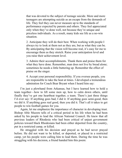that was devoted to the subject of teenage suicide. More and more teenagers are attempting suicide as an escape from the demands of life. They feel they can never measure up to the standards of performance expected by parents and others. They feel appreciated only when they've done well, not because they're unique and priceless individuals. As a result, many kids see life as a no-win situation.

2. Anticipate they will do their best. When working with people I always try to look at them not as they are, but as what they can be. By anticipating that the vision will become real, it's easy for me to encourage them as they stretch. Raise your anticipation level and you raise their achievement level.

3. Admire their accomplishments. Thank them and praise them for what they have done. Remember, man does not live by bread alone; sometimes he needs a little buttering up. Remember the effect of praise on the singer.

4. Accept your personal responsibility. If you oversee people, you are responsible to take the heat at times. I developed a tremendous admiration for Coach Bear Bryant when I heard him say:

I'm just a plowhand from Arkansas, but I have learned how to hold a team together—how to lift some men up, how to calm down others, until finally they've got one heartbeat together, a team. There's just three things I'd ever say: If anything goes bad, I did it. If anything goes semi-good, then we did it. If anything goes real good, then you did it. That's all it takes to get people to win football games for you.

Again, let me emphasize the importance of character in developing trust. Bishop Able Muzore tells of a critical period in his life when he had been asked by his people to lead the African National Council. He knew that all previous leaders of Rhodesia who had been critical of unjust government policies toward black Rhodesians had been either deported from the country, put in a restricted camp, or killed.

He struggled with his decision and prayed as he had never prayed before. He did not want to be killed, or deported, or placed in a restricted camp, yet his people were calling him to lead them. During the time he was struggling with his decision, a friend handed him this poem: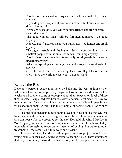People are unreasonable, illogical, and self-centered—love them anyway!

If you do good, people will accuse you of selfish ulterior motives do good anyway!

If you are successful, you will win false friends and true enemies succeed anyway!

The good you do today will be forgotten tomorrow—do good anyway!

Honesty and frankness make you vulnerable—be honest and frank anyway!

The biggest people with the biggest ideas can be shot down by the smallest people with the smallest minds—think big anyway!

People favor underdogs but follow only top dogs—fight for some underdog anyway!

What you spend years building may be destroyed overnight—build anyway!

Give the world the best you've got and you'll get kicked in the teeth—give the world the best you've got anyway!

# Believe the Best

Develop a person's expectation level by believing the best of him or her. When you look up to people, they begin to look up to their dreams. A few weeks ago I spoke to some salespeople about their expectation level of those they oversee. I explained that how we view a person is reflected by how we treat a person. If we have a high expectation level and believe in people, we will encourage them. Again, it is the principle of seeing people not as they are but as they can be.

The business manager at our church placed his house on the market. One Saturday he and his wife posted signs all over the neighborhood announcing an open house. As they prepared for the day, Ken told his wife, Mary Lynn, "We're going to have all kinds of people come in and out of the house today, most with absolutely no resources or intention of buying. But we're going to treat them all the same—as if they were our guests."

Sure enough, they had dozens of people come through just to look. One young couple in their early twenties asked to see the house. They announced that they were newly married, she had no job, and he was just starting a new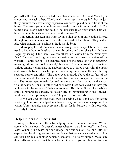job. After the tour they extended their thanks and left. Ken and Mary Lynn announced to each other, "Well, we'll never see them again." But in just thirty minutes they saw a very expensive car drive up and park in front of the house. The same young couple returned—this time with mom and dad. The father shook Ken's hand and said, "The kids sure liked your home. This will be a cash sale; how short can we make the escrow?"

I'm certain that Ken and Mary Lynn's high level of anticipation filtered through to each person who crossed the threshold of their home. They had no idea what benefits that positive attitude would bring.

Many people, unfortunately, have a low personal expectation level. We need to know how to develop a dream for others and then share it with them. Begin by seeing it for them. We can all learn a lesson from the "four-eyed fish." These odd-looking creatures are native to the equatorial waters of the western Atlantic region. The technical name of the genus of fish is *anableps*, meaning "those that look upward," because of their unusual eye structure. Unique among vertebrates, the anableps have two-tiered eyes, with the upper and lower halves of each eyeball operating independently and having separate cornea and irises. The upper eyes protrude above the surface of the water and enable the anableps to search for food and to spot enemies in the air. The lower eyes remain focused in the water, functioning in the usual fishlike fashion. Thus, in rather ordinary ways these four-eyed fish navigate with ease in the waters of their environment. But, in addition, the anableps enjoy a remarkable capacity to sustain life by participating in the "higher" world above their primary element. They see in both worlds.

If we can develop four eyes, two for seeing what is and two for seeing what might be, we can help others dream. Everyone needs to be exposed to a vision. Unfortunately, not everyone will go for it. Pursue it with those who are ready to stretch.

# Help Others Be Successful

Develop confidence in others by helping them experience success. We all agree with the slogan "It doesn't matter whether you win or lose"—until you lose! Winning increases our self-image, our outlook on life, and lifts our expectation level. It gives us the confidence that we can succeed again. How can you help make another person successful? It's fairly simple. Make sure their gifts and abilities match their tasks. Otherwise you set them up for sure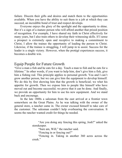failure. Discern their gifts and desires and match them to the opportunities available. When you have the ability to suit them to a job at which they can succeed, an incredible bond of trust and respect develops.

Everyone enjoys the glory of the spotlight and the opportunity to shine. But it's a sign of a mature person who will afford another that prized position of recognition. For example, I have shared my faith in Christ effectively for many years, but I also train others to develop their witnessing skills. If I sense a prospect is extremely open and receptive to making a commitment to Christ, I allow the trainee the opportunity of leading the person to Christ. Likewise, if the trainee is struggling, I will jump in to assist. Success for the leader is a single victory. However, when the protégé experiences success, it becomes a double win.

# Equip People for Future Growth

"Give a man a fish and he eats for a day. Teach a man to fish and he eats for a lifetime." In other words, if you want to help him, don't give him a fish, give him a fishing rod. This principle applies to personal growth. You and I can't grow another person, but we can give him the equipment to develop himself. We do this by first showing him that the growth is beneficial; we whet his appetite for growth. Then we expose him to people like himself who have moved out and become successful; we prove that it can be done. And finally, we provide an opportunity for him to use his new equipment. And we stand back and encourage.

In the late 1800s a salesman from the east arrived at a frontier town somewhere on the Great Plains. As he was talking with the owner of the general store, a rancher came in. The owner excused himself to take care of the customer. The salesman couldn't help overhearing the conversation. It seems the rancher wanted credit for things he needed.

> "Are you doing any fencing this spring, Josh?" asked the storekeeper.

"Sure am, Will," the rancher said.

"Fencing in or fencing out?"

"Fencing in. Taking in another 360 acres across the creek."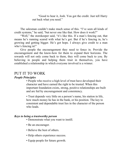"Good to hear it, Josh. You got the credit. Just tell Harry out back what you need."

The salesman couldn't make much sense of this. "I've seen all kinds of credit systems," he said, "but never one like that. How does it work?"

"Well," the storekeeper said, "it's like this. If a man's fencing out, that means he's running scared with what he's got. But if he's fencing in, he's growing and getting bigger. He's got hope. I always give credit to a man who's fencing in!"

Give people the encouragement they need to fence in. Provide the encouragement and the know-how for them to expand their horizons. The rewards will not only come back to them, they will come back to you. By believing in people and helping them trust in themselves, you have established a relationship in which everyone involved is a winner.

## PUT IT TO WORK

## *People Principles*

• People who receive a high level of trust have developed their character and have earned the right to be trusted. When this important foundation exists, strong, positive relationships are built and are fed by encouragement and consistency.

• Trust depends very little on a person's name, his station in life, how much money he has in the bank, or his position. The key to consistent and dependable trust lies in the character of the person who leads.

### *Keys to being a trustworthy person*

- Demonstrate what you want to instill.
- Be an encourager.
- Believe the best of others.
- Help others experience success.
- Equip people for future growth.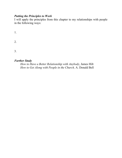#### *Putting the Principles to Work*

I will apply the principles from this chapter to my relationships with people in the following ways:

1. 2. 3.

## *Further Study*

*How to Have a Better Relationship with Anybody*, James Hilt *How to Get Along with People in the Church,* A. Donald Bell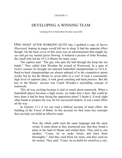#### CHAPTER 11

# DEVELOPING A WINNING TEAM

Learning how to help others become successful

ONE NIGHT AFTER WORKING QUITE late, I grabbed a copy of *Sports Illustrated*, hoping its pages would lull me to sleep. It had the opposite effect though. On the back cover of this issue was an advertisement that caught my eye and got my mental juices flowing. It featured a picture of John Wooden, the coach who led the UCLA Bruins for many years.

The caption said: "The guy who puts the ball through the hoop has ten hands." They called John Wooden the wizard of Westwood. In a span of twelve seasons he brought ten national basketball championships to UCLA. Back-to-back championships are almost unheard of in the competitive sports world, but he led the Bruins to seven titles in a row! It took a consistently high level of superior play; it took good coaching and hard practice. But the key to the Bruins' success was Coach Wooden's unyielding concept of teamwork.

This ad was exciting because it said so much about teamwork. When a basketball player becomes a high scorer, we make him a hero. But could he have done it had he been facing the opposition alone? I doubt it. It took eight other hands to prepare the way for his successful baskets. It was a team effort all the way.

In Genesis 11:1–6 we can read a biblical account of team effort: the building of the Tower of Babel. In this account we find some key concepts that can help you build an effective team.

> Now the whole earth used the same language and the same words. It came about as they journeyed east, that they found a plain in the land of Shinar and settled there. They said to one another, "Come, let us make bricks and burn them thoroughly." And they used brick for stone, and they used tar for mortar. They said, "Come, let us build for ourselves a city,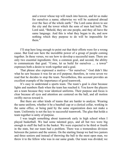and a tower whose top will reach into heaven, and let us make for ourselves a name; otherwise we will be scattered abroad over the face of the whole earth." The Lord came down to see the city and the tower which the sons of men had built. The Lord said, "Behold, they are one people, and they all have the same language. And this is what they began to do, and now nothing which they purpose to do will be impossible for them."

I'll stop here long enough to point out that their efforts were for a wrong cause. But God saw here the incredible power of a group of people coming together. In these verses, we see how to develop a successful team. There are only two essential ingredients: first, a common goal, and second, the ability to communicate that goal. "Come, let us build for ourselves … a tower" expresses both a desire to work together and a goal.

That phrase also expressed a motive—"for ourselves." God didn't like what he saw because it was for an evil purpose; therefore, in verse seven we read that he decides to stop the team. Nevertheless, this account provides an excellent example of the importance of good teamwork.

It's easy to understand a sports team. The team's goal is clear because lights and numbers flash when the team has reached it. You know the players are a team because they wear identical uniforms. Their purpose and focus is clear because all eyes and attention are centered on the ball, and all motion swiftly moves toward it.

But there are other kinds of teams that are harder to analyze. Wearing the same uniform, whether it be a baseball cap or a clerical collar, working in the same office, or being paid by the same organization does not make a team. Uniformity is not the key to successful teamwork. The glue that holds a team together is unity of purpose.

I was taught something about teamwork early in high school when I played basketball. We had some talented guys, and all but two were big enough to stuff the ball in the basket. We were expected to be third or fourth in the state, but our team had a problem. There was a tremendous division between the juniors and the seniors. On the starting lineup we had two juniors and three seniors and instead of throwing the ball to the most open man, we threw it to the fellow who was in our same grade. Our team was divided; we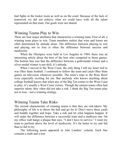had fights in the locker room as well as on the court. Because of the lack of teamwork we did not achieve what we could have with all the talent represented on that team. Our goals were not shared.

# Winning Teams Play to Win

There are four major attributes that characterize a winning team. First of all, a winning team plays to win. Team members realize that wins and losses are often determined by attitude alone. The difference between playing to win and playing not to lose is often the difference between success and mediocrity.

When the Olympics were held in Los Angeles in 1984, there was an interesting article about the best of the best who competed in those games. The bottom line was that the difference between a gold-medal winner and a silver-medal winner is not skill, it's attitude.

When I moved to the West Coast, the only thing I left my heart tied to was Ohio State football. I continued to follow the team and catch Ohio State games on television whenever possible. The team's trips to the Rose Bowl were especially exciting for me. But anybody who knows anything about college football knows that when any of the Big Ten comes to the West Coast to play, it's usually a West Coast victory. Though the eastern teams often had superior talent, they often did not take a risk. I think the Big Ten teams play not to lose—not a winning strategy.

## Winning Teams Take Risks

The second characteristic of winning teams is that they are risk-takers. My philosophy of life is to throw the ball and go for it! Don't move three yards and huddle together and hope. Take a risk and let what happens happen. It will make the difference between a successful team and a mediocre one. On my office wall hangs a plaque that says, "I don't have to survive." I want my team to perform above the level of mediocrity. It's far better to try and fail than to fail to try.

The following poem appeared in Ann Landers' column. Each line contains a truth and a test: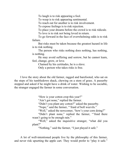To laugh is to risk appearing a fool.

To weep is to risk appearing sentimental.

To reach out for another is to risk involvement.

To expose feelings is to risk rejection.

To place your dreams before the crowd is to risk ridicule.

To love is to risk not being loved in return.

To go forward in the face of overwhelming odds is to risk failure.

But risks must be taken because the greatest hazard in life is to risk nothing.

The person who risks nothing does nothing, has nothing, is nothing.

He may avoid suffering and sorrow, but he cannot learn, feel, change, grow, or love.

Chained by his certitudes, he is a slave.

Only a person who takes risks is free.

I love the story about the old farmer, ragged and barefooted, who sat on the steps of his tumbledown shack, chewing on a stem of grass. A passerby stopped and asked if he might have a drink of water. Wishing to be sociable, the stranger engaged the farmer in some conversation.

"How is your cotton crop this year?"

"Ain't got none," replied the farmer.

"Didn't you plant any cotton?" asked the passerby.

"Nope," said the farmer, "'fraid of boll weevils."

"Well," asked the newcomer, "how's your corn doing?"

"Didn't plant none," replied the farmer, "'fraid there wasn't going to be enough rain."

"Well," asked the inquisitive stranger, "what did you plant?"

"Nothing," said the farmer, "I just played it safe."

A lot of well-intentioned people live by the philosophy of this farmer, and never risk upsetting the apple cart. They would prefer to "play it safe."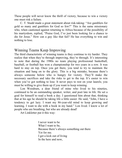These people will never know the thrill of victory, because to win a victory one must risk a failure.

C. T. Studd made a great statement about risk-taking: "Are gamblers for gold so many and gamblers for God so few?" This is the same missionary who, when cautioned against returning to Africa because of the possibility of his martyrdom, replied, "Praise God, I've just been looking for a chance to die for Jesus." How can a guy like that fail? He has everything to win and nothing to lose.

## Winning Teams Keep Improving

The third characteristic of winning teams is they continue to try harder. They realize that when they're through improving, they're through. It's interesting to note that during the 1980s no team playing professional basketball, baseball, or football has won a championship for two years in a row. It was hard to stay on top. Once you get there, you tend to try to maintain the situation and hang on to the glory. This is a big mistake, because there's always someone below who is hungry for victory. They'll make the necessary sacrifices and take the risks to get to the top. It's easier to win when you've got nothing to lose. It never pays to rest on your laurels; you must be willing to give them up if you want to keep winning.

Lon Woodrum, a dear friend of mine who lived to his nineties, continued to be an outstanding speaker, writer, and poet late in life. He set a goal for himself to read a book a day. I questioned him about that, thinking that at his age he should be taking life a little easier. He said, "John, I have a tendency to get lazy. I want my 86-year-old mind to keep growing and learning. I want to die with a book in my hand." Lon lived. I know a lot of people who are breathing, but who are already dead!

Art Linkletter put it this way:

I never want to be What I want to be, Because there's always something out there Yet for me. I get a kick out of living In the here and now,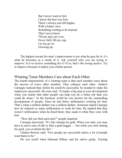But I never want to feel I know the best way how. There's always one hill higher, With a better view, Something waiting to be learned That I never knew. Till my days are over, Never fully fill my cup; Let me go on Growing up.

The highest reward for man's improvement is not what he gets for it; it's what he becomes as a result of it. Ask yourself why you are trying to improve. Is it to receive something for it? If so, that's the wrong motive. Try to improve because it makes you a better person.

# Winning Team Members Care about Each Other

The fourth characteristic of a winning team is that each member cares about the success of every other member. They enhance each other. Andrew Carnegie realized that, before he could be successful, he needed to make his employees successful. He once said, "It marks a big step in your development when you realize that other people can help you do a better job than you could do alone." In the business world he was known for his outstanding development of people. Once he had thirty millionaires working for him. That's when a million dollars was a million dollars. Someone asked Carnegie how he induced so many millionaires to work for him. He replied that they weren't millionaires when he hired them; they made it while they were with him.

"How did you find such men?" people inquired.

Carnegie answered, "It's like mining for gold. When you start, you may have to move tons of dirt to find a gold nugget ... but when you start mining for gold, you overlook the dirt."

Charles Brower said, "Few people are successful unless a lot of people want them to be."

Do you recall when Edmund Hillary and his native guide, Tenzing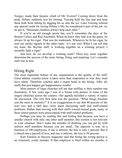Norgay, made their historic climb of Mt. Everest? Coming down from the peak, Hillary suddenly lost his footing. Tenzing held the line taut and kept them both from falling by digging his ax into the ice. Later Tenzing refused any special credit for saving Hillary's life; he considered it part of the job. As he put it, "Mountain climbers always help each other."

If you're an old enough sports fan, you'll remember the days of the Boston Celtics and Red Auerbach. When he knew they had won the game, he always lit up his cigar. That was his trademark. Whenever he lit his cigar, he sent out smoke signals to the other team—it's our win! When I can tell that my team, the Skyline staff, is working together on a winning project, I mentally light a cigar!

Just how do we develop a winning team? Three key areas together determine the success of the team: hiring, firing, and inspiring. Let's consider each one in turn.

# Hiring Right

The most important feature of any organization is the quality of the staff. Great athletic coaches know it takes more than inspiration to win; they must have talent. Therefore coaches take a major hand in the hiring. After all, staffs that just happen get happenstance results!

Most pastors of large churches tell me that staffing is their number-one frustration. A few years ago I was in a forum with pastors of some of the largest churches across the country. Our agenda included a variety of topics for discussion. The very first item was the question, "What things frustrate you the most in ministry?" It is no exaggeration to say that 80 percent of the next two and a half days were spent discussing staff and staff-related problems. Rather than moving with their staffs toward mutual goals, many of these senior pastors were preoccupied with staff-related problems.

Perhaps you may be reading this and feeling that because you have a smaller church with only one other staff member, this section is not relevant to your situation. Don't make the mistake of thinking you can get by with inferior staff members because you are small. The opposite is true. In a business of 100 employees, if one is inferior, the loss is only 1 percent. But if a church has a payroll of two, and one is inferior, the loss is 50 percent.

Kurt Einstein in Success magazine said that hiring the wrong person is an extremely costly mistake. If that employee is fired within six months, it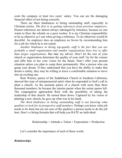costs the company at least two years' salary. You can see the damaging financial effect of not hiring correctly.

There are three hindrances to hiring outstanding staff, especially in Christian circles. *The first is in getting references from previous employers.* Honest references are almost always sabotaged by tolerance, because no one wants to blow the whistle on a poor worker. It is my Christian responsibility to be as objective as I can when giving a reference. To do otherwise would be deceitful. An employer does an employee no favors by recommending him for a job for which he is not suited.

*Another hindrance to hiring top-quality staf is the fact that you are probably a small organization and smaller organizations have less to of er than larger organizations.* But take my advice: Don't let the size of your church or organization determine the quality of your staff. Go for the winner and offer him or her your vision for the future. Don't offer your present situation unless you plan to camp there permanently. Hire a person who can grasp your dream. If they understand that you have the ability to make that dream a reality, they may be willing to leave a comfortable situation to move into an exciting one.

Rick Warren, pastor of the Saddleback Church in Southern California, showed this type of entrepreneurial spirit when he responded to God's call to plant a church. As the assistant pastor of a church with more than three thousand members, he became the interim pastor when the senior pastor left. The congregation approached Rick with the possibility of taking the leadership of that church. He turned them down. Captured by his vision of planting a new church, he gave up what was in his hand.

*The third hindrance in hiring outstanding staf is not knowing what qualities to look for in prospective staf members*. Perhaps you know what job needs to be done but are not sure of the qualities a person needs to do the job best. Here's a hiring formula that will help you RATE an individual:

 $Relationship + Attitude x Talent + Expectation = Production$ 

Let's consider the importance of each of these words.

*Relationships*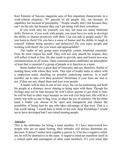Kurt Einstein of Success magazine says of this important characteristic in a work-related situation: "87 percent of all people fail, not because of capability but because of personality." People usually don't fail because they can't do the job, but because they can't get along with their coworkers.

If you work only for yourself, you may not need too many relational skills. However, if you work with people, you must have (or seek to develop) the ability to interact positively with them. Can you talk to people easily? Do you listen to them? Do you have a sense of humor and the ability to laugh at yourself without being sensitive and defensive? Do you enjoy people and working with them? Are you warm and approachable?

The leader of any group must exemplify certain relational essentials. First, he must respect his staff. They will not only absorb his respect, they will reflect it back to him. He also needs to provide open and honest two-way communication on all issues. Open communication establishes an atmosphere of trust that is essential if a group of people is to function as a team.

Some leaders have a great deal of insecurity and are, therefore, fearful of trusting those with whom they work. This type of leader looks at others with a suspicious mind, dwelling on possible underlying motives: Is a staff member out to take over their position? Determine if your fears are real or not. If they are not, dispel them and trust your people.

A leader will be hurt in one of two ways. He can be nontrusting and hold his people at a distance, never sharing or being open with them. Though his feelings may not be hurt because he won't allow anyone to get close to him, he will be hurt in other ways because no one will ever help him. His will be a lonely trip with no one to hug, love, or share the joy of ministry. On the other hand a leader can choose to be open and transparent and chance the possibility of being hurt by one who takes advantage of that trust. That is a risk worth taking. I would hate to think of the rich, deep friendships I would never have developed had I not risked trusting people.

### *Attitudes*

This is the tiebreaker for hiring a team member. If I have interviewed two people who are on equal footing, their attitudes will always determine my decision. It doesn't matter how capable a person is, if he has a negative mindset, he will be destructive to the team. A negative mind-set manifests itself in a critical spirit and nonsupport of other team members. If I ever sense that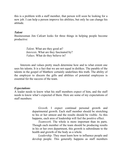this is a problem with a staff member, that person will soon be looking for a new job. I can help a person improve his abilities, but only he can change his attitude.

#### *Talent*

Businessman Jim Cafcart looks for three things in helping people become productive:

> *Talent*. What are they good at? *Interests*. What are they fascinated by? *Values*. What do they believe in?

Interests and values pretty much determine how and to what extent one uses his talents. It is a fact that we are not equal in dislikes. The parable of the talents in the gospel of Matthew certainly underlines this truth. The ability of the employer to discern the gifts and abilities of potential employees is essential for the success of the team.

#### *Expectations*

A leader needs to know what his staff members expect of him, and the staff needs to know what's expected of them. Here are some of my expectations of staff members:

> *Growth*. I expect continual personal growth and departmental growth. Each staff member should be stretching to his or her utmost and the results should be visible. As this happens, each area of leadership will feel the positive effect.

> *Teamwork*. The whole is more important than its parts. Though each member of the team should be producing results in his or her own department, this growth is subordinate to the health and growth of the body as a whole.

> *Leadership*. They must learn how to influence people and develop people. This generally happens as staff members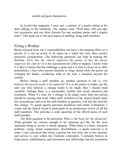stretch and grow themselves.

In *Leadership* magazine I once saw a cartoon of a pastor sitting at his desk talking on the telephone. The caption read, "Well then, will you take two secretaries and one choir director for one assistant pastor and a singles man?" This leads me to the next aspect of staffing, firing staff members.

## Firing a Worker

Being released from one's responsibilities can have a devastating effect on a person. It is not an action to be taken on a whim but only after careful, prayerful consideration. The following questions can help in making the decision. *First, has the church outgrown the pastor or has the pastor outgrown the church?* It is not uncommon for either to happen. I know what it is like to realize that the challenge is gone and it is time to move on to other possibilities. I have also known churches to forge ahead while the pastor sat wringing his hands, wondering what to do with a situation beyond his control.

Before letting a staff member go, another question to ask is, *who believes this person needs to be replaced?* If I, as the pastor or leader, am the only one who believes a change needs to be made, then I should tread carefully. Perhaps there is a personality conflict that needs attention and resolution. When it's time for a change to be made, more than one person should be sensing that need. Other staff, members of the church board, other key associations, and even the staff member in question, will feel the need for this change. To guard against personal prejudices and unfair evaluations, I yearly ask the church board to participate in an anonymous review of all the staff members. This provides a wide spectrum of the effectiveness of each staff member.

The third question to be answered: *What is the basis for the dismissal?* What grounds are serious enough to let someone go? By far the most important thing to review is moral integrity. When there is a basic character problem—lying, moral compromise, deceitfulness—a quick removal is in order. I am convinced that when a person has lost trust, his or her ministry and service is over within the Christian community. I certainly believe in forgiveness, rehabilitation, and restoration into fellowship, but not restoration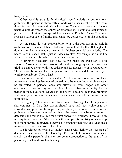to a position.

Other possible grounds for dismissal would include serious relational problems. If a person is chronically at odds with other members of the team, there is need for removal. Or when a staff member shows an obvious negative attitude toward the church or organization, it's time to let that person go. Negative thinking can spread like a cancer. Finally, if a staff member reveals a serious lack of ability that cannot be corrected, he or she should be released.

As the pastor, it is my responsibility to have the best person possible in each position. The church board holds me accountable for this. If I neglect to do this, then I am not keeping the church's highest potential as a priority. The board holds me accountable just as it does my staff. My own job is on the line if there is someone else who can better lead and serve.

If firing is necessary, just how do we make the transition a little smoother? Assume we have worked through the tough questions. We have tried to balance mercy with stewardship and forgiveness with accountability. The decision becomes clear; the person must be removed from ministry or work responsibility. Then what?

First of all, we do it personally. A letter or memo is too cruel and impersonal, allowing feelings of desertion to be magnified and bitterness to be cultivated. A personal encounter allows for tears, anger, and other emotions that accompany such a blow. It also gives opportunity for the person to raise questions. Obviously, the news should be delivered promptly and directly before some grapevine has a chance to reach the worker being terminated.

Do it gently. There is no need to write a twelve-page list of the person's shortcomings. In fact, that person should have had that twelve-page list several weeks prior and been given a probation period to work on his or her problems. When the dismissal is given, the person may become angry or defensive and that is the time for a "soft answer." Gentleness, however, does not require dishonesty. If the person is ill-equipped for ministry or leadership, it is more harmful to pretend otherwise. Remember that how and when these messages are given can soften the blow.

Do it without bitterness or malice. Those who deliver the message of dismissal must be under the Holy Spirit's control. Emotional outbursts or attacks on the person's character are counterproductive to the goal of the person's growth and eventual healing.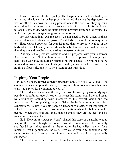Close off responsibilities quickly. The longer a lame duck has to drag on in the job, the lower his or her productivity and the more he depresses the zeal of others. A drawn-out firing process opens the door to lobbying for a reversal and excuses for poor performance. Also, it is possible for the leader to lose his objectivity when he starts getting pressure from pocket groups. He will then begin second-guessing his decision to fire.

Be discriminating. "All the facts" do not need to be divulged to those whose interest is to slander or gossip. The details of a moral failure may serve to titillate warped appetites for scandal more than to promote healing in the body of Christ. Choose your words cautiously. Do not make matters worse than they are and needlessly jeopardize the person's future.

Anticipate the person's reactions and be prepared with your answers. Also consider the effect on those who are close to the person. How might you help those who may be hurt or offended in this change. Do you need to be involved in some emotional healing? Finally, consider where that person might go if possible, and try to help them in that transition.

## Inspiring Your People

Harold S. Geneen, former director, president and CEO of IT&T, said, "The essence of leadership is the ability to inspire others to work together as a team—to stretch for a common objective."

The leader needs to pave the way for those following by exemplifying a positive, hopeful attitude. A leader motivates his team toward the end result by continually reminding team members of the overall vision and the importance of accomplishing the goal. When the leader communicates clear expectations, he also gives his people a freedom to create. Most importantly, a leader expresses the most profound inspiration when he believes in his people—when they feel and know that he thinks they are the best and his total confidence is in them.

E. E. Kenyon of *American Weekly* shared this story of a surefire way to inspire the team (though not one I would recommend). The normally sourfaced boss smiled genially at the salesmen he had called together for a meeting. "Well, gentlemen," he said, "I've called you in to announce a big sales contest that I am starting immediately and that I will personally supervise."

There was an excited murmur from the assembled salesmen, and an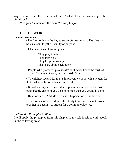eager voice from the rear called out: "What does the winner get, Mr. Smithson?"

"He gets," announced the boss, "to keep his job."

# PUT IT TO WORK

## *People Principles*

• Uniformity is not the key to successful teamwork. The glue that holds a team together is unity of purpose.

• Characteristics of winning teams:

They play to win. They take risks. They keep improving. They care about each other.

• People who prefer to "play it safe" will never know the thrill of victory. To win a victory, one must risk failure.

• The highest reward for man's improvement is not what he gets for it, it's what he becomes as a result of it.

• It marks a big step in your development when you realize that other people can help you do a better job than you could do alone.

• Relationship + Attitude x Talent + Expectation = Production

• The essence of leadership is the ability to inspire others to work together as a team—to stretch for a common objective.

## *Putting the Principles to Work*

I will apply the principles from this chapter to my relationships with people in the following ways:

1.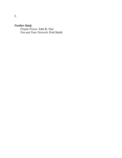## *Further Study*

*People Power,* John R. Noe *You and Your Network*, Fred Smith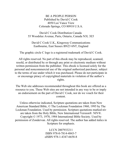BE A PEOPLE PERSON Published by David C Cook 4050 Lee Vance View Colorado Springs, CO 80918 U.S.A.

David C Cook Distribution Canada 55 Woodslee Avenue, Paris, Ontario, Canada N3L 3E5

David C Cook U.K., Kingsway Communications Eastbourne, East Sussex BN23 6NT, England

The graphic circle C logo is a registered trademark of David C Cook.

All rights reserved. No part of this ebook may be reproduced, scanned, resold, or distributed by or through any print or electronic medium without written permission from the publisher. This ebook is licensed solely for the personal and noncommercial use of the original authorized purchaser, subject to the terms of use under which it was purchased. Please do not participate in or encourage piracy of copyrighted materials in violation of the author's rights.

The Web site addresses recommended throughout this book are offered as a resource to you. These Web sites are not intended in any way to be or imply an endorsement on the part of David C Cook, nor do we vouch for their content.

Unless otherwise indicated, Scripture quotations are taken from New American Standard Bible, © The Lockman Foundation 1960, 1995 by The Lockman Foundation. Used by permission. Scripture quotations marked niv are taken from the Holy Bible, New International Version®. NIV®. Copyright © 1973, 1978, 1984 International Bible Society. Used by permission of Zondervan. All rights reserved. The author has added italics in Scripture for emphasis.

> LCCN 2007933211 ISBN 978-0-7814-4843-7 eISBN 978-1-4347-6658-8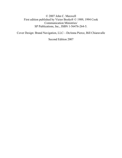© 2007 John C. Maxwell First edition published by Victor Books® © 1989, 1994 Cook Communication Ministries/ SP Publications, Inc., ISBN 1-56476-264-5.

Cover Design: Brand Navigation, LLC—DeAnna Pierce, Bill Chiaravalle

Second Edition 2007